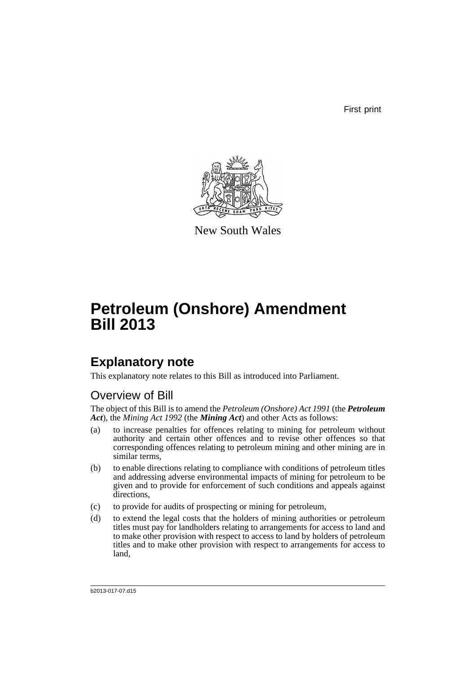First print



New South Wales

# **Petroleum (Onshore) Amendment Bill 2013**

## **Explanatory note**

This explanatory note relates to this Bill as introduced into Parliament.

### Overview of Bill

The object of this Bill is to amend the *Petroleum (Onshore) Act 1991* (the *Petroleum Act*), the *Mining Act 1992* (the *Mining Act*) and other Acts as follows:

- (a) to increase penalties for offences relating to mining for petroleum without authority and certain other offences and to revise other offences so that corresponding offences relating to petroleum mining and other mining are in similar terms,
- (b) to enable directions relating to compliance with conditions of petroleum titles and addressing adverse environmental impacts of mining for petroleum to be given and to provide for enforcement of such conditions and appeals against directions,
- (c) to provide for audits of prospecting or mining for petroleum,
- (d) to extend the legal costs that the holders of mining authorities or petroleum titles must pay for landholders relating to arrangements for access to land and to make other provision with respect to access to land by holders of petroleum titles and to make other provision with respect to arrangements for access to land,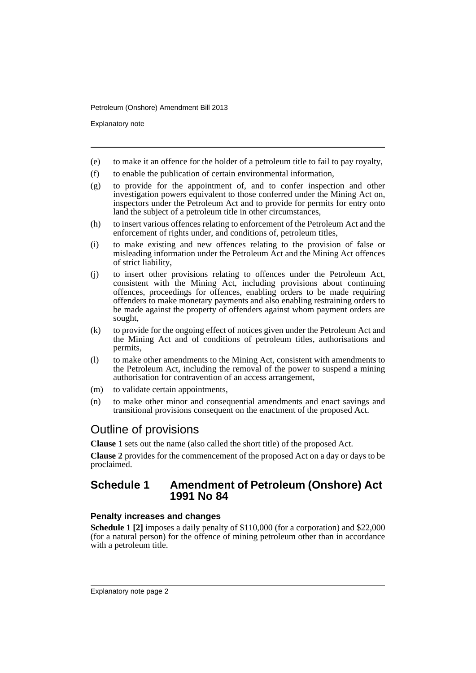Explanatory note

- (e) to make it an offence for the holder of a petroleum title to fail to pay royalty,
- (f) to enable the publication of certain environmental information,
- (g) to provide for the appointment of, and to confer inspection and other investigation powers equivalent to those conferred under the Mining Act on, inspectors under the Petroleum Act and to provide for permits for entry onto land the subject of a petroleum title in other circumstances,
- (h) to insert various offences relating to enforcement of the Petroleum Act and the enforcement of rights under, and conditions of, petroleum titles,
- (i) to make existing and new offences relating to the provision of false or misleading information under the Petroleum Act and the Mining Act offences of strict liability,
- (j) to insert other provisions relating to offences under the Petroleum Act, consistent with the Mining Act, including provisions about continuing offences, proceedings for offences, enabling orders to be made requiring offenders to make monetary payments and also enabling restraining orders to be made against the property of offenders against whom payment orders are sought,
- (k) to provide for the ongoing effect of notices given under the Petroleum Act and the Mining Act and of conditions of petroleum titles, authorisations and permits,
- (l) to make other amendments to the Mining Act, consistent with amendments to the Petroleum Act, including the removal of the power to suspend a mining authorisation for contravention of an access arrangement,
- (m) to validate certain appointments,
- (n) to make other minor and consequential amendments and enact savings and transitional provisions consequent on the enactment of the proposed Act.

### Outline of provisions

**Clause 1** sets out the name (also called the short title) of the proposed Act.

**Clause 2** provides for the commencement of the proposed Act on a day or days to be proclaimed.

### **Schedule 1 Amendment of Petroleum (Onshore) Act 1991 No 84**

### **Penalty increases and changes**

**Schedule 1 [2]** imposes a daily penalty of \$110,000 (for a corporation) and \$22,000 (for a natural person) for the offence of mining petroleum other than in accordance with a petroleum title.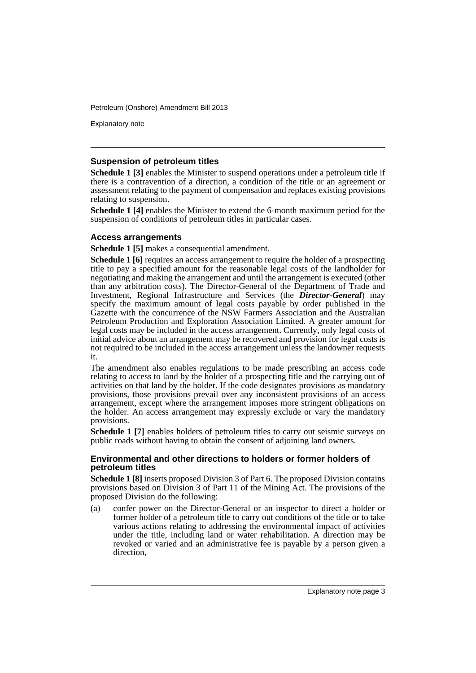Explanatory note

### **Suspension of petroleum titles**

**Schedule 1 [3]** enables the Minister to suspend operations under a petroleum title if there is a contravention of a direction, a condition of the title or an agreement or assessment relating to the payment of compensation and replaces existing provisions relating to suspension.

**Schedule 1 [4]** enables the Minister to extend the 6-month maximum period for the suspension of conditions of petroleum titles in particular cases.

### **Access arrangements**

**Schedule 1 [5]** makes a consequential amendment.

**Schedule 1 [6]** requires an access arrangement to require the holder of a prospecting title to pay a specified amount for the reasonable legal costs of the landholder for negotiating and making the arrangement and until the arrangement is executed (other than any arbitration costs). The Director-General of the Department of Trade and Investment, Regional Infrastructure and Services (the *Director-General*) may specify the maximum amount of legal costs payable by order published in the Gazette with the concurrence of the NSW Farmers Association and the Australian Petroleum Production and Exploration Association Limited. A greater amount for legal costs may be included in the access arrangement. Currently, only legal costs of initial advice about an arrangement may be recovered and provision for legal costs is not required to be included in the access arrangement unless the landowner requests it.

The amendment also enables regulations to be made prescribing an access code relating to access to land by the holder of a prospecting title and the carrying out of activities on that land by the holder. If the code designates provisions as mandatory provisions, those provisions prevail over any inconsistent provisions of an access arrangement, except where the arrangement imposes more stringent obligations on the holder. An access arrangement may expressly exclude or vary the mandatory provisions.

**Schedule 1 [7]** enables holders of petroleum titles to carry out seismic surveys on public roads without having to obtain the consent of adjoining land owners.

### **Environmental and other directions to holders or former holders of petroleum titles**

**Schedule 1 [8]** inserts proposed Division 3 of Part 6. The proposed Division contains provisions based on Division 3 of Part 11 of the Mining Act. The provisions of the proposed Division do the following:

(a) confer power on the Director-General or an inspector to direct a holder or former holder of a petroleum title to carry out conditions of the title or to take various actions relating to addressing the environmental impact of activities under the title, including land or water rehabilitation. A direction may be revoked or varied and an administrative fee is payable by a person given a direction,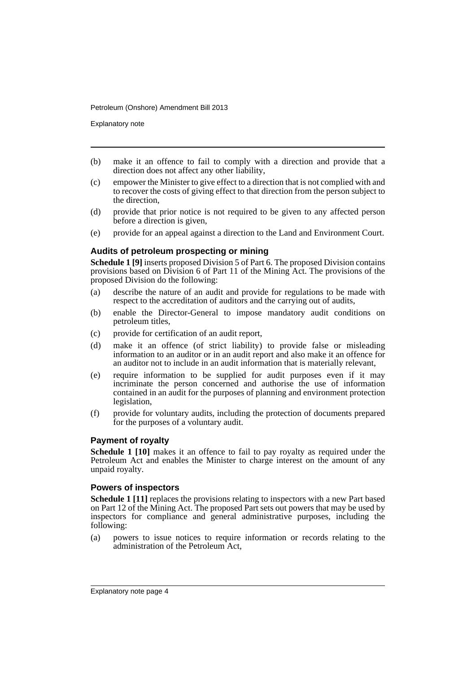Explanatory note

- (b) make it an offence to fail to comply with a direction and provide that a direction does not affect any other liability,
- (c) empower the Minister to give effect to a direction that is not complied with and to recover the costs of giving effect to that direction from the person subject to the direction,
- (d) provide that prior notice is not required to be given to any affected person before a direction is given,
- (e) provide for an appeal against a direction to the Land and Environment Court.

### **Audits of petroleum prospecting or mining**

**Schedule 1 [9]** inserts proposed Division 5 of Part 6. The proposed Division contains provisions based on Division 6 of Part 11 of the Mining Act. The provisions of the proposed Division do the following:

- (a) describe the nature of an audit and provide for regulations to be made with respect to the accreditation of auditors and the carrying out of audits,
- (b) enable the Director-General to impose mandatory audit conditions on petroleum titles,
- (c) provide for certification of an audit report,
- (d) make it an offence (of strict liability) to provide false or misleading information to an auditor or in an audit report and also make it an offence for an auditor not to include in an audit information that is materially relevant,
- (e) require information to be supplied for audit purposes even if it may incriminate the person concerned and authorise the use of information contained in an audit for the purposes of planning and environment protection legislation,
- (f) provide for voluntary audits, including the protection of documents prepared for the purposes of a voluntary audit.

### **Payment of royalty**

**Schedule 1 [10]** makes it an offence to fail to pay royalty as required under the Petroleum Act and enables the Minister to charge interest on the amount of any unpaid royalty.

### **Powers of inspectors**

**Schedule 1 [11]** replaces the provisions relating to inspectors with a new Part based on Part 12 of the Mining Act. The proposed Part sets out powers that may be used by inspectors for compliance and general administrative purposes, including the following:

(a) powers to issue notices to require information or records relating to the administration of the Petroleum Act,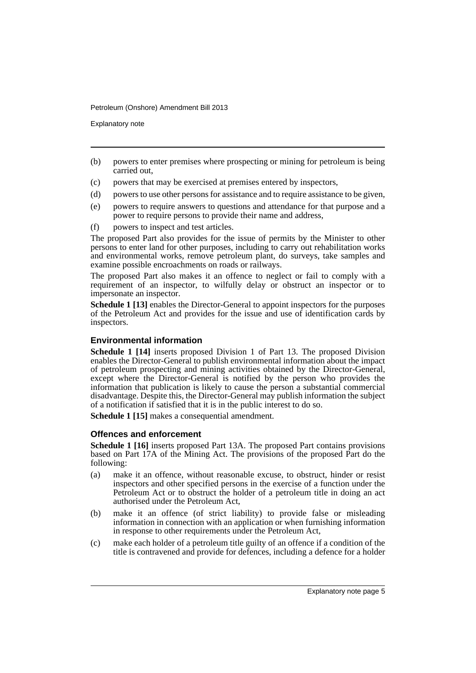Explanatory note

- (b) powers to enter premises where prospecting or mining for petroleum is being carried out,
- (c) powers that may be exercised at premises entered by inspectors,
- (d) powers to use other persons for assistance and to require assistance to be given,
- (e) powers to require answers to questions and attendance for that purpose and a power to require persons to provide their name and address,
- (f) powers to inspect and test articles.

The proposed Part also provides for the issue of permits by the Minister to other persons to enter land for other purposes, including to carry out rehabilitation works and environmental works, remove petroleum plant, do surveys, take samples and examine possible encroachments on roads or railways.

The proposed Part also makes it an offence to neglect or fail to comply with a requirement of an inspector, to wilfully delay or obstruct an inspector or to impersonate an inspector.

**Schedule 1 [13]** enables the Director-General to appoint inspectors for the purposes of the Petroleum Act and provides for the issue and use of identification cards by inspectors.

### **Environmental information**

**Schedule 1 [14]** inserts proposed Division 1 of Part 13. The proposed Division enables the Director-General to publish environmental information about the impact of petroleum prospecting and mining activities obtained by the Director-General, except where the Director-General is notified by the person who provides the information that publication is likely to cause the person a substantial commercial disadvantage. Despite this, the Director-General may publish information the subject of a notification if satisfied that it is in the public interest to do so.

**Schedule 1 [15]** makes a consequential amendment.

### **Offences and enforcement**

**Schedule 1 [16]** inserts proposed Part 13A. The proposed Part contains provisions based on Part 17A of the Mining Act. The provisions of the proposed Part do the following:

- (a) make it an offence, without reasonable excuse, to obstruct, hinder or resist inspectors and other specified persons in the exercise of a function under the Petroleum Act or to obstruct the holder of a petroleum title in doing an act authorised under the Petroleum Act,
- (b) make it an offence (of strict liability) to provide false or misleading information in connection with an application or when furnishing information in response to other requirements under the Petroleum Act,
- (c) make each holder of a petroleum title guilty of an offence if a condition of the title is contravened and provide for defences, including a defence for a holder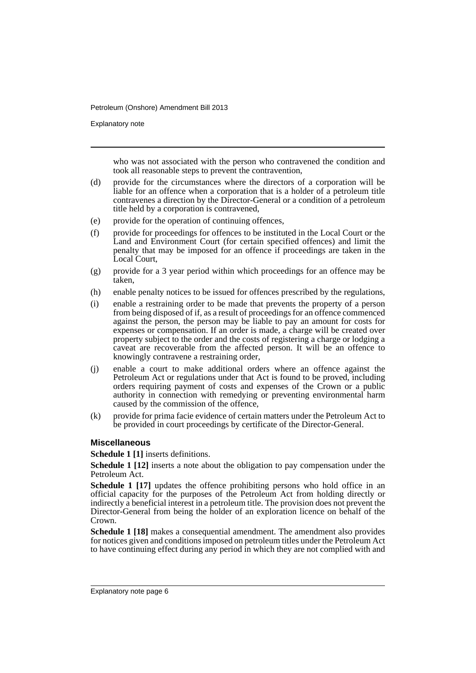Explanatory note

who was not associated with the person who contravened the condition and took all reasonable steps to prevent the contravention,

- (d) provide for the circumstances where the directors of a corporation will be liable for an offence when a corporation that is a holder of a petroleum title contravenes a direction by the Director-General or a condition of a petroleum title held by a corporation is contravened,
- (e) provide for the operation of continuing offences,
- (f) provide for proceedings for offences to be instituted in the Local Court or the Land and Environment Court (for certain specified offences) and limit the penalty that may be imposed for an offence if proceedings are taken in the Local Court,
- (g) provide for a 3 year period within which proceedings for an offence may be taken,
- (h) enable penalty notices to be issued for offences prescribed by the regulations,
- (i) enable a restraining order to be made that prevents the property of a person from being disposed of if, as a result of proceedings for an offence commenced against the person, the person may be liable to pay an amount for costs for expenses or compensation. If an order is made, a charge will be created over property subject to the order and the costs of registering a charge or lodging a caveat are recoverable from the affected person. It will be an offence to knowingly contravene a restraining order,
- (j) enable a court to make additional orders where an offence against the Petroleum Act or regulations under that Act is found to be proved, including orders requiring payment of costs and expenses of the Crown or a public authority in connection with remedying or preventing environmental harm caused by the commission of the offence,
- (k) provide for prima facie evidence of certain matters under the Petroleum Act to be provided in court proceedings by certificate of the Director-General.

### **Miscellaneous**

### **Schedule 1 [1]** inserts definitions.

**Schedule 1 [12]** inserts a note about the obligation to pay compensation under the Petroleum Act.

**Schedule 1 [17]** updates the offence prohibiting persons who hold office in an official capacity for the purposes of the Petroleum Act from holding directly or indirectly a beneficial interest in a petroleum title. The provision does not prevent the Director-General from being the holder of an exploration licence on behalf of the Crown.

**Schedule 1 [18]** makes a consequential amendment. The amendment also provides for notices given and conditions imposed on petroleum titles under the Petroleum Act to have continuing effect during any period in which they are not complied with and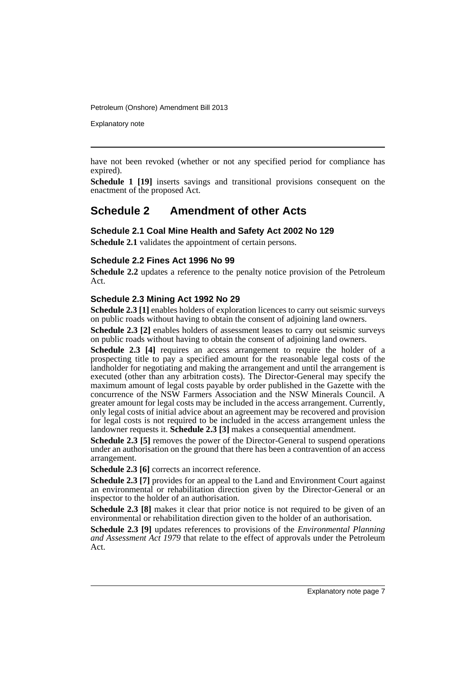Explanatory note

have not been revoked (whether or not any specified period for compliance has expired).

**Schedule 1 [19]** inserts savings and transitional provisions consequent on the enactment of the proposed Act.

### **Schedule 2 Amendment of other Acts**

### **Schedule 2.1 Coal Mine Health and Safety Act 2002 No 129**

**Schedule 2.1** validates the appointment of certain persons.

### **Schedule 2.2 Fines Act 1996 No 99**

**Schedule 2.2** updates a reference to the penalty notice provision of the Petroleum Act.

### **Schedule 2.3 Mining Act 1992 No 29**

Schedule 2.3 [1] enables holders of exploration licences to carry out seismic surveys on public roads without having to obtain the consent of adjoining land owners.

**Schedule 2.3 [2]** enables holders of assessment leases to carry out seismic surveys on public roads without having to obtain the consent of adjoining land owners.

**Schedule 2.3** [4] requires an access arrangement to require the holder of a prospecting title to pay a specified amount for the reasonable legal costs of the landholder for negotiating and making the arrangement and until the arrangement is executed (other than any arbitration costs). The Director-General may specify the maximum amount of legal costs payable by order published in the Gazette with the concurrence of the NSW Farmers Association and the NSW Minerals Council. A greater amount for legal costs may be included in the access arrangement. Currently, only legal costs of initial advice about an agreement may be recovered and provision for legal costs is not required to be included in the access arrangement unless the landowner requests it. **Schedule 2.3 [3]** makes a consequential amendment.

**Schedule 2.3 [5]** removes the power of the Director-General to suspend operations under an authorisation on the ground that there has been a contravention of an access arrangement.

**Schedule 2.3 [6]** corrects an incorrect reference.

**Schedule 2.3 [7]** provides for an appeal to the Land and Environment Court against an environmental or rehabilitation direction given by the Director-General or an inspector to the holder of an authorisation.

**Schedule 2.3 [8]** makes it clear that prior notice is not required to be given of an environmental or rehabilitation direction given to the holder of an authorisation.

**Schedule 2.3 [9]** updates references to provisions of the *Environmental Planning and Assessment Act 1979* that relate to the effect of approvals under the Petroleum Act.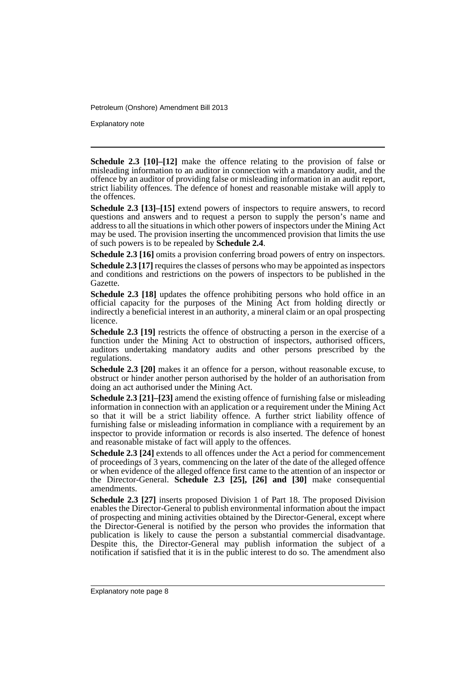Explanatory note

**Schedule 2.3 [10]–[12]** make the offence relating to the provision of false or misleading information to an auditor in connection with a mandatory audit, and the offence by an auditor of providing false or misleading information in an audit report, strict liability offences. The defence of honest and reasonable mistake will apply to the offences.

**Schedule 2.3 [13]–[15]** extend powers of inspectors to require answers, to record questions and answers and to request a person to supply the person's name and address to all the situations in which other powers of inspectors under the Mining Act may be used. The provision inserting the uncommenced provision that limits the use of such powers is to be repealed by **Schedule 2.4**.

**Schedule 2.3 [16]** omits a provision conferring broad powers of entry on inspectors.

**Schedule 2.3 [17]** requires the classes of persons who may be appointed as inspectors and conditions and restrictions on the powers of inspectors to be published in the Gazette.

**Schedule 2.3 [18]** updates the offence prohibiting persons who hold office in an official capacity for the purposes of the Mining Act from holding directly or indirectly a beneficial interest in an authority, a mineral claim or an opal prospecting licence.

**Schedule 2.3 [19]** restricts the offence of obstructing a person in the exercise of a function under the Mining Act to obstruction of inspectors, authorised officers, auditors undertaking mandatory audits and other persons prescribed by the regulations.

**Schedule 2.3 [20]** makes it an offence for a person, without reasonable excuse, to obstruct or hinder another person authorised by the holder of an authorisation from doing an act authorised under the Mining Act.

**Schedule 2.3 [21]–[23]** amend the existing offence of furnishing false or misleading information in connection with an application or a requirement under the Mining Act so that it will be a strict liability offence. A further strict liability offence of furnishing false or misleading information in compliance with a requirement by an inspector to provide information or records is also inserted. The defence of honest and reasonable mistake of fact will apply to the offences.

**Schedule 2.3 [24]** extends to all offences under the Act a period for commencement of proceedings of 3 years, commencing on the later of the date of the alleged offence or when evidence of the alleged offence first came to the attention of an inspector or the Director-General. **Schedule 2.3 [25], [26] and [30]** make consequential amendments.

**Schedule 2.3 [27]** inserts proposed Division 1 of Part 18. The proposed Division enables the Director-General to publish environmental information about the impact of prospecting and mining activities obtained by the Director-General, except where the Director-General is notified by the person who provides the information that publication is likely to cause the person a substantial commercial disadvantage. Despite this, the Director-General may publish information the subject of a notification if satisfied that it is in the public interest to do so. The amendment also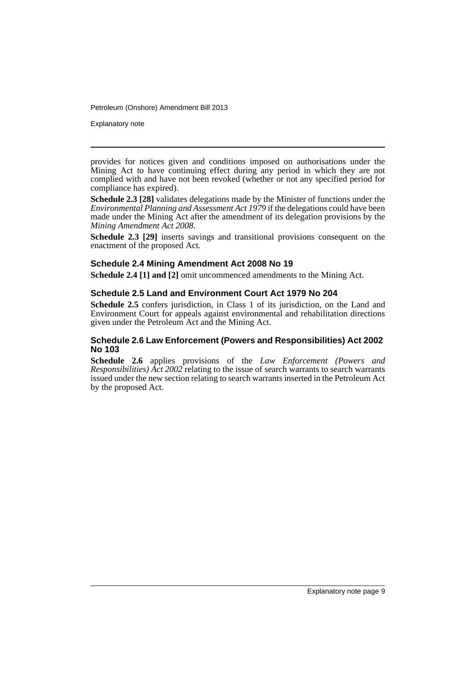Explanatory note

provides for notices given and conditions imposed on authorisations under the Mining Act to have continuing effect during any period in which they are not complied with and have not been revoked (whether or not any specified period for compliance has expired).

**Schedule 2.3 [28]** validates delegations made by the Minister of functions under the *Environmental Planning and Assessment Act 1979* if the delegations could have been made under the Mining Act after the amendment of its delegation provisions by the *Mining Amendment Act 2008*.

**Schedule 2.3 [29]** inserts savings and transitional provisions consequent on the enactment of the proposed Act.

### **Schedule 2.4 Mining Amendment Act 2008 No 19**

**Schedule 2.4 [1] and [2]** omit uncommenced amendments to the Mining Act.

### **Schedule 2.5 Land and Environment Court Act 1979 No 204**

**Schedule 2.5** confers jurisdiction, in Class 1 of its jurisdiction, on the Land and Environment Court for appeals against environmental and rehabilitation directions given under the Petroleum Act and the Mining Act.

### **Schedule 2.6 Law Enforcement (Powers and Responsibilities) Act 2002 No 103**

**Schedule 2.6** applies provisions of the *Law Enforcement (Powers and Responsibilities) Act 2002* relating to the issue of search warrants to search warrants issued under the new section relating to search warrants inserted in the Petroleum Act by the proposed Act.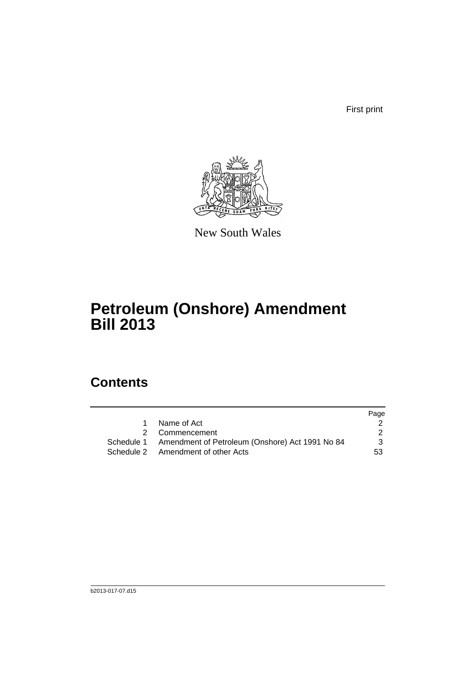First print



New South Wales

## **Petroleum (Onshore) Amendment Bill 2013**

### **Contents**

|           |                                                            | Page |
|-----------|------------------------------------------------------------|------|
| $1 \quad$ | Name of Act                                                |      |
|           | 2 Commencement                                             |      |
|           | Schedule 1 Amendment of Petroleum (Onshore) Act 1991 No 84 | 3    |
|           | Schedule 2 Amendment of other Acts                         | 53   |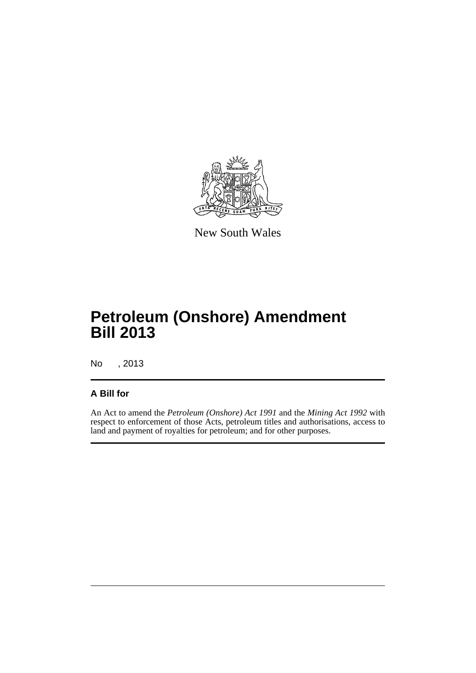

New South Wales

## **Petroleum (Onshore) Amendment Bill 2013**

No , 2013

### **A Bill for**

An Act to amend the *Petroleum (Onshore) Act 1991* and the *Mining Act 1992* with respect to enforcement of those Acts, petroleum titles and authorisations, access to land and payment of royalties for petroleum; and for other purposes.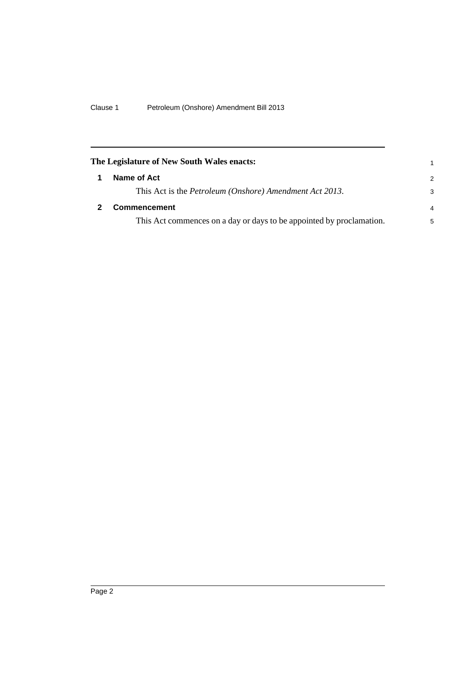<span id="page-13-1"></span><span id="page-13-0"></span>

| The Legislature of New South Wales enacts:                           | 1 |
|----------------------------------------------------------------------|---|
| Name of Act                                                          | 2 |
| This Act is the <i>Petroleum (Onshore)</i> Amendment Act 2013.       | 3 |
| Commencement                                                         | 4 |
| This Act commences on a day or days to be appointed by proclamation. | 5 |
|                                                                      |   |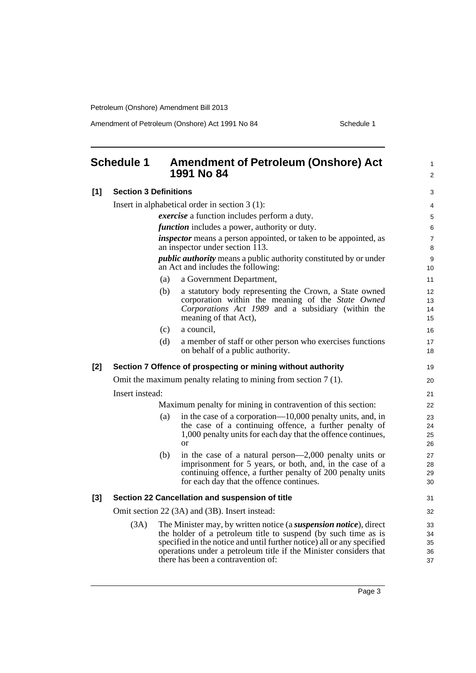Amendment of Petroleum (Onshore) Act 1991 No 84 Schedule 1

<span id="page-14-0"></span>

|       | <b>Schedule 1</b>                                                 |                                                      | <b>Amendment of Petroleum (Onshore) Act</b><br>1991 No 84                                                                                                                                                                                                                                                                |                            |  |  |  |
|-------|-------------------------------------------------------------------|------------------------------------------------------|--------------------------------------------------------------------------------------------------------------------------------------------------------------------------------------------------------------------------------------------------------------------------------------------------------------------------|----------------------------|--|--|--|
| [1]   | <b>Section 3 Definitions</b>                                      |                                                      |                                                                                                                                                                                                                                                                                                                          | 3                          |  |  |  |
|       |                                                                   |                                                      | Insert in alphabetical order in section $3(1)$ :                                                                                                                                                                                                                                                                         | 4                          |  |  |  |
|       |                                                                   |                                                      | <i>exercise</i> a function includes perform a duty.                                                                                                                                                                                                                                                                      | 5                          |  |  |  |
|       |                                                                   | <i>function</i> includes a power, authority or duty. |                                                                                                                                                                                                                                                                                                                          |                            |  |  |  |
|       |                                                                   |                                                      | <i>inspector</i> means a person appointed, or taken to be appointed, as<br>an inspector under section $\overline{1}\overline{1}3$ .                                                                                                                                                                                      | $\overline{7}$<br>8        |  |  |  |
|       |                                                                   |                                                      | <i>public authority</i> means a public authority constituted by or under<br>an Act and includes the following:                                                                                                                                                                                                           | 9<br>10                    |  |  |  |
|       |                                                                   | (a)                                                  | a Government Department,                                                                                                                                                                                                                                                                                                 | 11                         |  |  |  |
|       |                                                                   | (b)                                                  | a statutory body representing the Crown, a State owned<br>corporation within the meaning of the State Owned<br>Corporations Act 1989 and a subsidiary (within the<br>meaning of that Act),                                                                                                                               | 12<br>13<br>14<br>15       |  |  |  |
|       |                                                                   | (c)                                                  | a council.                                                                                                                                                                                                                                                                                                               | 16                         |  |  |  |
|       |                                                                   | (d)                                                  | a member of staff or other person who exercises functions<br>on behalf of a public authority.                                                                                                                                                                                                                            | 17<br>18                   |  |  |  |
| $[2]$ | Section 7 Offence of prospecting or mining without authority      |                                                      |                                                                                                                                                                                                                                                                                                                          |                            |  |  |  |
|       | Omit the maximum penalty relating to mining from section $7(1)$ . |                                                      |                                                                                                                                                                                                                                                                                                                          |                            |  |  |  |
|       | Insert instead:                                                   |                                                      |                                                                                                                                                                                                                                                                                                                          |                            |  |  |  |
|       |                                                                   |                                                      | Maximum penalty for mining in contravention of this section:                                                                                                                                                                                                                                                             | 22                         |  |  |  |
|       |                                                                   | (a)                                                  | in the case of a corporation—10,000 penalty units, and, in<br>the case of a continuing offence, a further penalty of<br>1,000 penalty units for each day that the offence continues,<br><sub>or</sub>                                                                                                                    | 23<br>24<br>25<br>26       |  |  |  |
|       |                                                                   | (b)                                                  | in the case of a natural person—2,000 penalty units or<br>imprisonment for 5 years, or both, and, in the case of a<br>continuing offence, a further penalty of 200 penalty units<br>for each day that the offence continues.                                                                                             | 27<br>28<br>29<br>30       |  |  |  |
| $[3]$ |                                                                   |                                                      | Section 22 Cancellation and suspension of title                                                                                                                                                                                                                                                                          | 31                         |  |  |  |
|       |                                                                   |                                                      | Omit section 22 (3A) and (3B). Insert instead:                                                                                                                                                                                                                                                                           | 32                         |  |  |  |
|       | (3A)                                                              |                                                      | The Minister may, by written notice (a suspension notice), direct<br>the holder of a petroleum title to suspend (by such time as is<br>specified in the notice and until further notice) all or any specified<br>operations under a petroleum title if the Minister considers that<br>there has been a contravention of: | 33<br>34<br>35<br>36<br>37 |  |  |  |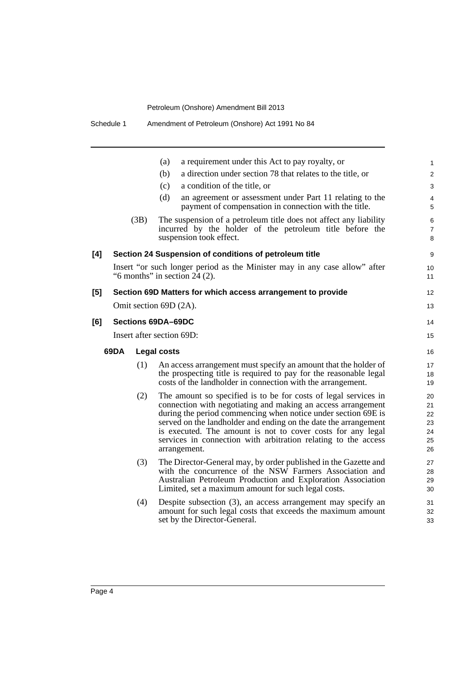|     |      |      | a requirement under this Act to pay royalty, or<br>(a)                                                                                                                                                                                                                                                                                                                                                               | $\mathbf{1}$                           |
|-----|------|------|----------------------------------------------------------------------------------------------------------------------------------------------------------------------------------------------------------------------------------------------------------------------------------------------------------------------------------------------------------------------------------------------------------------------|----------------------------------------|
|     |      |      | a direction under section 78 that relates to the title, or<br>(b)                                                                                                                                                                                                                                                                                                                                                    | $\overline{2}$                         |
|     |      |      | a condition of the title, or<br>(c)                                                                                                                                                                                                                                                                                                                                                                                  | 3                                      |
|     |      |      | (d)<br>an agreement or assessment under Part 11 relating to the<br>payment of compensation in connection with the title.                                                                                                                                                                                                                                                                                             | 4<br>5                                 |
|     |      | (3B) | The suspension of a petroleum title does not affect any liability<br>incurred by the holder of the petroleum title before the<br>suspension took effect.                                                                                                                                                                                                                                                             | 6<br>$\overline{7}$<br>8               |
| [4] |      |      | Section 24 Suspension of conditions of petroleum title                                                                                                                                                                                                                                                                                                                                                               | 9                                      |
|     |      |      | Insert "or such longer period as the Minister may in any case allow" after<br>"6 months" in section $24$ (2).                                                                                                                                                                                                                                                                                                        | 10<br>11                               |
| [5] |      |      | Section 69D Matters for which access arrangement to provide                                                                                                                                                                                                                                                                                                                                                          | 12 <sup>2</sup>                        |
|     |      |      | Omit section 69D (2A).                                                                                                                                                                                                                                                                                                                                                                                               | 13                                     |
| [6] |      |      | <b>Sections 69DA-69DC</b>                                                                                                                                                                                                                                                                                                                                                                                            | 14                                     |
|     |      |      | Insert after section 69D:                                                                                                                                                                                                                                                                                                                                                                                            | 15                                     |
|     | 69DA |      | <b>Legal costs</b>                                                                                                                                                                                                                                                                                                                                                                                                   | 16                                     |
|     |      | (1)  | An access arrangement must specify an amount that the holder of<br>the prospecting title is required to pay for the reasonable legal<br>costs of the landholder in connection with the arrangement.                                                                                                                                                                                                                  | 17<br>18<br>19                         |
|     |      | (2)  | The amount so specified is to be for costs of legal services in<br>connection with negotiating and making an access arrangement<br>during the period commencing when notice under section 69E is<br>served on the landholder and ending on the date the arrangement<br>is executed. The amount is not to cover costs for any legal<br>services in connection with arbitration relating to the access<br>arrangement. | 20<br>21<br>22<br>23<br>24<br>25<br>26 |
|     |      | (3)  | The Director-General may, by order published in the Gazette and<br>with the concurrence of the NSW Farmers Association and<br>Australian Petroleum Production and Exploration Association<br>Limited, set a maximum amount for such legal costs.                                                                                                                                                                     | 27<br>28<br>29<br>30                   |
|     |      | (4)  | Despite subsection (3), an access arrangement may specify an<br>amount for such legal costs that exceeds the maximum amount<br>set by the Director-General.                                                                                                                                                                                                                                                          | 31<br>32<br>33                         |
|     |      |      |                                                                                                                                                                                                                                                                                                                                                                                                                      |                                        |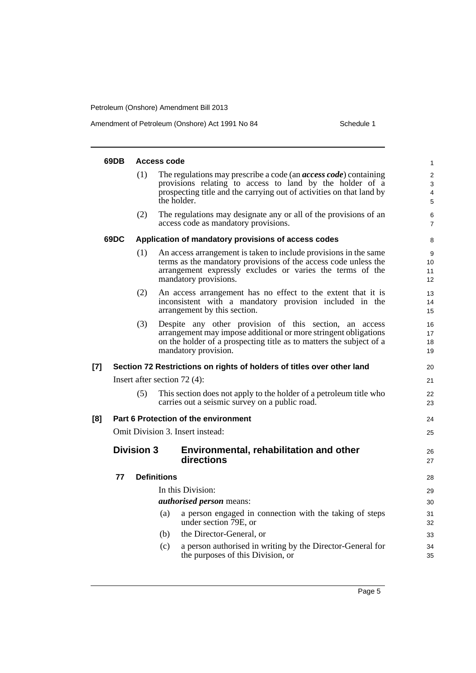Amendment of Petroleum (Onshore) Act 1991 No 84 Schedule 1

|       | 69DB | <b>Access code</b> |                    |                                                                                                                                                                                                                             |                               |  |
|-------|------|--------------------|--------------------|-----------------------------------------------------------------------------------------------------------------------------------------------------------------------------------------------------------------------------|-------------------------------|--|
|       |      | (1)                |                    | The regulations may prescribe a code (an <i>access code</i> ) containing<br>provisions relating to access to land by the holder of a<br>prospecting title and the carrying out of activities on that land by<br>the holder. | $\overline{c}$<br>3<br>4<br>5 |  |
|       |      | (2)                |                    | The regulations may designate any or all of the provisions of an<br>access code as mandatory provisions.                                                                                                                    | 6<br>7                        |  |
|       | 69DC |                    |                    | Application of mandatory provisions of access codes                                                                                                                                                                         | 8                             |  |
|       |      | (1)                |                    | An access arrangement is taken to include provisions in the same<br>terms as the mandatory provisions of the access code unless the<br>arrangement expressly excludes or varies the terms of the<br>mandatory provisions.   | 9<br>10<br>11<br>12           |  |
|       |      | (2)                |                    | An access arrangement has no effect to the extent that it is<br>inconsistent with a mandatory provision included in the<br>arrangement by this section.                                                                     | 13<br>14<br>15                |  |
|       |      | (3)                |                    | Despite any other provision of this section, an access<br>arrangement may impose additional or more stringent obligations<br>on the holder of a prospecting title as to matters the subject of a<br>mandatory provision.    | 16<br>17<br>18<br>19          |  |
| $[7]$ |      |                    |                    | Section 72 Restrictions on rights of holders of titles over other land                                                                                                                                                      | 20                            |  |
|       |      |                    |                    | Insert after section $72(4)$ :                                                                                                                                                                                              | 21                            |  |
|       |      | (5)                |                    | This section does not apply to the holder of a petroleum title who<br>carries out a seismic survey on a public road.                                                                                                        | 22<br>23                      |  |
| [8]   |      |                    |                    | Part 6 Protection of the environment                                                                                                                                                                                        | 24                            |  |
|       |      |                    |                    | Omit Division 3. Insert instead:                                                                                                                                                                                            | 25                            |  |
|       |      | <b>Division 3</b>  |                    | Environmental, rehabilitation and other<br>directions                                                                                                                                                                       | 26<br>27                      |  |
|       | 77   |                    | <b>Definitions</b> |                                                                                                                                                                                                                             | 28                            |  |
|       |      |                    |                    | In this Division:                                                                                                                                                                                                           | 29                            |  |
|       |      |                    |                    | <i>authorised person</i> means:                                                                                                                                                                                             | 30                            |  |
|       |      |                    | (a)                | a person engaged in connection with the taking of steps<br>under section 79E, or                                                                                                                                            | 31<br>32                      |  |
|       |      |                    | (b)                | the Director-General, or                                                                                                                                                                                                    | 33                            |  |
|       |      |                    | (c)                | a person authorised in writing by the Director-General for<br>the purposes of this Division, or                                                                                                                             | 34<br>35                      |  |
|       |      |                    |                    |                                                                                                                                                                                                                             |                               |  |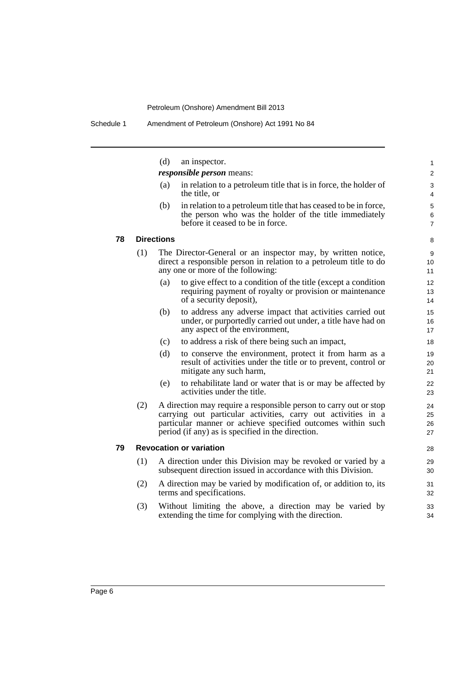|    |     | (d)               | an inspector.                                                                                                                                                                                                                                          | 1                        |
|----|-----|-------------------|--------------------------------------------------------------------------------------------------------------------------------------------------------------------------------------------------------------------------------------------------------|--------------------------|
|    |     |                   | <i>responsible person</i> means:                                                                                                                                                                                                                       | 2                        |
|    |     | (a)               | in relation to a petroleum title that is in force, the holder of<br>the title, or                                                                                                                                                                      | 3<br>4                   |
|    |     | (b)               | in relation to a petroleum title that has ceased to be in force,<br>the person who was the holder of the title immediately<br>before it ceased to be in force.                                                                                         | 5<br>6<br>$\overline{7}$ |
| 78 |     | <b>Directions</b> |                                                                                                                                                                                                                                                        | 8                        |
|    | (1) |                   | The Director-General or an inspector may, by written notice,<br>direct a responsible person in relation to a petroleum title to do<br>any one or more of the following:                                                                                | 9<br>10<br>11            |
|    |     | (a)               | to give effect to a condition of the title (except a condition<br>requiring payment of royalty or provision or maintenance<br>of a security deposit),                                                                                                  | 12<br>13<br>14           |
|    |     | (b)               | to address any adverse impact that activities carried out<br>under, or purportedly carried out under, a title have had on<br>any aspect of the environment,                                                                                            | 15<br>16<br>17           |
|    |     | (c)               | to address a risk of there being such an impact,                                                                                                                                                                                                       | 18                       |
|    |     | (d)               | to conserve the environment, protect it from harm as a<br>result of activities under the title or to prevent, control or<br>mitigate any such harm,                                                                                                    | 19<br>20<br>21           |
|    |     | (e)               | to rehabilitate land or water that is or may be affected by<br>activities under the title.                                                                                                                                                             | 22<br>23                 |
|    | (2) |                   | A direction may require a responsible person to carry out or stop<br>carrying out particular activities, carry out activities in a<br>particular manner or achieve specified outcomes within such<br>period (if any) as is specified in the direction. | 24<br>25<br>26<br>27     |
| 79 |     |                   | <b>Revocation or variation</b>                                                                                                                                                                                                                         | 28                       |
|    | (1) |                   | A direction under this Division may be revoked or varied by a<br>subsequent direction issued in accordance with this Division.                                                                                                                         | 29<br>30                 |
|    | (2) |                   | A direction may be varied by modification of, or addition to, its<br>terms and specifications.                                                                                                                                                         | 31<br>32                 |
|    | (3) |                   | Without limiting the above, a direction may be varied by<br>extending the time for complying with the direction.                                                                                                                                       | 33<br>34                 |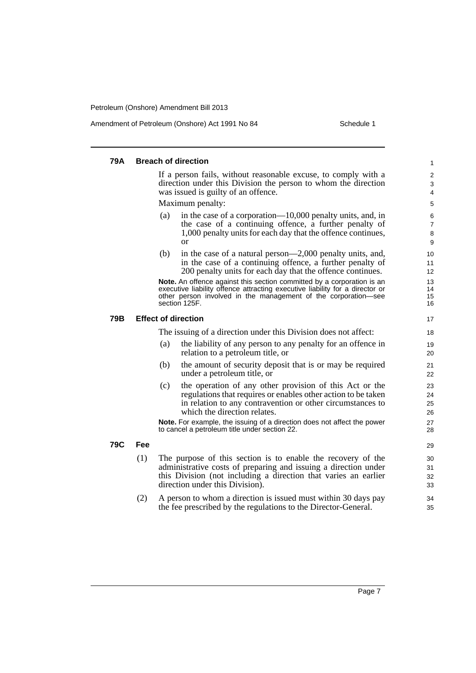Amendment of Petroleum (Onshore) Act 1991 No 84 Schedule 1

#### **79A Breach of direction** If a person fails, without reasonable excuse, to comply with a direction under this Division the person to whom the direction was issued is guilty of an offence. Maximum penalty: (a) in the case of a corporation—10,000 penalty units, and, in the case of a continuing offence, a further penalty of 1,000 penalty units for each day that the offence continues, or (b) in the case of a natural person—2,000 penalty units, and, in the case of a continuing offence, a further penalty of 200 penalty units for each day that the offence continues. **Note.** An offence against this section committed by a corporation is an executive liability offence attracting executive liability for a director or other person involved in the management of the corporation—see section 125F. **79B Effect of direction** The issuing of a direction under this Division does not affect: (a) the liability of any person to any penalty for an offence in relation to a petroleum title, or (b) the amount of security deposit that is or may be required under a petroleum title, or (c) the operation of any other provision of this Act or the regulations that requires or enables other action to be taken in relation to any contravention or other circumstances to which the direction relates. **Note.** For example, the issuing of a direction does not affect the power to cancel a petroleum title under section 22. **79C Fee** (1) The purpose of this section is to enable the recovery of the administrative costs of preparing and issuing a direction under this Division (not including a direction that varies an earlier direction under this Division). (2) A person to whom a direction is issued must within 30 days pay the fee prescribed by the regulations to the Director-General. 1 2 3 4 5 6 7 8 9 10 11 12 13 14 15 16 17 18 19  $20$ 21 22 23 24 25 26 27 28 29 30 31 32 33 34 35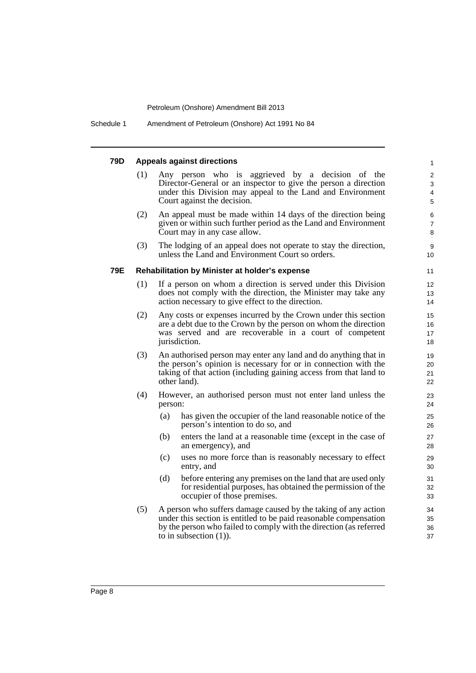Schedule 1 Amendment of Petroleum (Onshore) Act 1991 No 84

#### **79D Appeals against directions** (1) Any person who is aggrieved by a decision of the Director-General or an inspector to give the person a direction under this Division may appeal to the Land and Environment Court against the decision. (2) An appeal must be made within 14 days of the direction being given or within such further period as the Land and Environment Court may in any case allow. (3) The lodging of an appeal does not operate to stay the direction, unless the Land and Environment Court so orders. **79E Rehabilitation by Minister at holder's expense** (1) If a person on whom a direction is served under this Division does not comply with the direction, the Minister may take any action necessary to give effect to the direction. (2) Any costs or expenses incurred by the Crown under this section are a debt due to the Crown by the person on whom the direction was served and are recoverable in a court of competent jurisdiction. (3) An authorised person may enter any land and do anything that in the person's opinion is necessary for or in connection with the taking of that action (including gaining access from that land to other land). (4) However, an authorised person must not enter land unless the person: (a) has given the occupier of the land reasonable notice of the person's intention to do so, and (b) enters the land at a reasonable time (except in the case of an emergency), and (c) uses no more force than is reasonably necessary to effect entry, and (d) before entering any premises on the land that are used only for residential purposes, has obtained the permission of the occupier of those premises. (5) A person who suffers damage caused by the taking of any action under this section is entitled to be paid reasonable compensation by the person who failed to comply with the direction (as referred to in subsection (1)). 1 2 3 4 5 6 7 8 9 10 11 12 13 14 15 16 17 18 19 20 21  $22$ 23 24 25 26 27 28 29 30 31 32 33 34 35 36 37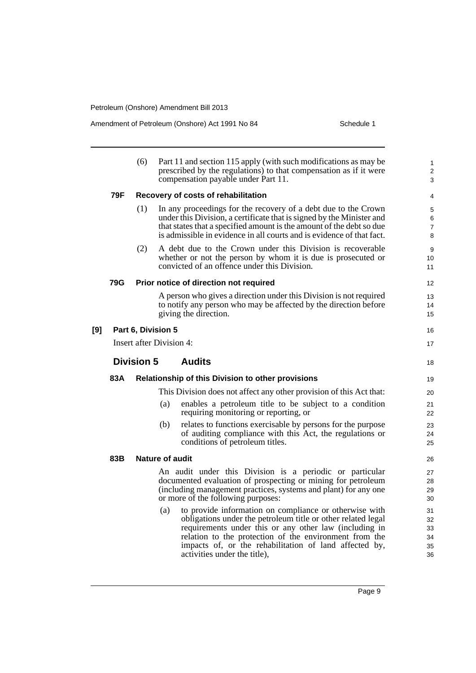Amendment of Petroleum (Onshore) Act 1991 No 84 Schedule 1

|                          | (6)                                                      | compensation payable under Part 11.                                       | 1<br>2<br>3                                                                                                                                                                                                                                                                                                                                                                                                                                                                                                                                                                                                                                                                                                                                                                                                                                                                                                                                                                                                                                                                                                                                                                                                                                                                                                                                                                                                                                                                                                                                                                                                                 |  |  |
|--------------------------|----------------------------------------------------------|---------------------------------------------------------------------------|-----------------------------------------------------------------------------------------------------------------------------------------------------------------------------------------------------------------------------------------------------------------------------------------------------------------------------------------------------------------------------------------------------------------------------------------------------------------------------------------------------------------------------------------------------------------------------------------------------------------------------------------------------------------------------------------------------------------------------------------------------------------------------------------------------------------------------------------------------------------------------------------------------------------------------------------------------------------------------------------------------------------------------------------------------------------------------------------------------------------------------------------------------------------------------------------------------------------------------------------------------------------------------------------------------------------------------------------------------------------------------------------------------------------------------------------------------------------------------------------------------------------------------------------------------------------------------------------------------------------------------|--|--|
| 79F                      |                                                          |                                                                           | 4                                                                                                                                                                                                                                                                                                                                                                                                                                                                                                                                                                                                                                                                                                                                                                                                                                                                                                                                                                                                                                                                                                                                                                                                                                                                                                                                                                                                                                                                                                                                                                                                                           |  |  |
|                          | (1)                                                      |                                                                           | 5<br>6<br>$\overline{7}$<br>8                                                                                                                                                                                                                                                                                                                                                                                                                                                                                                                                                                                                                                                                                                                                                                                                                                                                                                                                                                                                                                                                                                                                                                                                                                                                                                                                                                                                                                                                                                                                                                                               |  |  |
|                          | (2)                                                      | convicted of an offence under this Division.                              | 9<br>10<br>11                                                                                                                                                                                                                                                                                                                                                                                                                                                                                                                                                                                                                                                                                                                                                                                                                                                                                                                                                                                                                                                                                                                                                                                                                                                                                                                                                                                                                                                                                                                                                                                                               |  |  |
| 79G                      |                                                          |                                                                           | 12                                                                                                                                                                                                                                                                                                                                                                                                                                                                                                                                                                                                                                                                                                                                                                                                                                                                                                                                                                                                                                                                                                                                                                                                                                                                                                                                                                                                                                                                                                                                                                                                                          |  |  |
|                          |                                                          | giving the direction.                                                     | 13<br>14<br>15                                                                                                                                                                                                                                                                                                                                                                                                                                                                                                                                                                                                                                                                                                                                                                                                                                                                                                                                                                                                                                                                                                                                                                                                                                                                                                                                                                                                                                                                                                                                                                                                              |  |  |
|                          |                                                          |                                                                           | 16                                                                                                                                                                                                                                                                                                                                                                                                                                                                                                                                                                                                                                                                                                                                                                                                                                                                                                                                                                                                                                                                                                                                                                                                                                                                                                                                                                                                                                                                                                                                                                                                                          |  |  |
| Insert after Division 4: |                                                          |                                                                           |                                                                                                                                                                                                                                                                                                                                                                                                                                                                                                                                                                                                                                                                                                                                                                                                                                                                                                                                                                                                                                                                                                                                                                                                                                                                                                                                                                                                                                                                                                                                                                                                                             |  |  |
|                          |                                                          | <b>Audits</b>                                                             | 18                                                                                                                                                                                                                                                                                                                                                                                                                                                                                                                                                                                                                                                                                                                                                                                                                                                                                                                                                                                                                                                                                                                                                                                                                                                                                                                                                                                                                                                                                                                                                                                                                          |  |  |
| 83A                      | <b>Relationship of this Division to other provisions</b> |                                                                           |                                                                                                                                                                                                                                                                                                                                                                                                                                                                                                                                                                                                                                                                                                                                                                                                                                                                                                                                                                                                                                                                                                                                                                                                                                                                                                                                                                                                                                                                                                                                                                                                                             |  |  |
|                          |                                                          |                                                                           | 20                                                                                                                                                                                                                                                                                                                                                                                                                                                                                                                                                                                                                                                                                                                                                                                                                                                                                                                                                                                                                                                                                                                                                                                                                                                                                                                                                                                                                                                                                                                                                                                                                          |  |  |
|                          |                                                          | (a)<br>requiring monitoring or reporting, or                              | 21<br>22                                                                                                                                                                                                                                                                                                                                                                                                                                                                                                                                                                                                                                                                                                                                                                                                                                                                                                                                                                                                                                                                                                                                                                                                                                                                                                                                                                                                                                                                                                                                                                                                                    |  |  |
|                          |                                                          | (b)<br>conditions of petroleum titles.                                    | 23<br>24<br>25                                                                                                                                                                                                                                                                                                                                                                                                                                                                                                                                                                                                                                                                                                                                                                                                                                                                                                                                                                                                                                                                                                                                                                                                                                                                                                                                                                                                                                                                                                                                                                                                              |  |  |
| 83B                      |                                                          |                                                                           | 26                                                                                                                                                                                                                                                                                                                                                                                                                                                                                                                                                                                                                                                                                                                                                                                                                                                                                                                                                                                                                                                                                                                                                                                                                                                                                                                                                                                                                                                                                                                                                                                                                          |  |  |
|                          |                                                          | or more of the following purposes:<br>(a)<br>activities under the title), | 27<br>28<br>29<br>30<br>31<br>32<br>33<br>34<br>35<br>36                                                                                                                                                                                                                                                                                                                                                                                                                                                                                                                                                                                                                                                                                                                                                                                                                                                                                                                                                                                                                                                                                                                                                                                                                                                                                                                                                                                                                                                                                                                                                                    |  |  |
|                          |                                                          |                                                                           | Part 11 and section 115 apply (with such modifications as may be<br>prescribed by the regulations) to that compensation as if it were<br>Recovery of costs of rehabilitation<br>In any proceedings for the recovery of a debt due to the Crown<br>under this Division, a certificate that is signed by the Minister and<br>that states that a specified amount is the amount of the debt so due<br>is admissible in evidence in all courts and is evidence of that fact.<br>A debt due to the Crown under this Division is recoverable<br>whether or not the person by whom it is due is prosecuted or<br>Prior notice of direction not required<br>A person who gives a direction under this Division is not required<br>to notify any person who may be affected by the direction before<br>Part 6, Division 5<br><b>Division 5</b><br>This Division does not affect any other provision of this Act that:<br>enables a petroleum title to be subject to a condition<br>relates to functions exercisable by persons for the purpose<br>of auditing compliance with this Act, the regulations or<br>Nature of audit<br>An audit under this Division is a periodic or particular<br>documented evaluation of prospecting or mining for petroleum<br>(including management practices, systems and plant) for any one<br>to provide information on compliance or otherwise with<br>obligations under the petroleum title or other related legal<br>requirements under this or any other law (including in<br>relation to the protection of the environment from the<br>impacts of, or the rehabilitation of land affected by, |  |  |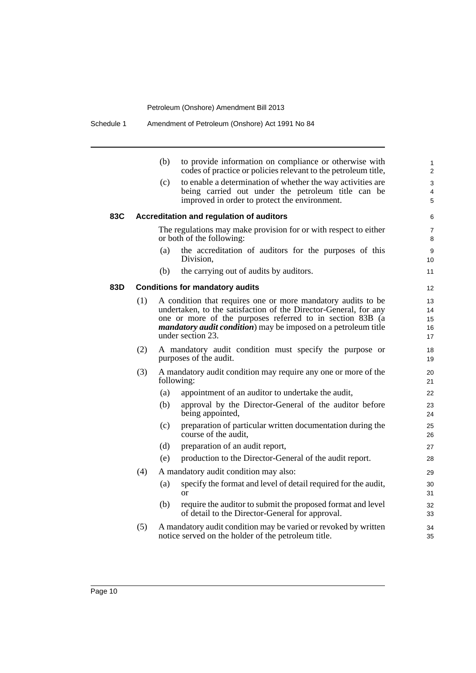|     |     | (b)        | to provide information on compliance or otherwise with<br>codes of practice or policies relevant to the petroleum title,                                                                                                                                                                     | 1<br>$\overline{2}$        |
|-----|-----|------------|----------------------------------------------------------------------------------------------------------------------------------------------------------------------------------------------------------------------------------------------------------------------------------------------|----------------------------|
|     |     | (c)        | to enable a determination of whether the way activities are<br>being carried out under the petroleum title can be<br>improved in order to protect the environment.                                                                                                                           | 3<br>4<br>5                |
| 83C |     |            | Accreditation and regulation of auditors                                                                                                                                                                                                                                                     | 6                          |
|     |     |            | The regulations may make provision for or with respect to either<br>or both of the following:                                                                                                                                                                                                | $\overline{7}$<br>8        |
|     |     | (a)        | the accreditation of auditors for the purposes of this<br>Division.                                                                                                                                                                                                                          | 9<br>10                    |
|     |     | (b)        | the carrying out of audits by auditors.                                                                                                                                                                                                                                                      | 11                         |
| 83D |     |            | <b>Conditions for mandatory audits</b>                                                                                                                                                                                                                                                       | 12                         |
|     | (1) |            | A condition that requires one or more mandatory audits to be<br>undertaken, to the satisfaction of the Director-General, for any<br>one or more of the purposes referred to in section 83B (a<br><i>mandatory audit condition</i> ) may be imposed on a petroleum title<br>under section 23. | 13<br>14<br>15<br>16<br>17 |
|     | (2) |            | A mandatory audit condition must specify the purpose or<br>purposes of the audit.                                                                                                                                                                                                            | 18<br>19                   |
|     | (3) | following: | A mandatory audit condition may require any one or more of the                                                                                                                                                                                                                               | 20<br>21                   |
|     |     | (a)        | appointment of an auditor to undertake the audit,                                                                                                                                                                                                                                            | 22                         |
|     |     | (b)        | approval by the Director-General of the auditor before<br>being appointed,                                                                                                                                                                                                                   | 23<br>24                   |
|     |     | (c)        | preparation of particular written documentation during the<br>course of the audit,                                                                                                                                                                                                           | 25<br>26                   |
|     |     | (d)        | preparation of an audit report,                                                                                                                                                                                                                                                              | 27                         |
|     |     | (e)        | production to the Director-General of the audit report.                                                                                                                                                                                                                                      | 28                         |
|     | (4) |            | A mandatory audit condition may also:                                                                                                                                                                                                                                                        | 29                         |
|     |     | (a)        | specify the format and level of detail required for the audit,<br>or                                                                                                                                                                                                                         | 30<br>31                   |
|     |     | (b)        | require the auditor to submit the proposed format and level<br>of detail to the Director-General for approval.                                                                                                                                                                               | 32<br>33                   |
|     | (5) |            | A mandatory audit condition may be varied or revoked by written<br>notice served on the holder of the petroleum title.                                                                                                                                                                       | 34<br>35                   |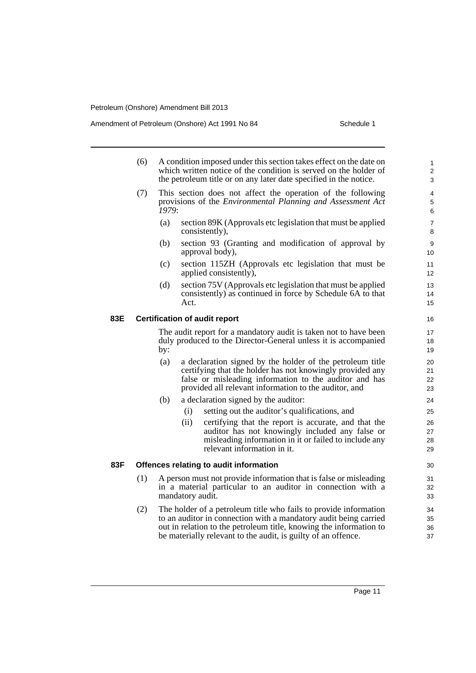Amendment of Petroleum (Onshore) Act 1991 No 84 Schedule 1

- (6) A condition imposed under this section takes effect on the date on which written notice of the condition is served on the holder of the petroleum title or on any later date specified in the notice.
- (7) This section does not affect the operation of the following provisions of the *Environmental Planning and Assessment Act 1979*:
	- (a) section 89K (Approvals etc legislation that must be applied consistently),
	- (b) section 93 (Granting and modification of approval by approval body),
	- (c) section 115ZH (Approvals etc legislation that must be applied consistently),
	- (d) section 75V (Approvals etc legislation that must be applied consistently) as continued in force by Schedule 6A to that Act.

### **83E Certification of audit report**

The audit report for a mandatory audit is taken not to have been duly produced to the Director-General unless it is accompanied by:

- (a) a declaration signed by the holder of the petroleum title certifying that the holder has not knowingly provided any false or misleading information to the auditor and has provided all relevant information to the auditor, and
- (b) a declaration signed by the auditor:
	- (i) setting out the auditor's qualifications, and
	- (ii) certifying that the report is accurate, and that the auditor has not knowingly included any false or misleading information in it or failed to include any relevant information in it.

### **83F Offences relating to audit information**

- (1) A person must not provide information that is false or misleading in a material particular to an auditor in connection with a mandatory audit.
- (2) The holder of a petroleum title who fails to provide information to an auditor in connection with a mandatory audit being carried out in relation to the petroleum title, knowing the information to be materially relevant to the audit, is guilty of an offence.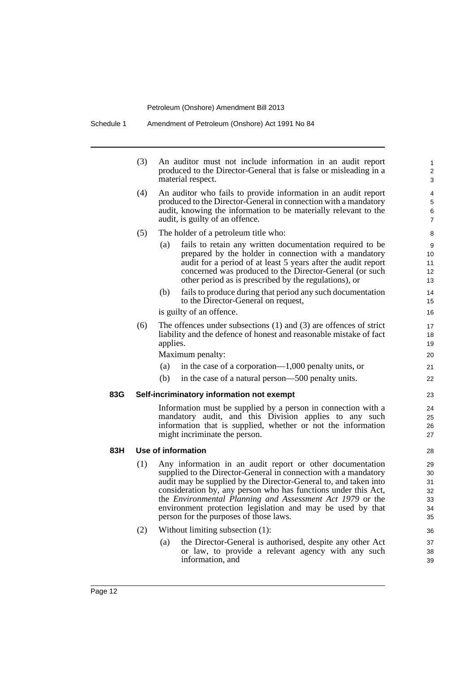|     | (3)        | An auditor must not include information in an audit report<br>produced to the Director-General that is false or misleading in a<br>material respect.                                                                                                                                                                                                                                                                                                                                                                                                                                                  | 1<br>2<br>3                                              |
|-----|------------|-------------------------------------------------------------------------------------------------------------------------------------------------------------------------------------------------------------------------------------------------------------------------------------------------------------------------------------------------------------------------------------------------------------------------------------------------------------------------------------------------------------------------------------------------------------------------------------------------------|----------------------------------------------------------|
|     | (4)        | An auditor who fails to provide information in an audit report<br>produced to the Director-General in connection with a mandatory<br>audit, knowing the information to be materially relevant to the<br>audit, is guilty of an offence.                                                                                                                                                                                                                                                                                                                                                               | 4<br>5<br>6<br>$\overline{7}$                            |
|     | (5)        | The holder of a petroleum title who:                                                                                                                                                                                                                                                                                                                                                                                                                                                                                                                                                                  | 8                                                        |
|     |            | (a)<br>fails to retain any written documentation required to be<br>prepared by the holder in connection with a mandatory<br>audit for a period of at least 5 years after the audit report<br>concerned was produced to the Director-General (or such<br>other period as is prescribed by the regulations), or                                                                                                                                                                                                                                                                                         | 9<br>10<br>11<br>12<br>13                                |
|     |            | (b)<br>fails to produce during that period any such documentation<br>to the Director-General on request,                                                                                                                                                                                                                                                                                                                                                                                                                                                                                              | 14<br>15                                                 |
|     |            | is guilty of an offence.                                                                                                                                                                                                                                                                                                                                                                                                                                                                                                                                                                              | 16                                                       |
|     | (6)        | The offences under subsections $(1)$ and $(3)$ are offences of strict<br>liability and the defence of honest and reasonable mistake of fact<br>applies.                                                                                                                                                                                                                                                                                                                                                                                                                                               | 17<br>18<br>19                                           |
|     |            | Maximum penalty:                                                                                                                                                                                                                                                                                                                                                                                                                                                                                                                                                                                      | 20                                                       |
|     |            | (a)<br>in the case of a corporation— $1,000$ penalty units, or                                                                                                                                                                                                                                                                                                                                                                                                                                                                                                                                        | 21                                                       |
|     |            | (b)<br>in the case of a natural person—500 penalty units.                                                                                                                                                                                                                                                                                                                                                                                                                                                                                                                                             | 22                                                       |
| 83G |            | Self-incriminatory information not exempt                                                                                                                                                                                                                                                                                                                                                                                                                                                                                                                                                             | 23                                                       |
|     |            | Information must be supplied by a person in connection with a<br>mandatory audit, and this Division applies to any such<br>information that is supplied, whether or not the information<br>might incriminate the person.                                                                                                                                                                                                                                                                                                                                                                              | 24<br>25<br>26<br>27                                     |
| 83H |            | Use of information                                                                                                                                                                                                                                                                                                                                                                                                                                                                                                                                                                                    | 28                                                       |
|     | (1)<br>(2) | Any information in an audit report or other documentation<br>supplied to the Director-General in connection with a mandatory<br>audit may be supplied by the Director-General to, and taken into<br>consideration by, any person who has functions under this Act,<br>the Environmental Planning and Assessment Act 1979 or the<br>environment protection legislation and may be used by that<br>person for the purposes of those laws.<br>Without limiting subsection (1):<br>the Director-General is authorised, despite any other Act<br>(a)<br>or law, to provide a relevant agency with any such | 29<br>30<br>31<br>32<br>33<br>34<br>35<br>36<br>37<br>38 |
|     |            | information, and                                                                                                                                                                                                                                                                                                                                                                                                                                                                                                                                                                                      | 39                                                       |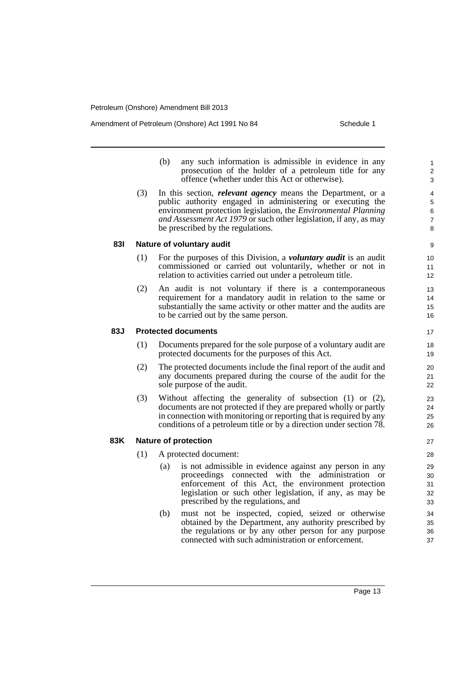Amendment of Petroleum (Onshore) Act 1991 No 84 Schedule 1

- (b) any such information is admissible in evidence in any prosecution of the holder of a petroleum title for any offence (whether under this Act or otherwise).
- (3) In this section, *relevant agency* means the Department, or a public authority engaged in administering or executing the environment protection legislation, the *Environmental Planning and Assessment Act 1979* or such other legislation, if any, as may be prescribed by the regulations.

### **83I Nature of voluntary audit**

- (1) For the purposes of this Division, a *voluntary audit* is an audit commissioned or carried out voluntarily, whether or not in relation to activities carried out under a petroleum title.
- (2) An audit is not voluntary if there is a contemporaneous requirement for a mandatory audit in relation to the same or substantially the same activity or other matter and the audits are to be carried out by the same person.

### **83J Protected documents**

- (1) Documents prepared for the sole purpose of a voluntary audit are protected documents for the purposes of this Act.
- (2) The protected documents include the final report of the audit and any documents prepared during the course of the audit for the sole purpose of the audit.
- (3) Without affecting the generality of subsection (1) or (2), documents are not protected if they are prepared wholly or partly in connection with monitoring or reporting that is required by any conditions of a petroleum title or by a direction under section 78.

### **83K Nature of protection**

- (1) A protected document:
	- (a) is not admissible in evidence against any person in any proceedings connected with the administration or enforcement of this Act, the environment protection legislation or such other legislation, if any, as may be prescribed by the regulations, and
	- (b) must not be inspected, copied, seized or otherwise obtained by the Department, any authority prescribed by the regulations or by any other person for any purpose connected with such administration or enforcement.

Page 13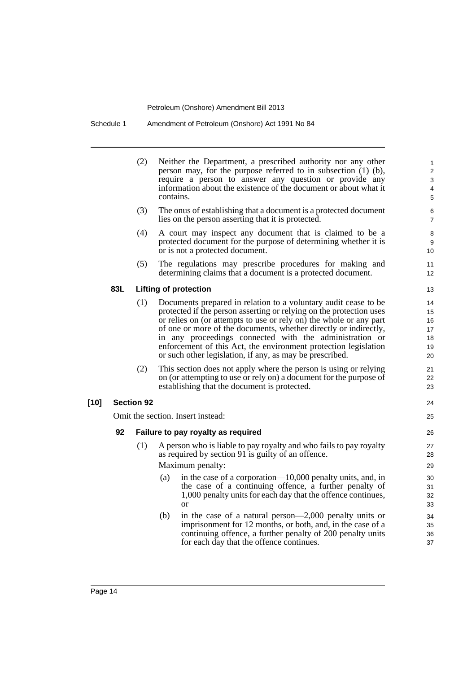Schedule 1 Amendment of Petroleum (Onshore) Act 1991 No 84

|                   | (2) | Neither the Department, a prescribed authority nor any other<br>person may, for the purpose referred to in subsection $(1)$ $(b)$ ,<br>require a person to answer any question or provide any<br>information about the existence of the document or about what it<br>contains.                                                                                                                                                                                             | 1<br>2<br>3<br>4<br>5                  |
|-------------------|-----|----------------------------------------------------------------------------------------------------------------------------------------------------------------------------------------------------------------------------------------------------------------------------------------------------------------------------------------------------------------------------------------------------------------------------------------------------------------------------|----------------------------------------|
|                   | (3) | The onus of establishing that a document is a protected document<br>lies on the person asserting that it is protected.                                                                                                                                                                                                                                                                                                                                                     | 6<br>$\overline{7}$                    |
|                   | (4) | A court may inspect any document that is claimed to be a<br>protected document for the purpose of determining whether it is<br>or is not a protected document.                                                                                                                                                                                                                                                                                                             | 8<br>9<br>10                           |
|                   | (5) | The regulations may prescribe procedures for making and<br>determining claims that a document is a protected document.                                                                                                                                                                                                                                                                                                                                                     | 11<br>12                               |
| 83L               |     | <b>Lifting of protection</b>                                                                                                                                                                                                                                                                                                                                                                                                                                               | 13                                     |
|                   | (1) | Documents prepared in relation to a voluntary audit cease to be<br>protected if the person asserting or relying on the protection uses<br>or relies on (or attempts to use or rely on) the whole or any part<br>of one or more of the documents, whether directly or indirectly,<br>in any proceedings connected with the administration or<br>enforcement of this Act, the environment protection legislation<br>or such other legislation, if any, as may be prescribed. | 14<br>15<br>16<br>17<br>18<br>19<br>20 |
|                   | (2) | This section does not apply where the person is using or relying<br>on (or attempting to use or rely on) a document for the purpose of<br>establishing that the document is protected.                                                                                                                                                                                                                                                                                     | 21<br>22<br>23                         |
| <b>Section 92</b> |     |                                                                                                                                                                                                                                                                                                                                                                                                                                                                            | 24                                     |
|                   |     | Omit the section. Insert instead:                                                                                                                                                                                                                                                                                                                                                                                                                                          | 25                                     |
| 92                |     | Failure to pay royalty as required                                                                                                                                                                                                                                                                                                                                                                                                                                         | 26                                     |
|                   | (1) | A person who is liable to pay royalty and who fails to pay royalty<br>as required by section 91 is guilty of an offence.<br>Maximum penalty:<br>in the case of a corporation—10,000 penalty units, and, in<br>(a)<br>the case of a continuing offence, a further penalty of<br>1,000 penalty units for each day that the offence continues,<br><sub>or</sub>                                                                                                               | 27<br>28<br>29<br>30<br>31<br>32<br>33 |
|                   |     | in the case of a natural person— $2,000$ penalty units or<br>(b)<br>imprisonment for 12 months, or both, and, in the case of a<br>continuing offence, a further penalty of 200 penalty units<br>for each day that the offence continues.                                                                                                                                                                                                                                   | 34<br>35<br>36<br>37                   |

**[10]**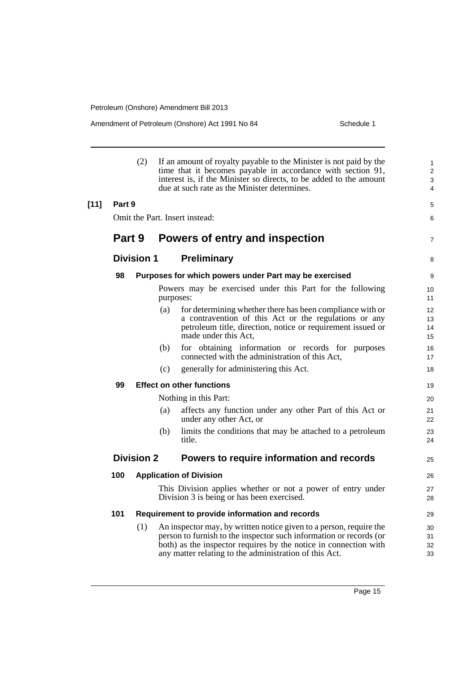Amendment of Petroleum (Onshore) Act 1991 No 84 Schedule 1

|        |                                                                | (2)               |           | If an amount of royalty payable to the Minister is not paid by the<br>time that it becomes payable in accordance with section 91,<br>interest is, if the Minister so directs, to be added to the amount<br>due at such rate as the Minister determines.                | 1<br>$\overline{2}$<br>3<br>4     |
|--------|----------------------------------------------------------------|-------------------|-----------|------------------------------------------------------------------------------------------------------------------------------------------------------------------------------------------------------------------------------------------------------------------------|-----------------------------------|
| $[11]$ | Part 9                                                         |                   |           |                                                                                                                                                                                                                                                                        | 5                                 |
|        |                                                                |                   |           | Omit the Part. Insert instead:                                                                                                                                                                                                                                         | 6                                 |
|        | Part 9                                                         |                   |           | Powers of entry and inspection                                                                                                                                                                                                                                         | $\overline{7}$                    |
|        |                                                                | <b>Division 1</b> |           | <b>Preliminary</b>                                                                                                                                                                                                                                                     | 8                                 |
|        | 98                                                             |                   |           | Purposes for which powers under Part may be exercised                                                                                                                                                                                                                  | 9                                 |
|        |                                                                |                   | purposes: | Powers may be exercised under this Part for the following                                                                                                                                                                                                              | 10 <sup>°</sup><br>11             |
|        |                                                                |                   | (a)       | for determining whether there has been compliance with or<br>a contravention of this Act or the regulations or any<br>petroleum title, direction, notice or requirement issued or<br>made under this Act,                                                              | 12 <sup>2</sup><br>13<br>14<br>15 |
|        |                                                                |                   | (b)       | for obtaining information or records for purposes<br>connected with the administration of this Act,                                                                                                                                                                    | 16<br>17                          |
|        |                                                                |                   | (c)       | generally for administering this Act.                                                                                                                                                                                                                                  | 18                                |
|        | 99                                                             |                   |           | <b>Effect on other functions</b>                                                                                                                                                                                                                                       | 19                                |
|        |                                                                |                   |           | Nothing in this Part:                                                                                                                                                                                                                                                  | 20                                |
|        |                                                                |                   | (a)       | affects any function under any other Part of this Act or<br>under any other Act, or                                                                                                                                                                                    | 21<br>22                          |
|        |                                                                |                   | (b)       | limits the conditions that may be attached to a petroleum<br>title.                                                                                                                                                                                                    | 23<br>24                          |
|        | Powers to require information and records<br><b>Division 2</b> |                   |           |                                                                                                                                                                                                                                                                        | 25                                |
|        | 100                                                            |                   |           | <b>Application of Division</b>                                                                                                                                                                                                                                         | 26                                |
|        |                                                                |                   |           | This Division applies whether or not a power of entry under<br>Division 3 is being or has been exercised.                                                                                                                                                              | 27<br>28                          |
|        | 101                                                            |                   |           | Requirement to provide information and records                                                                                                                                                                                                                         | 29                                |
|        |                                                                | (1)               |           | An inspector may, by written notice given to a person, require the<br>person to furnish to the inspector such information or records (or<br>both) as the inspector requires by the notice in connection with<br>any matter relating to the administration of this Act. | 30<br>31<br>32<br>33              |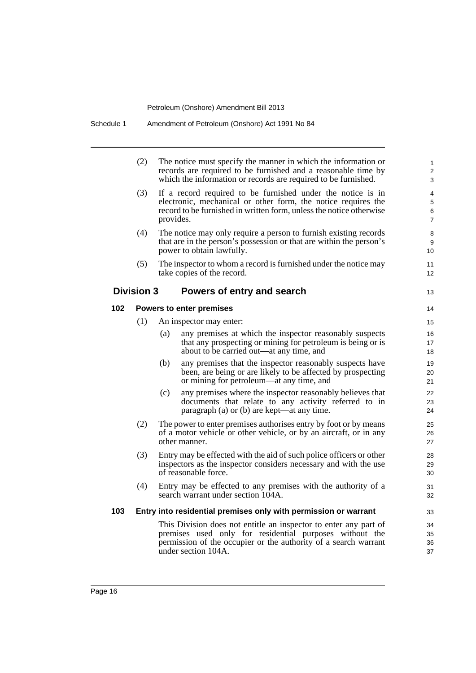|     | (2)                                                                                                                                                                         |                                 | The notice must specify the manner in which the information or<br>records are required to be furnished and a reasonable time by<br>which the information or records are required to be furnished.                     | 1<br>$\overline{c}$<br>3 |  |  |
|-----|-----------------------------------------------------------------------------------------------------------------------------------------------------------------------------|---------------------------------|-----------------------------------------------------------------------------------------------------------------------------------------------------------------------------------------------------------------------|--------------------------|--|--|
|     | (3)                                                                                                                                                                         | provides.                       | If a record required to be furnished under the notice is in<br>electronic, mechanical or other form, the notice requires the<br>record to be furnished in written form, unless the notice otherwise                   | 4<br>5<br>6<br>7         |  |  |
|     | (4)<br>The notice may only require a person to furnish existing records<br>that are in the person's possession or that are within the person's<br>power to obtain lawfully. |                                 |                                                                                                                                                                                                                       |                          |  |  |
|     | (5)                                                                                                                                                                         |                                 | The inspector to whom a record is furnished under the notice may<br>take copies of the record.                                                                                                                        | 11<br>12                 |  |  |
|     | <b>Division 3</b>                                                                                                                                                           |                                 | Powers of entry and search                                                                                                                                                                                            | 13                       |  |  |
| 102 |                                                                                                                                                                             | <b>Powers to enter premises</b> |                                                                                                                                                                                                                       | 14                       |  |  |
|     | (1)                                                                                                                                                                         |                                 | An inspector may enter:                                                                                                                                                                                               | 15                       |  |  |
|     |                                                                                                                                                                             | (a)                             | any premises at which the inspector reasonably suspects<br>that any prospecting or mining for petroleum is being or is<br>about to be carried out—at any time, and                                                    | 16<br>17<br>18           |  |  |
|     |                                                                                                                                                                             | (b)                             | any premises that the inspector reasonably suspects have<br>been, are being or are likely to be affected by prospecting<br>or mining for petroleum—at any time, and                                                   | 19<br>20<br>21           |  |  |
|     |                                                                                                                                                                             | (c)                             | any premises where the inspector reasonably believes that<br>documents that relate to any activity referred to in<br>paragraph (a) or (b) are kept—at any time.                                                       | 22<br>23<br>24           |  |  |
|     | (2)                                                                                                                                                                         |                                 | The power to enter premises authorises entry by foot or by means<br>of a motor vehicle or other vehicle, or by an aircraft, or in any<br>other manner.                                                                | 25<br>26<br>27           |  |  |
|     | (3)                                                                                                                                                                         |                                 | Entry may be effected with the aid of such police officers or other<br>inspectors as the inspector considers necessary and with the use<br>of reasonable force.                                                       | 28<br>29<br>30           |  |  |
|     | (4)                                                                                                                                                                         |                                 | Entry may be effected to any premises with the authority of a<br>search warrant under section 104A.                                                                                                                   | 31<br>32                 |  |  |
| 103 |                                                                                                                                                                             |                                 | Entry into residential premises only with permission or warrant                                                                                                                                                       | 33                       |  |  |
|     |                                                                                                                                                                             |                                 | This Division does not entitle an inspector to enter any part of<br>premises used only for residential purposes without the<br>permission of the occupier or the authority of a search warrant<br>under section 104A. | 34<br>35<br>36<br>37     |  |  |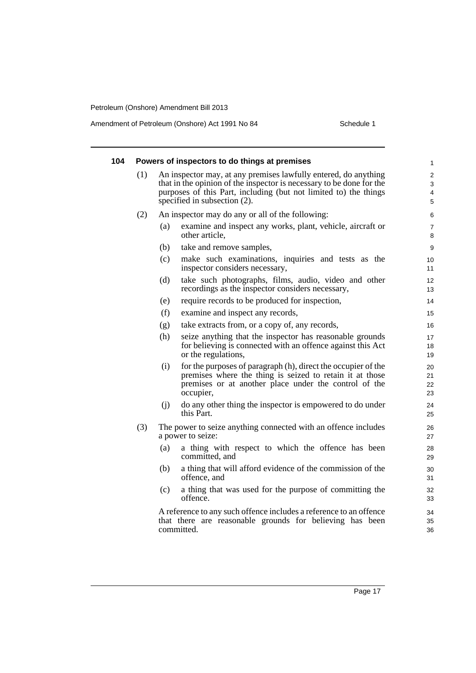Amendment of Petroleum (Onshore) Act 1991 No 84 Schedule 1

| 104 | Powers of inspectors to do things at premises<br>$\mathbf{1}$ |     |                                                                                                                                                                                                                                             |                      |  |  |
|-----|---------------------------------------------------------------|-----|---------------------------------------------------------------------------------------------------------------------------------------------------------------------------------------------------------------------------------------------|----------------------|--|--|
|     | (1)                                                           |     | An inspector may, at any premises lawfully entered, do anything<br>that in the opinion of the inspector is necessary to be done for the<br>purposes of this Part, including (but not limited to) the things<br>specified in subsection (2). |                      |  |  |
|     | (2)                                                           |     | An inspector may do any or all of the following:                                                                                                                                                                                            | 6                    |  |  |
|     |                                                               | (a) | examine and inspect any works, plant, vehicle, aircraft or<br>other article,                                                                                                                                                                | 7<br>8               |  |  |
|     |                                                               | (b) | take and remove samples,                                                                                                                                                                                                                    | 9                    |  |  |
|     |                                                               | (c) | make such examinations, inquiries and tests as the<br>inspector considers necessary,                                                                                                                                                        | 10<br>11             |  |  |
|     |                                                               | (d) | take such photographs, films, audio, video and other<br>recordings as the inspector considers necessary,                                                                                                                                    | 12<br>13             |  |  |
|     |                                                               | (e) | require records to be produced for inspection,                                                                                                                                                                                              | 14                   |  |  |
|     |                                                               | (f) | examine and inspect any records,                                                                                                                                                                                                            | 15                   |  |  |
|     |                                                               | (g) | take extracts from, or a copy of, any records,                                                                                                                                                                                              | 16                   |  |  |
|     |                                                               | (h) | seize anything that the inspector has reasonable grounds<br>for believing is connected with an offence against this Act<br>or the regulations,                                                                                              | 17<br>18<br>19       |  |  |
|     |                                                               | (i) | for the purposes of paragraph (h), direct the occupier of the<br>premises where the thing is seized to retain it at those<br>premises or at another place under the control of the<br>occupier,                                             | 20<br>21<br>22<br>23 |  |  |
|     |                                                               | (i) | do any other thing the inspector is empowered to do under<br>this Part.                                                                                                                                                                     | 24<br>25             |  |  |
|     | (3)                                                           |     | The power to seize anything connected with an offence includes<br>a power to seize:                                                                                                                                                         | 26<br>27             |  |  |
|     |                                                               | (a) | a thing with respect to which the offence has been<br>committed, and                                                                                                                                                                        | 28<br>29             |  |  |
|     |                                                               | (b) | a thing that will afford evidence of the commission of the<br>offence, and                                                                                                                                                                  | 30<br>31             |  |  |
|     |                                                               | (c) | a thing that was used for the purpose of committing the<br>offence.                                                                                                                                                                         | 32<br>33             |  |  |
|     |                                                               |     | A reference to any such offence includes a reference to an offence<br>that there are reasonable grounds for believing has been<br>committed.                                                                                                | 34<br>35<br>36       |  |  |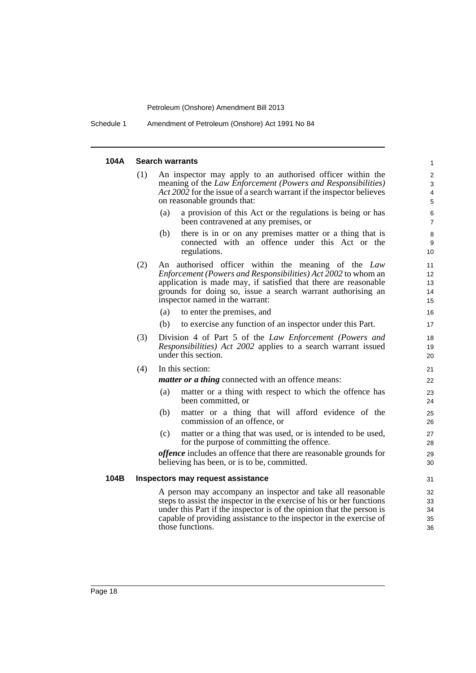Schedule 1 Amendment of Petroleum (Onshore) Act 1991 No 84

### **104A Search warrants**

| 104A | <b>Search warrants</b>                                                                                                                                                                                                                   |                                                                                                                                                                |                                                                                                                                                                                                                                                                                                  |                            |  |
|------|------------------------------------------------------------------------------------------------------------------------------------------------------------------------------------------------------------------------------------------|----------------------------------------------------------------------------------------------------------------------------------------------------------------|--------------------------------------------------------------------------------------------------------------------------------------------------------------------------------------------------------------------------------------------------------------------------------------------------|----------------------------|--|
|      | (1)<br>An inspector may apply to an authorised officer within the<br>meaning of the Law Enforcement (Powers and Responsibilities)<br>Act 2002 for the issue of a search warrant if the inspector believes<br>on reasonable grounds that: |                                                                                                                                                                |                                                                                                                                                                                                                                                                                                  |                            |  |
|      |                                                                                                                                                                                                                                          | (a)                                                                                                                                                            | a provision of this Act or the regulations is being or has<br>been contravened at any premises, or                                                                                                                                                                                               | 6<br>$\overline{7}$        |  |
|      |                                                                                                                                                                                                                                          | (b)                                                                                                                                                            | there is in or on any premises matter or a thing that is<br>connected with an offence under this Act or the<br>regulations.                                                                                                                                                                      | 8<br>9<br>10               |  |
|      | (2)                                                                                                                                                                                                                                      |                                                                                                                                                                | An authorised officer within the meaning of the Law<br><i>Enforcement (Powers and Responsibilities) Act 2002 to whom an</i><br>application is made may, if satisfied that there are reasonable<br>grounds for doing so, issue a search warrant authorising an<br>inspector named in the warrant: | 11<br>12<br>13<br>14<br>15 |  |
|      |                                                                                                                                                                                                                                          | (a)                                                                                                                                                            | to enter the premises, and                                                                                                                                                                                                                                                                       | 16                         |  |
|      |                                                                                                                                                                                                                                          | (b)                                                                                                                                                            | to exercise any function of an inspector under this Part.                                                                                                                                                                                                                                        | 17                         |  |
|      | (3)                                                                                                                                                                                                                                      | Division 4 of Part 5 of the Law Enforcement (Powers and<br><i>Responsibilities</i> ) <i>Act 2002</i> applies to a search warrant issued<br>under this section. |                                                                                                                                                                                                                                                                                                  |                            |  |
|      | (4)                                                                                                                                                                                                                                      |                                                                                                                                                                | In this section:                                                                                                                                                                                                                                                                                 | 21                         |  |
|      |                                                                                                                                                                                                                                          |                                                                                                                                                                | <i>matter or a thing</i> connected with an offence means:                                                                                                                                                                                                                                        | 22                         |  |
|      |                                                                                                                                                                                                                                          | (a)                                                                                                                                                            | matter or a thing with respect to which the offence has<br>been committed, or                                                                                                                                                                                                                    | 23<br>24                   |  |
|      |                                                                                                                                                                                                                                          | (b)                                                                                                                                                            | matter or a thing that will afford evidence of the<br>commission of an offence, or                                                                                                                                                                                                               | 25<br>26                   |  |
|      |                                                                                                                                                                                                                                          | (c)                                                                                                                                                            | matter or a thing that was used, or is intended to be used,<br>for the purpose of committing the offence.                                                                                                                                                                                        | 27<br>28                   |  |
|      |                                                                                                                                                                                                                                          |                                                                                                                                                                | <i>offence</i> includes an offence that there are reasonable grounds for<br>believing has been, or is to be, committed.                                                                                                                                                                          | 29<br>30                   |  |
| 104B |                                                                                                                                                                                                                                          |                                                                                                                                                                | Inspectors may request assistance                                                                                                                                                                                                                                                                | 31                         |  |
|      |                                                                                                                                                                                                                                          |                                                                                                                                                                | A person may accompany an inspector and take all reasonable<br>steps to assist the inspector in the exercise of his or her functions<br>under this Part if the inspector is of the opinion that the person is<br>capable of providing assistance to the inspector in the exercise of             | 32<br>33<br>34<br>35       |  |

36

those functions.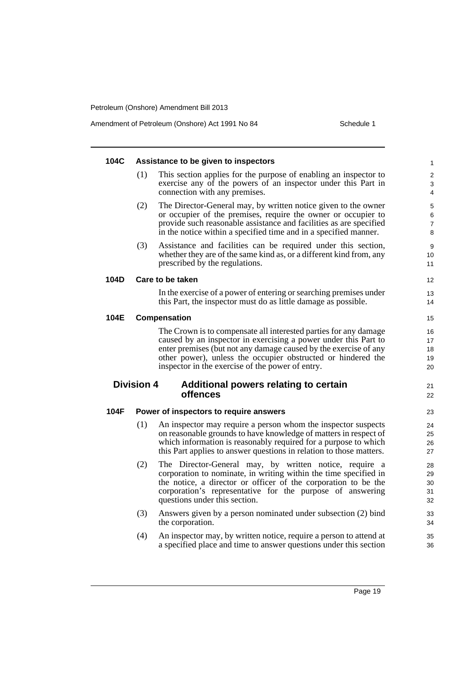Amendment of Petroleum (Onshore) Act 1991 No 84 Schedule 1

| 104C |                   | Assistance to be given to inspectors                                                                                                                                                                                                                                                                                        | 1                          |
|------|-------------------|-----------------------------------------------------------------------------------------------------------------------------------------------------------------------------------------------------------------------------------------------------------------------------------------------------------------------------|----------------------------|
|      | (1)               | This section applies for the purpose of enabling an inspector to<br>exercise any of the powers of an inspector under this Part in<br>connection with any premises.                                                                                                                                                          | $\overline{c}$<br>3<br>4   |
|      | (2)               | The Director-General may, by written notice given to the owner<br>or occupier of the premises, require the owner or occupier to<br>provide such reasonable assistance and facilities as are specified<br>in the notice within a specified time and in a specified manner.                                                   | 5<br>6<br>7<br>8           |
|      | (3)               | Assistance and facilities can be required under this section,<br>whether they are of the same kind as, or a different kind from, any<br>prescribed by the regulations.                                                                                                                                                      | 9<br>10<br>11              |
| 104D |                   | Care to be taken                                                                                                                                                                                                                                                                                                            | 12                         |
|      |                   | In the exercise of a power of entering or searching premises under<br>this Part, the inspector must do as little damage as possible.                                                                                                                                                                                        | 13<br>14                   |
| 104E |                   | Compensation                                                                                                                                                                                                                                                                                                                | 15                         |
|      |                   | The Crown is to compensate all interested parties for any damage<br>caused by an inspector in exercising a power under this Part to<br>enter premises (but not any damage caused by the exercise of any<br>other power), unless the occupier obstructed or hindered the<br>inspector in the exercise of the power of entry. | 16<br>17<br>18<br>19<br>20 |
|      | <b>Division 4</b> | Additional powers relating to certain<br><b>offences</b>                                                                                                                                                                                                                                                                    | 21<br>22                   |
| 104F |                   | Power of inspectors to require answers                                                                                                                                                                                                                                                                                      | 23                         |
|      | (1)               | An inspector may require a person whom the inspector suspects<br>on reasonable grounds to have knowledge of matters in respect of<br>which information is reasonably required for a purpose to which<br>this Part applies to answer questions in relation to those matters.                                                 | 24<br>25<br>26<br>27       |
|      | (2)               | The Director-General may, by written notice, require a<br>corporation to nominate, in writing within the time specified in<br>the notice, a director or officer of the corporation to be the<br>corporation's representative for the purpose of answering<br>questions under this section.                                  | 28<br>29<br>30<br>31<br>32 |
|      | (3)               | Answers given by a person nominated under subsection (2) bind<br>the corporation.                                                                                                                                                                                                                                           | 33<br>34                   |
|      | (4)               | An inspector may, by written notice, require a person to attend at<br>a specified place and time to answer questions under this section                                                                                                                                                                                     | 35<br>36                   |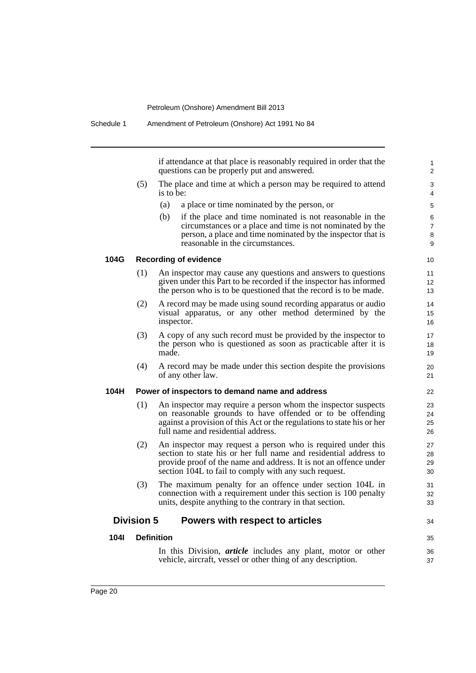if attendance at that place is reasonably required in order that the questions can be properly put and answered.

 $34$ 

35 36 37

- (5) The place and time at which a person may be required to attend is to be:
	- (a) a place or time nominated by the person, or
	- (b) if the place and time nominated is not reasonable in the circumstances or a place and time is not nominated by the person, a place and time nominated by the inspector that is reasonable in the circumstances.

### **104G Recording of evidence**

- (1) An inspector may cause any questions and answers to questions given under this Part to be recorded if the inspector has informed the person who is to be questioned that the record is to be made.
- (2) A record may be made using sound recording apparatus or audio visual apparatus, or any other method determined by the inspector.
- (3) A copy of any such record must be provided by the inspector to the person who is questioned as soon as practicable after it is made.
- (4) A record may be made under this section despite the provisions of any other law.

### **104H Power of inspectors to demand name and address**

- (1) An inspector may require a person whom the inspector suspects on reasonable grounds to have offended or to be offending against a provision of this Act or the regulations to state his or her full name and residential address.
- (2) An inspector may request a person who is required under this section to state his or her full name and residential address to provide proof of the name and address. It is not an offence under section 104L to fail to comply with any such request.
- (3) The maximum penalty for an offence under section 104L in connection with a requirement under this section is 100 penalty units, despite anything to the contrary in that section.

### **Division 5 Powers with respect to articles**

**104I Definition**

In this Division, *article* includes any plant, motor or other vehicle, aircraft, vessel or other thing of any description.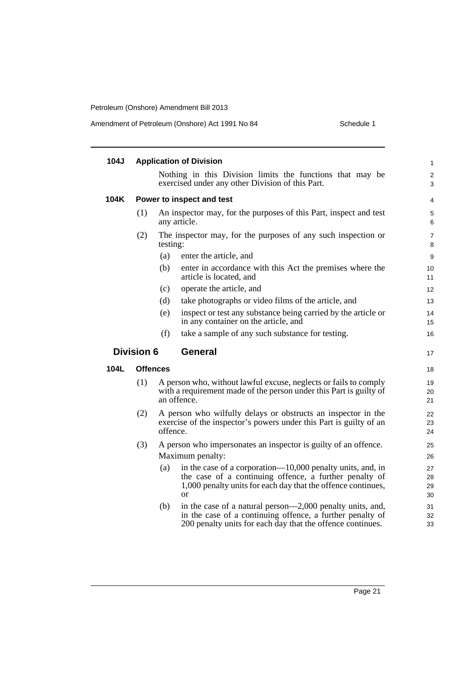|  | Amendment of Petroleum (Onshore) Act 1991 No 84 | Schedule 1 |
|--|-------------------------------------------------|------------|
|--|-------------------------------------------------|------------|

| 104J        |                   |                 | <b>Application of Division</b>                                                                                                                                                                        | $\mathbf{1}$         |
|-------------|-------------------|-----------------|-------------------------------------------------------------------------------------------------------------------------------------------------------------------------------------------------------|----------------------|
|             |                   |                 | Nothing in this Division limits the functions that may be<br>exercised under any other Division of this Part.                                                                                         | 2<br>3               |
| 104K        |                   |                 | Power to inspect and test                                                                                                                                                                             | 4                    |
|             | (1)               |                 | An inspector may, for the purposes of this Part, inspect and test<br>any article.                                                                                                                     | 5<br>6               |
|             | (2)               | testing:        | The inspector may, for the purposes of any such inspection or                                                                                                                                         | $\overline{7}$<br>8  |
|             |                   | (a)             | enter the article, and                                                                                                                                                                                | 9                    |
|             |                   | (b)             | enter in accordance with this Act the premises where the<br>article is located, and                                                                                                                   | 10<br>11             |
|             |                   | (c)             | operate the article, and                                                                                                                                                                              | 12                   |
|             |                   | (d)             | take photographs or video films of the article, and                                                                                                                                                   | 13                   |
|             |                   | (e)             | inspect or test any substance being carried by the article or<br>in any container on the article, and                                                                                                 | 14<br>15             |
|             |                   | (f)             | take a sample of any such substance for testing.                                                                                                                                                      | 16                   |
|             | <b>Division 6</b> |                 | <b>General</b>                                                                                                                                                                                        | 17                   |
| <b>104L</b> |                   | <b>Offences</b> |                                                                                                                                                                                                       | 18                   |
|             | (1)               |                 | A person who, without lawful excuse, neglects or fails to comply<br>with a requirement made of the person under this Part is guilty of<br>an offence.                                                 | 19<br>20<br>21       |
|             | (2)               |                 | A person who wilfully delays or obstructs an inspector in the                                                                                                                                         | 22<br>23             |
|             |                   | offence.        | exercise of the inspector's powers under this Part is guilty of an                                                                                                                                    | 24                   |
|             | (3)               |                 | A person who impersonates an inspector is guilty of an offence.                                                                                                                                       | 25                   |
|             |                   |                 | Maximum penalty:                                                                                                                                                                                      | 26                   |
|             |                   | (a)             | in the case of a corporation—10,000 penalty units, and, in<br>the case of a continuing offence, a further penalty of<br>1,000 penalty units for each day that the offence continues,<br><sub>or</sub> | 27<br>28<br>29<br>30 |
|             |                   | (b)             | in the case of a natural person—2,000 penalty units, and,<br>in the case of a continuing offence, a further penalty of<br>200 penalty units for each day that the offence continues.                  | 31<br>32<br>33       |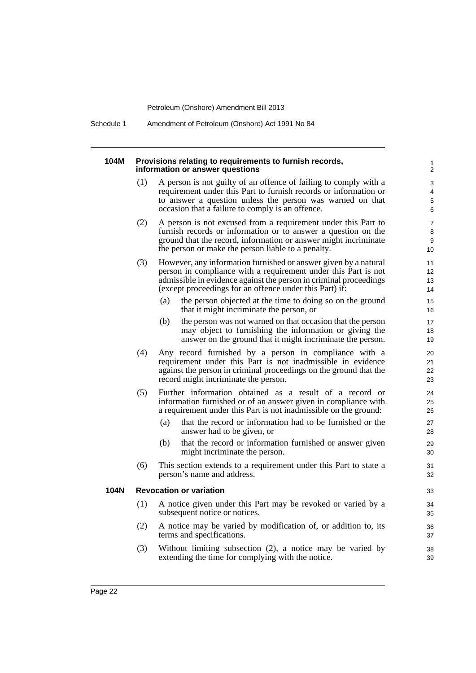Schedule 1 Amendment of Petroleum (Onshore) Act 1991 No 84

# **104M Provisions relating to requirements to furnish records,**

|     | Provisions relating to requirements to furnish records,<br>information or answer questions                                                                                                                                                                        | $\mathbf{1}$<br>$\overline{c}$ |  |  |
|-----|-------------------------------------------------------------------------------------------------------------------------------------------------------------------------------------------------------------------------------------------------------------------|--------------------------------|--|--|
| (1) | A person is not guilty of an offence of failing to comply with a<br>requirement under this Part to furnish records or information or<br>to answer a question unless the person was warned on that<br>occasion that a failure to comply is an offence.             | 3<br>4<br>5<br>6               |  |  |
| (2) | A person is not excused from a requirement under this Part to<br>furnish records or information or to answer a question on the<br>ground that the record, information or answer might incriminate<br>the person or make the person liable to a penalty.           |                                |  |  |
| (3) | However, any information furnished or answer given by a natural<br>person in compliance with a requirement under this Part is not<br>admissible in evidence against the person in criminal proceedings<br>(except proceedings for an offence under this Part) if: | 11<br>12<br>13<br>14           |  |  |
|     | the person objected at the time to doing so on the ground<br>(a)<br>that it might incriminate the person, or                                                                                                                                                      | 15<br>16                       |  |  |
|     | the person was not warned on that occasion that the person<br>(b)<br>may object to furnishing the information or giving the<br>answer on the ground that it might incriminate the person.                                                                         | 17<br>18<br>19                 |  |  |
| (4) | Any record furnished by a person in compliance with a<br>requirement under this Part is not inadmissible in evidence<br>against the person in criminal proceedings on the ground that the<br>record might incriminate the person.                                 | 20<br>21<br>22<br>23           |  |  |
| (5) | Further information obtained as a result of a record or<br>information furnished or of an answer given in compliance with<br>a requirement under this Part is not inadmissible on the ground:                                                                     |                                |  |  |
|     | that the record or information had to be furnished or the<br>(a)<br>answer had to be given, or                                                                                                                                                                    | 27<br>28                       |  |  |
|     | that the record or information furnished or answer given<br>(b)<br>might incriminate the person.                                                                                                                                                                  | 29<br>30                       |  |  |
| (6) | This section extends to a requirement under this Part to state a<br>person's name and address.                                                                                                                                                                    | 31<br>32                       |  |  |
|     | <b>Revocation or variation</b>                                                                                                                                                                                                                                    | 33                             |  |  |
| (1) | A notice given under this Part may be revoked or varied by a<br>subsequent notice or notices.                                                                                                                                                                     | 34<br>35                       |  |  |
| (2) | A notice may be varied by modification of, or addition to, its<br>terms and specifications.                                                                                                                                                                       | 36<br>37                       |  |  |
| (3) | Without limiting subsection (2), a notice may be varied by<br>extending the time for complying with the notice.                                                                                                                                                   | 38<br>39                       |  |  |

**104N Revocation or variation**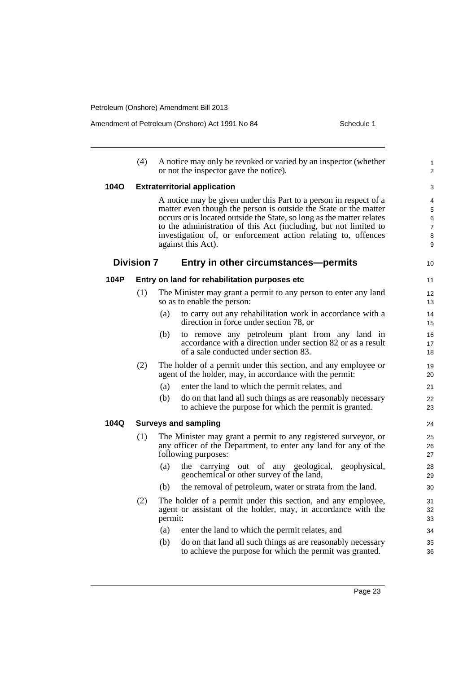Amendment of Petroleum (Onshore) Act 1991 No 84

| Schedule 1 |  |  |
|------------|--|--|
|            |  |  |

|      | (4)               | A notice may only be revoked or varied by an inspector (whether<br>or not the inspector gave the notice).                                                                                                                                                                                                                                                                 | 1<br>2                                  |
|------|-------------------|---------------------------------------------------------------------------------------------------------------------------------------------------------------------------------------------------------------------------------------------------------------------------------------------------------------------------------------------------------------------------|-----------------------------------------|
| 1040 |                   | <b>Extraterritorial application</b>                                                                                                                                                                                                                                                                                                                                       | 3                                       |
|      |                   | A notice may be given under this Part to a person in respect of a<br>matter even though the person is outside the State or the matter<br>occurs or is located outside the State, so long as the matter relates<br>to the administration of this Act (including, but not limited to<br>investigation of, or enforcement action relating to, offences<br>against this Act). | 4<br>5<br>6<br>$\overline{7}$<br>8<br>9 |
|      | <b>Division 7</b> | Entry in other circumstances—permits                                                                                                                                                                                                                                                                                                                                      | 10                                      |
| 104P |                   | Entry on land for rehabilitation purposes etc                                                                                                                                                                                                                                                                                                                             | 11                                      |
|      | (1)               | The Minister may grant a permit to any person to enter any land<br>so as to enable the person:                                                                                                                                                                                                                                                                            | 12<br>13                                |
|      |                   | to carry out any rehabilitation work in accordance with a<br>(a)<br>direction in force under section 78, or                                                                                                                                                                                                                                                               | 14<br>15                                |
|      |                   | to remove any petroleum plant from any land in<br>(b)<br>accordance with a direction under section 82 or as a result<br>of a sale conducted under section 83.                                                                                                                                                                                                             | 16<br>17<br>18                          |
|      | (2)               | The holder of a permit under this section, and any employee or<br>agent of the holder, may, in accordance with the permit:                                                                                                                                                                                                                                                | 19<br>20                                |
|      |                   | (a)<br>enter the land to which the permit relates, and                                                                                                                                                                                                                                                                                                                    | 21                                      |
|      |                   | (b)<br>do on that land all such things as are reasonably necessary<br>to achieve the purpose for which the permit is granted.                                                                                                                                                                                                                                             | 22<br>23                                |
| 104Q |                   | <b>Surveys and sampling</b>                                                                                                                                                                                                                                                                                                                                               | 24                                      |
|      | (1)               | The Minister may grant a permit to any registered surveyor, or<br>any officer of the Department, to enter any land for any of the<br>following purposes:                                                                                                                                                                                                                  | 25<br>26<br>27                          |
|      |                   | the carrying out of any geological,<br>(a)<br>geophysical,<br>geochemical or other survey of the land,                                                                                                                                                                                                                                                                    | 28<br>29                                |
|      |                   | the removal of petroleum, water or strata from the land.<br>(b)                                                                                                                                                                                                                                                                                                           | 30                                      |
|      | (2)               | The holder of a permit under this section, and any employee,<br>agent or assistant of the holder, may, in accordance with the<br>permit:                                                                                                                                                                                                                                  | 31<br>32<br>33                          |
|      |                   | enter the land to which the permit relates, and<br>(a)                                                                                                                                                                                                                                                                                                                    | 34                                      |
|      |                   | do on that land all such things as are reasonably necessary<br>(b)<br>to achieve the purpose for which the permit was granted.                                                                                                                                                                                                                                            | 35<br>36                                |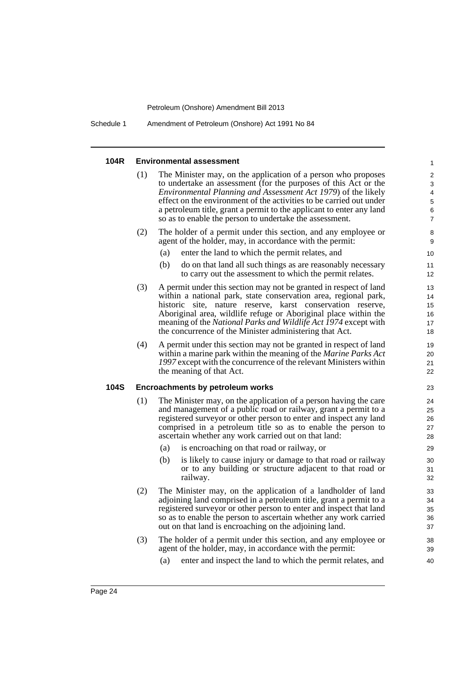Schedule 1 Amendment of Petroleum (Onshore) Act 1991 No 84

#### **104R Environmental assessment** The Minister may, on the application of a person who proposes to undertake an assessment (for the purposes of this Act or the *Environmental Planning and Assessment Act 1979*) of the likely effect on the environment of the activities to be carried out under a petroleum title, grant a permit to the applicant to enter any land so as to enable the person to undertake the assessment. (2) The holder of a permit under this section, and any employee or agent of the holder, may, in accordance with the permit: (a) enter the land to which the permit relates, and (b) do on that land all such things as are reasonably necessary to carry out the assessment to which the permit relates. (3) A permit under this section may not be granted in respect of land within a national park, state conservation area, regional park, historic site, nature reserve, karst conservation reserve, Aboriginal area, wildlife refuge or Aboriginal place within the meaning of the *National Parks and Wildlife Act 1974* except with the concurrence of the Minister administering that Act. (4) A permit under this section may not be granted in respect of land within a marine park within the meaning of the *Marine Parks Act 1997* except with the concurrence of the relevant Ministers within the meaning of that Act. **104S Encroachments by petroleum works** (1) The Minister may, on the application of a person having the care and management of a public road or railway, grant a permit to a registered surveyor or other person to enter and inspect any land comprised in a petroleum title so as to enable the person to ascertain whether any work carried out on that land: (a) is encroaching on that road or railway, or (b) is likely to cause injury or damage to that road or railway or to any building or structure adjacent to that road or railway. (2) The Minister may, on the application of a landholder of land adjoining land comprised in a petroleum title, grant a permit to a registered surveyor or other person to enter and inspect that land so as to enable the person to ascertain whether any work carried out on that land is encroaching on the adjoining land. (3) The holder of a permit under this section, and any employee or agent of the holder, may, in accordance with the permit: (a) enter and inspect the land to which the permit relates, and 1 2 3 4 5 6 7 8 9 10 11 12 13 14 15 16 17 18 19 20 21 22 23 24 25 26 27 28 29 30 31 32 33 34 35 36 37 38 39 40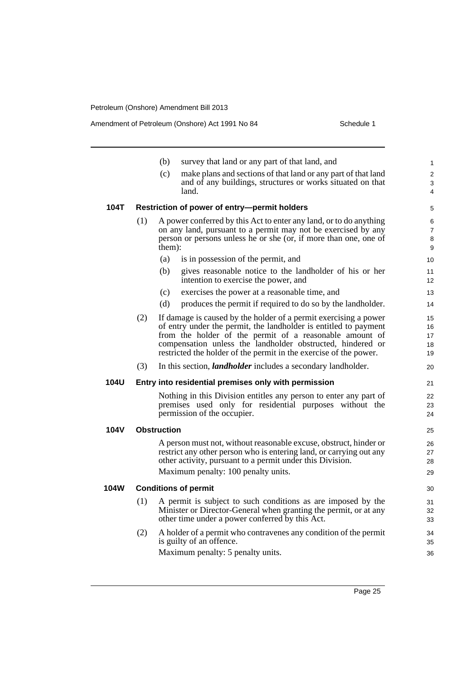Amendment of Petroleum (Onshore) Act 1991 No 84 Schedule 1

|      |     | (b)<br>survey that land or any part of that land, and                      | 1              |
|------|-----|----------------------------------------------------------------------------|----------------|
|      |     | make plans and sections of that land or any part of that land<br>(c)       | $\overline{2}$ |
|      |     | and of any buildings, structures or works situated on that                 | 3              |
|      |     | land.                                                                      | 4              |
| 104T |     | Restriction of power of entry-permit holders                               | 5              |
|      | (1) | A power conferred by this Act to enter any land, or to do anything         | 6              |
|      |     | on any land, pursuant to a permit may not be exercised by any              | $\overline{7}$ |
|      |     | person or persons unless he or she (or, if more than one, one of<br>them): | 8<br>9         |
|      |     | (a)<br>is in possession of the permit, and                                 | 10             |
|      |     | (b)<br>gives reasonable notice to the landholder of his or her             |                |
|      |     | intention to exercise the power, and                                       | 11<br>12       |
|      |     | (c)<br>exercises the power at a reasonable time, and                       | 13             |
|      |     | produces the permit if required to do so by the landholder.<br>(d)         | 14             |
|      | (2) | If damage is caused by the holder of a permit exercising a power           | 15             |
|      |     | of entry under the permit, the landholder is entitled to payment           | 16             |
|      |     | from the holder of the permit of a reasonable amount of                    | 17             |
|      |     | compensation unless the landholder obstructed, hindered or                 | 18             |
|      |     | restricted the holder of the permit in the exercise of the power.          | 19             |
|      | (3) | In this section, <i>landholder</i> includes a secondary landholder.        | 20             |
| 104U |     | Entry into residential premises only with permission                       | 21             |
|      |     | Nothing in this Division entitles any person to enter any part of          | 22             |
|      |     | premises used only for residential purposes without the                    | 23             |
|      |     | permission of the occupier.                                                | 24             |
| 104V |     | Obstruction                                                                | 25             |
|      |     | A person must not, without reasonable excuse, obstruct, hinder or          | 26             |
|      |     | restrict any other person who is entering land, or carrying out any        | 27             |
|      |     | other activity, pursuant to a permit under this Division.                  | 28             |
|      |     | Maximum penalty: 100 penalty units.                                        | 29             |
| 104W |     | <b>Conditions of permit</b>                                                | 30             |
|      | (1) | A permit is subject to such conditions as are imposed by the               | 31             |
|      |     | Minister or Director-General when granting the permit, or at any           | 32             |
|      |     | other time under a power conferred by this Act.                            | 33             |
|      | (2) | A holder of a permit who contravenes any condition of the permit           | 34             |
|      |     | is guilty of an offence.                                                   | 35             |
|      |     | Maximum penalty: 5 penalty units.                                          | 36             |
|      |     |                                                                            |                |

Page 25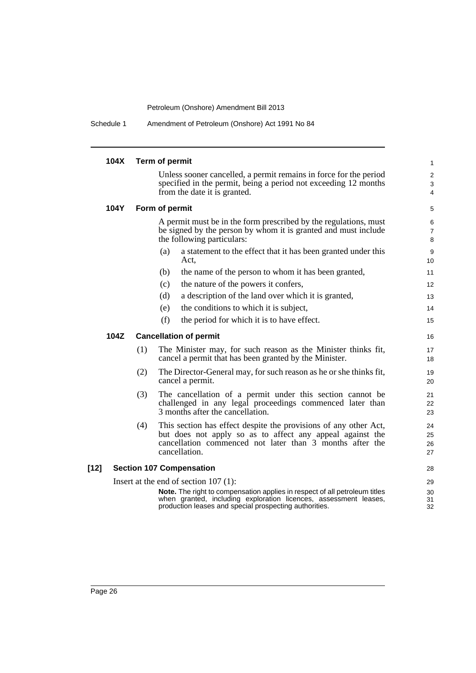Schedule 1 Amendment of Petroleum (Onshore) Act 1991 No 84

|      | 104X |     | Term of permit                                                                                                                                                                                           | 1                       |
|------|------|-----|----------------------------------------------------------------------------------------------------------------------------------------------------------------------------------------------------------|-------------------------|
|      |      |     | Unless sooner cancelled, a permit remains in force for the period                                                                                                                                        | $\overline{\mathbf{c}}$ |
|      |      |     | specified in the permit, being a period not exceeding 12 months<br>from the date it is granted.                                                                                                          | 3<br>4                  |
|      |      |     |                                                                                                                                                                                                          |                         |
|      | 104Y |     | Form of permit                                                                                                                                                                                           | 5                       |
|      |      |     | A permit must be in the form prescribed by the regulations, must<br>be signed by the person by whom it is granted and must include                                                                       | 6                       |
|      |      |     | the following particulars:                                                                                                                                                                               | 7<br>8                  |
|      |      |     | a statement to the effect that it has been granted under this<br>(a)                                                                                                                                     | 9                       |
|      |      |     | Act.                                                                                                                                                                                                     | 10                      |
|      |      |     | (b)<br>the name of the person to whom it has been granted,                                                                                                                                               | 11                      |
|      |      |     | the nature of the powers it confers,<br>(c)                                                                                                                                                              | 12                      |
|      |      |     | a description of the land over which it is granted,<br>(d)                                                                                                                                               | 13                      |
|      |      |     | the conditions to which it is subject,<br>(e)                                                                                                                                                            | 14                      |
|      |      |     | (f)<br>the period for which it is to have effect.                                                                                                                                                        | 15                      |
|      | 104Z |     | <b>Cancellation of permit</b>                                                                                                                                                                            | 16                      |
|      |      | (1) | The Minister may, for such reason as the Minister thinks fit,<br>cancel a permit that has been granted by the Minister.                                                                                  | 17<br>18                |
|      |      | (2) | The Director-General may, for such reason as he or she thinks fit,<br>cancel a permit.                                                                                                                   | 19<br>20                |
|      |      | (3) | The cancellation of a permit under this section cannot be<br>challenged in any legal proceedings commenced later than<br>3 months after the cancellation.                                                | 21<br>22<br>23          |
|      |      | (4) | This section has effect despite the provisions of any other Act,                                                                                                                                         | 24                      |
|      |      |     | but does not apply so as to affect any appeal against the<br>cancellation commenced not later than 3 months after the                                                                                    | 25<br>26                |
|      |      |     | cancellation.                                                                                                                                                                                            | 27                      |
| [12] |      |     | <b>Section 107 Compensation</b>                                                                                                                                                                          | 28                      |
|      |      |     | Insert at the end of section $107(1)$ :                                                                                                                                                                  | 29                      |
|      |      |     | Note. The right to compensation applies in respect of all petroleum titles<br>when granted, including exploration licences, assessment leases,<br>production leases and special prospecting authorities. | 30<br>31<br>32          |
|      |      |     |                                                                                                                                                                                                          |                         |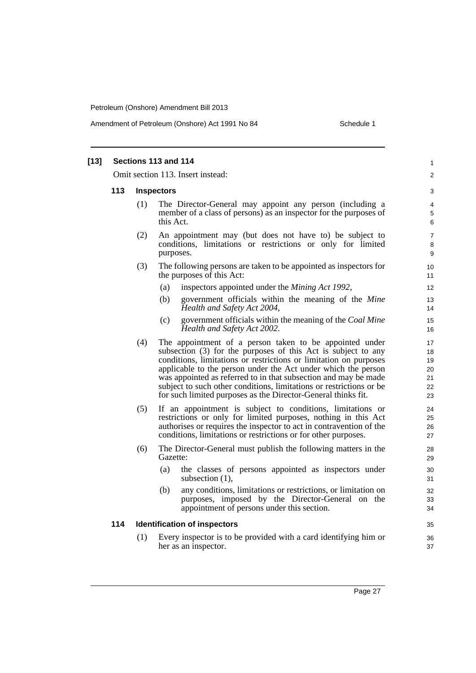Amendment of Petroleum (Onshore) Act 1991 No 84 Schedule 1

| $[13]$ | Sections 113 and 114 |                                   |                                                                                                                                                                                                                                                                                                                                                                                                                                                                           |                                        |  |  |
|--------|----------------------|-----------------------------------|---------------------------------------------------------------------------------------------------------------------------------------------------------------------------------------------------------------------------------------------------------------------------------------------------------------------------------------------------------------------------------------------------------------------------------------------------------------------------|----------------------------------------|--|--|
|        |                      | Omit section 113. Insert instead: |                                                                                                                                                                                                                                                                                                                                                                                                                                                                           |                                        |  |  |
|        | 113                  | <b>Inspectors</b>                 |                                                                                                                                                                                                                                                                                                                                                                                                                                                                           |                                        |  |  |
|        |                      | (1)                               | The Director-General may appoint any person (including a<br>member of a class of persons) as an inspector for the purposes of<br>this Act.                                                                                                                                                                                                                                                                                                                                | 4<br>5<br>6                            |  |  |
|        |                      | (2)                               | An appointment may (but does not have to) be subject to<br>conditions, limitations or restrictions or only for limited<br>purposes.                                                                                                                                                                                                                                                                                                                                       | $\overline{7}$<br>8<br>9               |  |  |
|        |                      | (3)                               | The following persons are taken to be appointed as inspectors for<br>the purposes of this Act:                                                                                                                                                                                                                                                                                                                                                                            | 10<br>11                               |  |  |
|        |                      |                                   | inspectors appointed under the <i>Mining Act 1992</i> ,<br>(a)                                                                                                                                                                                                                                                                                                                                                                                                            | 12                                     |  |  |
|        |                      |                                   | (b)<br>government officials within the meaning of the Mine<br>Health and Safety Act 2004,                                                                                                                                                                                                                                                                                                                                                                                 | 13<br>14                               |  |  |
|        |                      |                                   | government officials within the meaning of the Coal Mine<br>(c)<br>Health and Safety Act 2002.                                                                                                                                                                                                                                                                                                                                                                            | 15<br>16                               |  |  |
|        |                      | (4)                               | The appointment of a person taken to be appointed under<br>subsection (3) for the purposes of this Act is subject to any<br>conditions, limitations or restrictions or limitation on purposes<br>applicable to the person under the Act under which the person<br>was appointed as referred to in that subsection and may be made<br>subject to such other conditions, limitations or restrictions or be<br>for such limited purposes as the Director-General thinks fit. | 17<br>18<br>19<br>20<br>21<br>22<br>23 |  |  |
|        |                      | (5)                               | If an appointment is subject to conditions, limitations or<br>restrictions or only for limited purposes, nothing in this Act<br>authorises or requires the inspector to act in contravention of the<br>conditions, limitations or restrictions or for other purposes.                                                                                                                                                                                                     | 24<br>25<br>26<br>27                   |  |  |
|        |                      | (6)                               | The Director-General must publish the following matters in the<br>Gazette:                                                                                                                                                                                                                                                                                                                                                                                                | 28<br>29                               |  |  |
|        |                      |                                   | the classes of persons appointed as inspectors under<br>(a)<br>subsection $(1)$ ,                                                                                                                                                                                                                                                                                                                                                                                         | 30<br>31                               |  |  |
|        |                      |                                   | any conditions, limitations or restrictions, or limitation on<br>(b)<br>purposes, imposed by the Director-General on the<br>appointment of persons under this section.                                                                                                                                                                                                                                                                                                    | 32<br>33<br>34                         |  |  |
|        | 114                  |                                   | <b>Identification of inspectors</b>                                                                                                                                                                                                                                                                                                                                                                                                                                       | 35                                     |  |  |
|        |                      | (1)                               | Every inspector is to be provided with a card identifying him or<br>her as an inspector.                                                                                                                                                                                                                                                                                                                                                                                  | 36<br>37                               |  |  |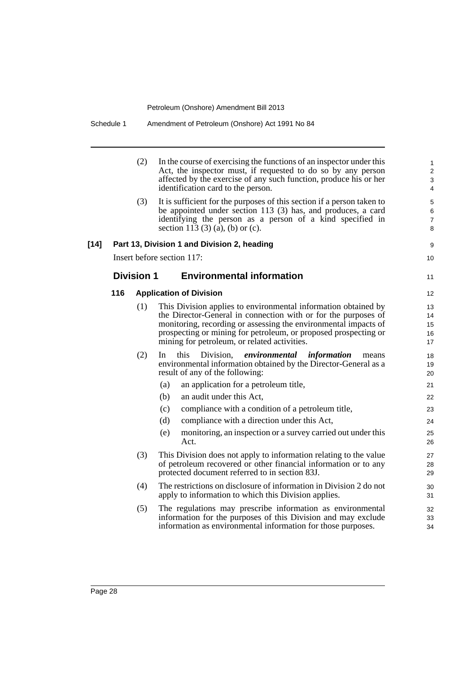|        |     | (2)               | In the course of exercising the functions of an inspector under this<br>Act, the inspector must, if requested to do so by any person<br>affected by the exercise of any such function, produce his or her<br>identification card to the person.                                                                        | 1<br>$\overline{2}$<br>3<br>4               |
|--------|-----|-------------------|------------------------------------------------------------------------------------------------------------------------------------------------------------------------------------------------------------------------------------------------------------------------------------------------------------------------|---------------------------------------------|
|        |     | (3)               | It is sufficient for the purposes of this section if a person taken to<br>be appointed under section 113 (3) has, and produces, a card<br>identifying the person as a person of a kind specified in<br>section 113 (3) (a), (b) or (c).                                                                                | $\mathbf 5$<br>$\,6$<br>$\overline{7}$<br>8 |
| $[14]$ |     |                   | Part 13, Division 1 and Division 2, heading                                                                                                                                                                                                                                                                            | 9                                           |
|        |     |                   | Insert before section 117:                                                                                                                                                                                                                                                                                             | 10                                          |
|        |     | <b>Division 1</b> | <b>Environmental information</b>                                                                                                                                                                                                                                                                                       | 11                                          |
|        | 116 |                   | <b>Application of Division</b>                                                                                                                                                                                                                                                                                         | 12                                          |
|        |     | (1)               | This Division applies to environmental information obtained by<br>the Director-General in connection with or for the purposes of<br>monitoring, recording or assessing the environmental impacts of<br>prospecting or mining for petroleum, or proposed prospecting or<br>mining for petroleum, or related activities. | 13<br>14<br>15<br>16<br>17                  |
|        |     | (2)               | this<br>Division, <i>environmental information</i><br>In<br>means<br>environmental information obtained by the Director-General as a<br>result of any of the following:                                                                                                                                                | 18<br>19<br>20                              |
|        |     |                   | an application for a petroleum title,<br>(a)                                                                                                                                                                                                                                                                           | 21                                          |
|        |     |                   | an audit under this Act,<br>(b)                                                                                                                                                                                                                                                                                        | 22                                          |
|        |     |                   | compliance with a condition of a petroleum title,<br>(c)                                                                                                                                                                                                                                                               | 23                                          |
|        |     |                   | (d)<br>compliance with a direction under this Act,                                                                                                                                                                                                                                                                     | 24                                          |
|        |     |                   | (e)<br>monitoring, an inspection or a survey carried out under this<br>Act.                                                                                                                                                                                                                                            | 25<br>26                                    |
|        |     | (3)               | This Division does not apply to information relating to the value<br>of petroleum recovered or other financial information or to any<br>protected document referred to in section 83J.                                                                                                                                 | 27<br>28<br>29                              |
|        |     | (4)               | The restrictions on disclosure of information in Division 2 do not<br>apply to information to which this Division applies.                                                                                                                                                                                             | 30<br>31                                    |
|        |     | (5)               | The regulations may prescribe information as environmental<br>information for the purposes of this Division and may exclude<br>information as environmental information for those purposes.                                                                                                                            | 32<br>33<br>34                              |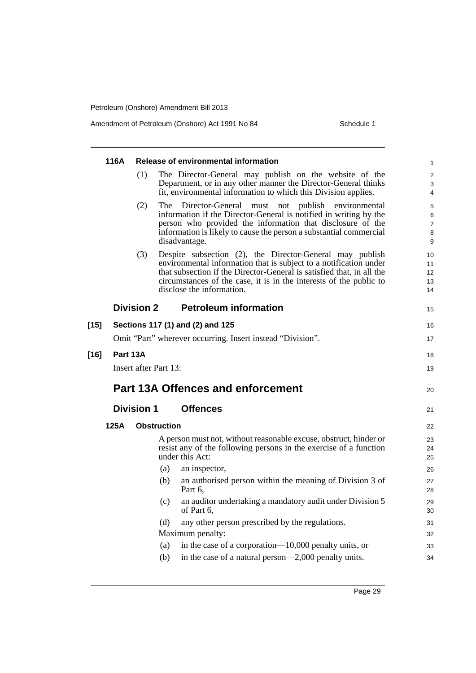Amendment of Petroleum (Onshore) Act 1991 No 84 Schedule 1

|        | 116A     |                       |                    | Release of environmental information                                                                                                                                                                                                                                                                      | 1                                 |
|--------|----------|-----------------------|--------------------|-----------------------------------------------------------------------------------------------------------------------------------------------------------------------------------------------------------------------------------------------------------------------------------------------------------|-----------------------------------|
|        |          | (1)                   |                    | The Director-General may publish on the website of the<br>Department, or in any other manner the Director-General thinks<br>fit, environmental information to which this Division applies.                                                                                                                | $\overline{\mathbf{c}}$<br>3<br>4 |
|        |          | (2)                   | The T              | Director-General must not publish environmental<br>information if the Director-General is notified in writing by the<br>person who provided the information that disclosure of the<br>information is likely to cause the person a substantial commercial<br>disadvantage.                                 | 5<br>6<br>7<br>8<br>9             |
|        |          | (3)                   |                    | Despite subsection (2), the Director-General may publish<br>environmental information that is subject to a notification under<br>that subsection if the Director-General is satisfied that, in all the<br>circumstances of the case, it is in the interests of the public to<br>disclose the information. | 10<br>11<br>12<br>13<br>14        |
|        |          | Division 2            |                    | <b>Petroleum information</b>                                                                                                                                                                                                                                                                              | 15                                |
| $[15]$ |          |                       |                    | Sections 117 (1) and (2) and 125                                                                                                                                                                                                                                                                          | 16                                |
|        |          |                       |                    | Omit "Part" wherever occurring. Insert instead "Division".                                                                                                                                                                                                                                                | 17                                |
| $[16]$ | Part 13A |                       |                    |                                                                                                                                                                                                                                                                                                           | 18                                |
|        |          | Insert after Part 13: |                    |                                                                                                                                                                                                                                                                                                           | 19                                |
|        |          |                       |                    |                                                                                                                                                                                                                                                                                                           |                                   |
|        |          |                       |                    | <b>Part 13A Offences and enforcement</b>                                                                                                                                                                                                                                                                  | 20                                |
|        |          | <b>Division 1</b>     |                    | <b>Offences</b>                                                                                                                                                                                                                                                                                           | 21                                |
|        | 125A     |                       | <b>Obstruction</b> |                                                                                                                                                                                                                                                                                                           | 22                                |
|        |          |                       |                    | A person must not, without reasonable excuse, obstruct, hinder or<br>resist any of the following persons in the exercise of a function<br>under this Act:                                                                                                                                                 | 23<br>24<br>25                    |
|        |          |                       | (a)                | an inspector,                                                                                                                                                                                                                                                                                             | 26                                |
|        |          |                       | (b)                | an authorised person within the meaning of Division 3 of<br>Part 6,                                                                                                                                                                                                                                       | 27<br>28                          |
|        |          |                       | (c)                | an auditor undertaking a mandatory audit under Division 5<br>of Part 6.                                                                                                                                                                                                                                   | 29<br>30                          |
|        |          |                       | (d)                | any other person prescribed by the regulations.                                                                                                                                                                                                                                                           | 31                                |
|        |          |                       |                    | Maximum penalty:                                                                                                                                                                                                                                                                                          | 32                                |
|        |          |                       | (a)<br>(b)         | in the case of a corporation—10,000 penalty units, or<br>in the case of a natural person—2,000 penalty units.                                                                                                                                                                                             | 33                                |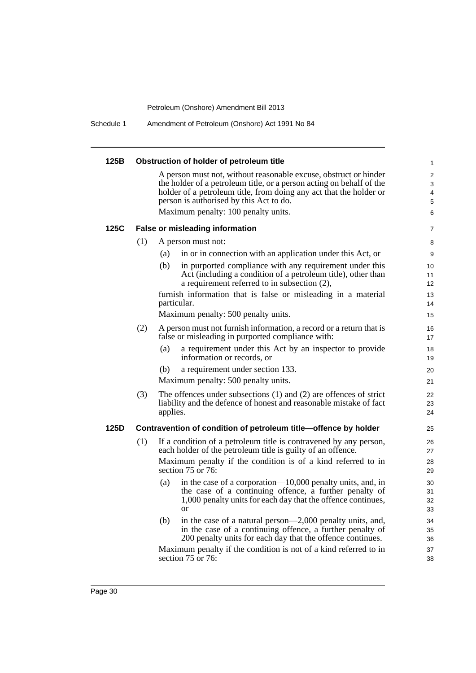Schedule 1 Amendment of Petroleum (Onshore) Act 1991 No 84

| 125B |     | Obstruction of holder of petroleum title                                                                                                                                                                                                                                                         | $\mathbf{1}$          |
|------|-----|--------------------------------------------------------------------------------------------------------------------------------------------------------------------------------------------------------------------------------------------------------------------------------------------------|-----------------------|
|      |     | A person must not, without reasonable excuse, obstruct or hinder<br>the holder of a petroleum title, or a person acting on behalf of the<br>holder of a petroleum title, from doing any act that the holder or<br>person is authorised by this Act to do.<br>Maximum penalty: 100 penalty units. | 2<br>3<br>4<br>5<br>6 |
| 125C |     | <b>False or misleading information</b>                                                                                                                                                                                                                                                           | $\overline{7}$        |
|      | (1) | A person must not:                                                                                                                                                                                                                                                                               | 8                     |
|      |     | in or in connection with an application under this Act, or<br>(a)                                                                                                                                                                                                                                | 9                     |
|      |     | (b)<br>in purported compliance with any requirement under this<br>Act (including a condition of a petroleum title), other than<br>a requirement referred to in subsection $(2)$ ,                                                                                                                | 10<br>11<br>12        |
|      |     | furnish information that is false or misleading in a material<br>particular.                                                                                                                                                                                                                     | 13<br>14              |
|      |     | Maximum penalty: 500 penalty units.                                                                                                                                                                                                                                                              | 15                    |
|      | (2) | A person must not furnish information, a record or a return that is<br>false or misleading in purported compliance with:                                                                                                                                                                         | 16<br>17              |
|      |     | a requirement under this Act by an inspector to provide<br>(a)<br>information or records, or                                                                                                                                                                                                     | 18<br>19              |
|      |     | (b)<br>a requirement under section 133.                                                                                                                                                                                                                                                          | 20                    |
|      |     | Maximum penalty: 500 penalty units.                                                                                                                                                                                                                                                              | 21                    |
|      | (3) | The offences under subsections $(1)$ and $(2)$ are offences of strict<br>liability and the defence of honest and reasonable mistake of fact<br>applies.                                                                                                                                          | 22<br>23<br>24        |
| 125D |     | Contravention of condition of petroleum title-offence by holder                                                                                                                                                                                                                                  | 25                    |
|      | (1) | If a condition of a petroleum title is contravened by any person,<br>each holder of the petroleum title is guilty of an offence.                                                                                                                                                                 | 26<br>27              |
|      |     | Maximum penalty if the condition is of a kind referred to in<br>section 75 or 76:                                                                                                                                                                                                                | 28<br>29              |
|      |     | in the case of a corporation—10,000 penalty units, and, in<br>(a)<br>the case of a continuing offence, a further penalty of<br>1,000 penalty units for each day that the offence continues,<br><b>or</b>                                                                                         | 30<br>31<br>32<br>33  |
|      |     | in the case of a natural person—2,000 penalty units, and,<br>(b)<br>in the case of a continuing offence, a further penalty of<br>200 penalty units for each day that the offence continues.                                                                                                      | 34<br>35<br>36        |
|      |     | Maximum penalty if the condition is not of a kind referred to in<br>section 75 or 76:                                                                                                                                                                                                            | 37<br>38              |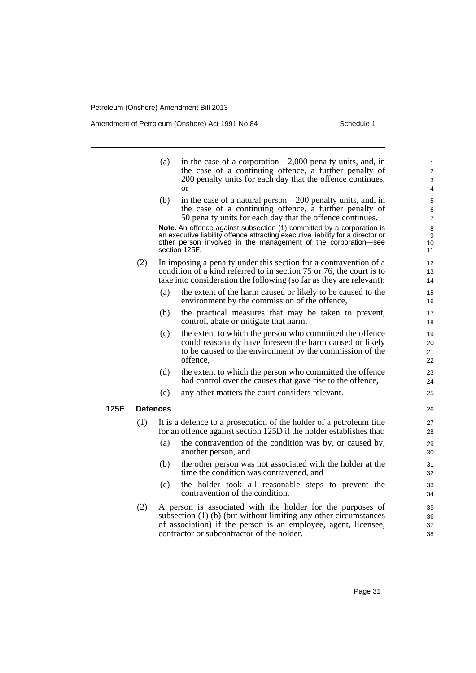**125E Defences**

Amendment of Petroleum (Onshore) Act 1991 No 84 Schedule 1

|     | (a)             | in the case of a corporation—2,000 penalty units, and, in<br>the case of a continuing offence, a further penalty of<br>200 penalty units for each day that the offence continues,<br><sub>or</sub>                                             | 1<br>$\overline{2}$<br>3<br>4     |
|-----|-----------------|------------------------------------------------------------------------------------------------------------------------------------------------------------------------------------------------------------------------------------------------|-----------------------------------|
|     | (b)             | in the case of a natural person—200 penalty units, and, in<br>the case of a continuing offence, a further penalty of<br>50 penalty units for each day that the offence continues.                                                              | 5<br>6<br>$\overline{7}$          |
|     |                 | Note. An offence against subsection (1) committed by a corporation is<br>an executive liability offence attracting executive liability for a director or<br>other person involved in the management of the corporation-see<br>section 125F.    | 8<br>$\boldsymbol{9}$<br>10<br>11 |
| (2) |                 | In imposing a penalty under this section for a contravention of a<br>condition of a kind referred to in section 75 or 76, the court is to<br>take into consideration the following (so far as they are relevant):                              | 12<br>13<br>14                    |
|     | (a)             | the extent of the harm caused or likely to be caused to the<br>environment by the commission of the offence,                                                                                                                                   | 15<br>16                          |
|     | (b)             | the practical measures that may be taken to prevent,<br>control, abate or mitigate that harm,                                                                                                                                                  | 17<br>18                          |
|     | (c)             | the extent to which the person who committed the offence<br>could reasonably have foreseen the harm caused or likely<br>to be caused to the environment by the commission of the<br>offence,                                                   | 19<br>20<br>21<br>22              |
|     | (d)             | the extent to which the person who committed the offence<br>had control over the causes that gave rise to the offence,                                                                                                                         | 23<br>24                          |
|     | (e)             | any other matters the court considers relevant.                                                                                                                                                                                                | 25                                |
|     | <b>Defences</b> |                                                                                                                                                                                                                                                | 26                                |
| (1) |                 | It is a defence to a prosecution of the holder of a petroleum title<br>for an offence against section 125D if the holder establishes that:                                                                                                     | 27<br>28                          |
|     | (a)             | the contravention of the condition was by, or caused by,<br>another person, and                                                                                                                                                                | 29<br>30                          |
|     | (b)             | the other person was not associated with the holder at the<br>time the condition was contravened, and                                                                                                                                          | 31<br>32                          |
|     | (c)             | the holder took all reasonable steps to prevent the<br>contravention of the condition.                                                                                                                                                         | 33<br>34                          |
| (2) |                 | A person is associated with the holder for the purposes of<br>subsection (1) (b) (but without limiting any other circumstances<br>of association) if the person is an employee, agent, licensee,<br>contractor or subcontractor of the holder. | 35<br>36<br>37<br>38              |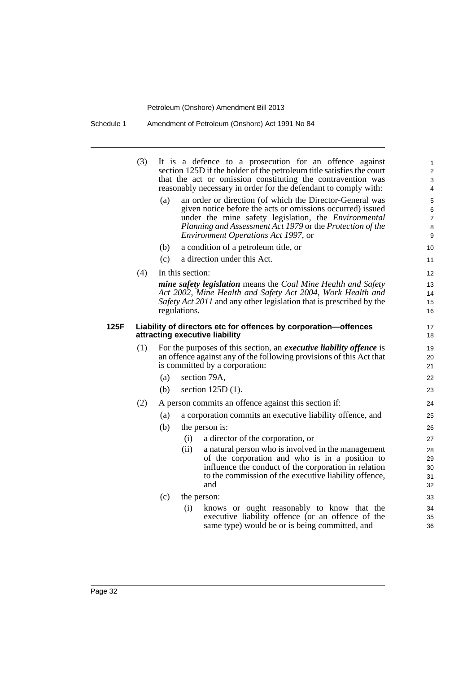Schedule 1 Amendment of Petroleum (Onshore) Act 1991 No 84

|      | (3)                                                                                               |     |                  | It is a defence to a prosecution for an offence against<br>section 125D if the holder of the petroleum title satisfies the court<br>that the act or omission constituting the contravention was<br>reasonably necessary in order for the defendant to comply with:                 | 1<br>$\mathbf 2$<br>3<br>4               |  |  |  |
|------|---------------------------------------------------------------------------------------------------|-----|------------------|------------------------------------------------------------------------------------------------------------------------------------------------------------------------------------------------------------------------------------------------------------------------------------|------------------------------------------|--|--|--|
|      |                                                                                                   | (a) |                  | an order or direction (of which the Director-General was<br>given notice before the acts or omissions occurred) issued<br>under the mine safety legislation, the Environmental<br>Planning and Assessment Act 1979 or the Protection of the<br>Environment Operations Act 1997, or | 5<br>6<br>$\overline{7}$<br>$\bf 8$<br>9 |  |  |  |
|      |                                                                                                   | (b) |                  | a condition of a petroleum title, or                                                                                                                                                                                                                                               | 10 <sup>°</sup>                          |  |  |  |
|      |                                                                                                   | (c) |                  | a direction under this Act.                                                                                                                                                                                                                                                        | 11                                       |  |  |  |
|      | (4)                                                                                               |     | In this section: |                                                                                                                                                                                                                                                                                    | $12 \overline{ }$                        |  |  |  |
|      |                                                                                                   |     | regulations.     | mine safety legislation means the Coal Mine Health and Safety<br>Act 2002, Mine Health and Safety Act 2004, Work Health and<br>Safety Act 2011 and any other legislation that is prescribed by the                                                                                 | 13<br>14<br>15<br>16                     |  |  |  |
| 125F | Liability of directors etc for offences by corporation-offences<br>attracting executive liability |     |                  |                                                                                                                                                                                                                                                                                    |                                          |  |  |  |
|      | (1)                                                                                               |     |                  | For the purposes of this section, an <i>executive liability offence</i> is<br>an offence against any of the following provisions of this Act that<br>is committed by a corporation:                                                                                                | 19<br>20<br>21                           |  |  |  |
|      |                                                                                                   | (a) |                  | section 79A,                                                                                                                                                                                                                                                                       | 22                                       |  |  |  |
|      |                                                                                                   | (b) |                  | section $125D(1)$ .                                                                                                                                                                                                                                                                | 23                                       |  |  |  |
|      | (2)                                                                                               |     |                  | A person commits an offence against this section if:                                                                                                                                                                                                                               | 24                                       |  |  |  |
|      |                                                                                                   | (a) |                  | a corporation commits an executive liability offence, and                                                                                                                                                                                                                          | 25                                       |  |  |  |
|      |                                                                                                   | (b) |                  | the person is:                                                                                                                                                                                                                                                                     | 26                                       |  |  |  |
|      |                                                                                                   |     | (i)              | a director of the corporation, or                                                                                                                                                                                                                                                  | 27                                       |  |  |  |
|      |                                                                                                   |     | (ii)             | a natural person who is involved in the management<br>of the corporation and who is in a position to<br>influence the conduct of the corporation in relation<br>to the commission of the executive liability offence,<br>and                                                       | 28<br>29<br>30<br>31<br>32               |  |  |  |
|      |                                                                                                   | (c) |                  | the person:                                                                                                                                                                                                                                                                        | 33                                       |  |  |  |
|      |                                                                                                   |     | (i)              | knows or ought reasonably to know that the<br>executive liability offence (or an offence of the<br>same type) would be or is being committed, and                                                                                                                                  | 34<br>35<br>36                           |  |  |  |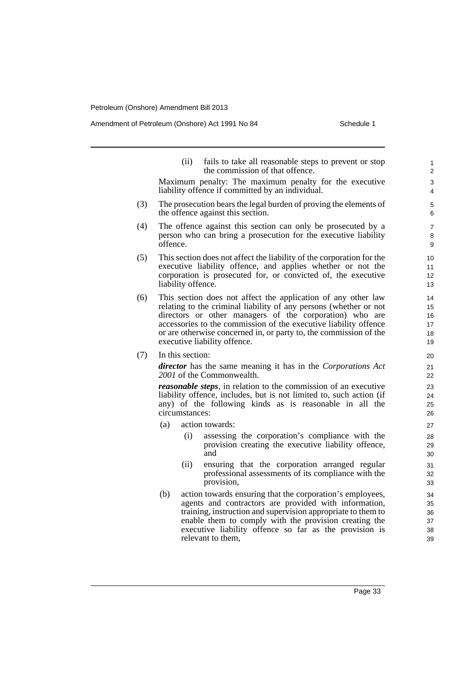### Amendment of Petroleum (Onshore) Act 1991 No 84 Schedule 1

- (ii) fails to take all reasonable steps to prevent or stop the commission of that offence. Maximum penalty: The maximum penalty for the executive liability offence if committed by an individual. (3) The prosecution bears the legal burden of proving the elements of the offence against this section. (4) The offence against this section can only be prosecuted by a person who can bring a prosecution for the executive liability offence. (5) This section does not affect the liability of the corporation for the executive liability offence, and applies whether or not the corporation is prosecuted for, or convicted of, the executive
- (6) This section does not affect the application of any other law relating to the criminal liability of any persons (whether or not directors or other managers of the corporation) who are accessories to the commission of the executive liability offence or are otherwise concerned in, or party to, the commission of the executive liability offence.
- (7) In this section:

liability offence.

*director* has the same meaning it has in the *Corporations Act 2001* of the Commonwealth.

*reasonable steps*, in relation to the commission of an executive liability offence, includes, but is not limited to, such action (if any) of the following kinds as is reasonable in all the circumstances:

- (a) action towards:
	- (i) assessing the corporation's compliance with the provision creating the executive liability offence, and
	- (ii) ensuring that the corporation arranged regular professional assessments of its compliance with the provision,
- (b) action towards ensuring that the corporation's employees, agents and contractors are provided with information, training, instruction and supervision appropriate to them to enable them to comply with the provision creating the executive liability offence so far as the provision is relevant to them,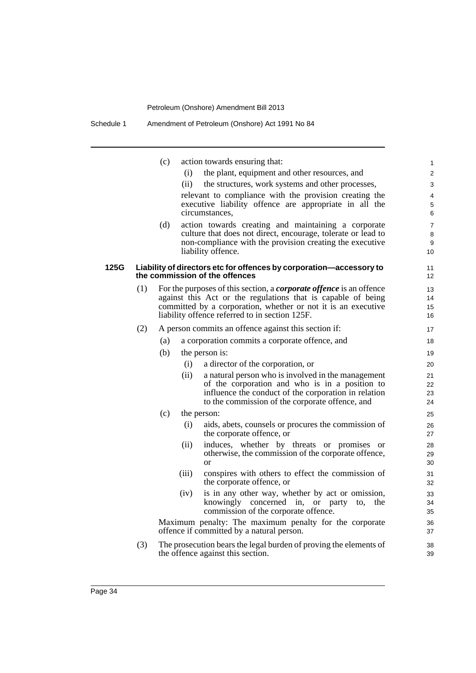the offence against this section.

|      |     | (c) |       | action towards ensuring that:                                                                                            | $\mathbf{1}$            |
|------|-----|-----|-------|--------------------------------------------------------------------------------------------------------------------------|-------------------------|
|      |     |     | (i)   | the plant, equipment and other resources, and                                                                            | 2                       |
|      |     |     | (ii)  | the structures, work systems and other processes,                                                                        | 3                       |
|      |     |     |       | relevant to compliance with the provision creating the                                                                   | 4                       |
|      |     |     |       | executive liability offence are appropriate in all the                                                                   | 5                       |
|      |     |     |       | circumstances,                                                                                                           | 6                       |
|      |     | (d) |       | action towards creating and maintaining a corporate                                                                      | $\overline{7}$          |
|      |     |     |       | culture that does not direct, encourage, tolerate or lead to<br>non-compliance with the provision creating the executive | 8<br>9                  |
|      |     |     |       | liability offence.                                                                                                       | 10                      |
| 125G |     |     |       | Liability of directors etc for offences by corporation-accessory to<br>the commission of the offences                    | 11<br>$12 \overline{ }$ |
|      | (1) |     |       | For the purposes of this section, a <i>corporate offence</i> is an offence                                               | 13                      |
|      |     |     |       | against this Act or the regulations that is capable of being                                                             | 14                      |
|      |     |     |       | committed by a corporation, whether or not it is an executive                                                            | 15                      |
|      |     |     |       | liability offence referred to in section 125F.                                                                           | 16                      |
|      | (2) |     |       | A person commits an offence against this section if:                                                                     | 17                      |
|      |     | (a) |       | a corporation commits a corporate offence, and                                                                           | 18                      |
|      |     | (b) |       | the person is:                                                                                                           | 19                      |
|      |     |     | (i)   | a director of the corporation, or                                                                                        | 20                      |
|      |     |     | (ii)  | a natural person who is involved in the management                                                                       | 21                      |
|      |     |     |       | of the corporation and who is in a position to                                                                           | 22                      |
|      |     |     |       | influence the conduct of the corporation in relation<br>to the commission of the corporate offence, and                  | 23<br>24                |
|      |     | (c) |       | the person:                                                                                                              | 25                      |
|      |     |     | (i)   | aids, abets, counsels or procures the commission of                                                                      | 26                      |
|      |     |     |       | the corporate offence, or                                                                                                | 27                      |
|      |     |     | (ii)  | induces, whether by threats or promises or                                                                               | 28                      |
|      |     |     |       | otherwise, the commission of the corporate offence,                                                                      | 29                      |
|      |     |     |       | <b>or</b>                                                                                                                | 30                      |
|      |     |     | (iii) | conspires with others to effect the commission of<br>the corporate offence, or                                           | 31<br>32                |
|      |     |     | (iv)  | is in any other way, whether by act or omission,                                                                         | 33                      |
|      |     |     |       | knowingly concerned in, or<br>the<br>party<br>to,                                                                        | 34                      |
|      |     |     |       | commission of the corporate offence.                                                                                     | 35                      |
|      |     |     |       | Maximum penalty: The maximum penalty for the corporate<br>offence if committed by a natural person.                      | 36<br>37                |
|      |     |     |       |                                                                                                                          |                         |
|      | (3) |     |       | The prosecution bears the legal burden of proving the elements of                                                        | 38                      |

39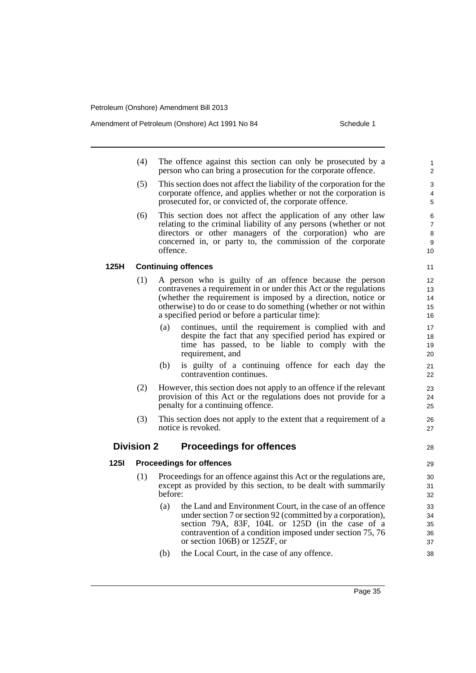Amendment of Petroleum (Onshore) Act 1991 No 84 Schedule 1

28

- (4) The offence against this section can only be prosecuted by a person who can bring a prosecution for the corporate offence.
- (5) This section does not affect the liability of the corporation for the corporate offence, and applies whether or not the corporation is prosecuted for, or convicted of, the corporate offence.
- (6) This section does not affect the application of any other law relating to the criminal liability of any persons (whether or not directors or other managers of the corporation) who are concerned in, or party to, the commission of the corporate offence.

**125H Continuing offences**

- (1) A person who is guilty of an offence because the person contravenes a requirement in or under this Act or the regulations (whether the requirement is imposed by a direction, notice or otherwise) to do or cease to do something (whether or not within a specified period or before a particular time):
	- (a) continues, until the requirement is complied with and despite the fact that any specified period has expired or time has passed, to be liable to comply with the requirement, and
	- (b) is guilty of a continuing offence for each day the contravention continues.
- (2) However, this section does not apply to an offence if the relevant provision of this Act or the regulations does not provide for a penalty for a continuing offence.
- (3) This section does not apply to the extent that a requirement of a notice is revoked.

### **Division 2 Proceedings for offences**

**125I Proceedings for offences**

- (1) Proceedings for an offence against this Act or the regulations are, except as provided by this section, to be dealt with summarily before:
	- (a) the Land and Environment Court, in the case of an offence under section 7 or section 92 (committed by a corporation), section 79A, 83F, 104L or 125D (in the case of a contravention of a condition imposed under section 75, 76 or section 106B) or 125ZF, or
	- (b) the Local Court, in the case of any offence.

Page 35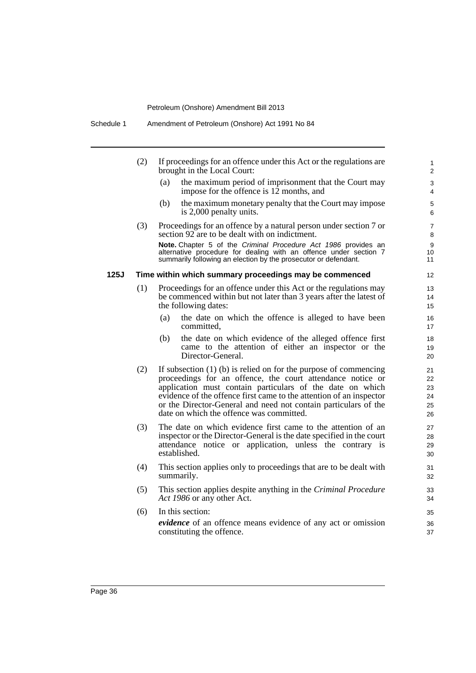|      | (2) | If proceedings for an offence under this Act or the regulations are<br>brought in the Local Court:                                                                                                                                                                                                                                                                                  | $\mathbf{1}$<br>$\overline{2}$   |
|------|-----|-------------------------------------------------------------------------------------------------------------------------------------------------------------------------------------------------------------------------------------------------------------------------------------------------------------------------------------------------------------------------------------|----------------------------------|
|      |     | the maximum period of imprisonment that the Court may<br>(a)<br>impose for the offence is 12 months, and                                                                                                                                                                                                                                                                            | 3<br>$\overline{4}$              |
|      |     | (b)<br>the maximum monetary penalty that the Court may impose<br>is 2,000 penalty units.                                                                                                                                                                                                                                                                                            | 5<br>6                           |
|      | (3) | Proceedings for an offence by a natural person under section 7 or<br>section 92 are to be dealt with on indictment.                                                                                                                                                                                                                                                                 | $\overline{7}$<br>8              |
|      |     | Note. Chapter 5 of the Criminal Procedure Act 1986 provides an<br>alternative procedure for dealing with an offence under section 7<br>summarily following an election by the prosecutor or defendant.                                                                                                                                                                              | 9<br>10<br>11                    |
| 125J |     | Time within which summary proceedings may be commenced                                                                                                                                                                                                                                                                                                                              | 12                               |
|      | (1) | Proceedings for an offence under this Act or the regulations may<br>be commenced within but not later than 3 years after the latest of<br>the following dates:                                                                                                                                                                                                                      | 13<br>14<br>15                   |
|      |     | the date on which the offence is alleged to have been<br>(a)<br>committed,                                                                                                                                                                                                                                                                                                          | 16<br>17                         |
|      |     | the date on which evidence of the alleged offence first<br>(b)<br>came to the attention of either an inspector or the<br>Director-General.                                                                                                                                                                                                                                          | 18<br>19<br>20                   |
|      | (2) | If subsection $(1)$ (b) is relied on for the purpose of commencing<br>proceedings for an offence, the court attendance notice or<br>application must contain particulars of the date on which<br>evidence of the offence first came to the attention of an inspector<br>or the Director-General and need not contain particulars of the<br>date on which the offence was committed. | 21<br>22<br>23<br>24<br>25<br>26 |
|      | (3) | The date on which evidence first came to the attention of an<br>inspector or the Director-General is the date specified in the court<br>attendance notice or application, unless the contrary is<br>established.                                                                                                                                                                    | 27<br>28<br>29<br>30             |
|      | (4) | This section applies only to proceedings that are to be dealt with<br>summarily.                                                                                                                                                                                                                                                                                                    | 31<br>32                         |
|      | (5) | This section applies despite anything in the Criminal Procedure<br>Act 1986 or any other Act.                                                                                                                                                                                                                                                                                       | 33<br>34                         |
|      | (6) | In this section:                                                                                                                                                                                                                                                                                                                                                                    | 35                               |
|      |     | evidence of an offence means evidence of any act or omission<br>constituting the offence.                                                                                                                                                                                                                                                                                           | 36<br>37                         |
|      |     |                                                                                                                                                                                                                                                                                                                                                                                     |                                  |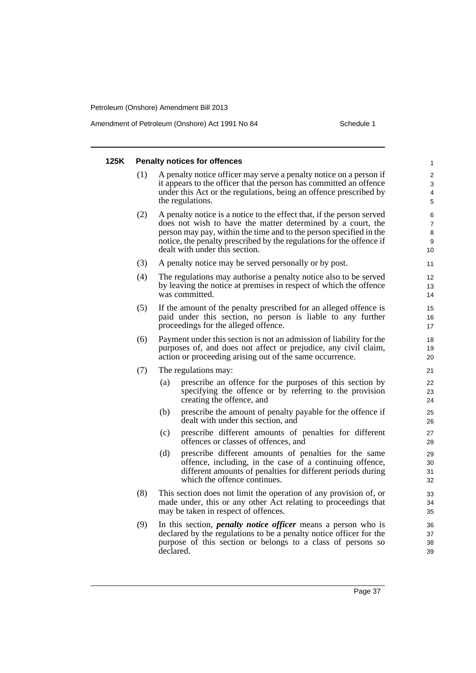Amendment of Petroleum (Onshore) Act 1991 No 84 Schedule 1

### **125K Penalty notices for offences** (1) A penalty notice officer may serve a penalty notice on a person if it appears to the officer that the person has committed an offence under this Act or the regulations, being an offence prescribed by the regulations. (2) A penalty notice is a notice to the effect that, if the person served does not wish to have the matter determined by a court, the person may pay, within the time and to the person specified in the notice, the penalty prescribed by the regulations for the offence if dealt with under this section. (3) A penalty notice may be served personally or by post. (4) The regulations may authorise a penalty notice also to be served by leaving the notice at premises in respect of which the offence was committed. (5) If the amount of the penalty prescribed for an alleged offence is paid under this section, no person is liable to any further proceedings for the alleged offence. (6) Payment under this section is not an admission of liability for the purposes of, and does not affect or prejudice, any civil claim, action or proceeding arising out of the same occurrence. (7) The regulations may: (a) prescribe an offence for the purposes of this section by specifying the offence or by referring to the provision creating the offence, and (b) prescribe the amount of penalty payable for the offence if dealt with under this section, and (c) prescribe different amounts of penalties for different offences or classes of offences, and (d) prescribe different amounts of penalties for the same offence, including, in the case of a continuing offence, different amounts of penalties for different periods during which the offence continues. (8) This section does not limit the operation of any provision of, or made under, this or any other Act relating to proceedings that may be taken in respect of offences. (9) In this section, *penalty notice officer* means a person who is declared by the regulations to be a penalty notice officer for the purpose of this section or belongs to a class of persons so declared. 1 2 3 4 5 6 7 8 9 10 11 12 13 14 15 16 17 18 19 20 21  $22$  $23$  $24$ 25 26 27 28 29 30 31 32 33 34 35 36 37 38 39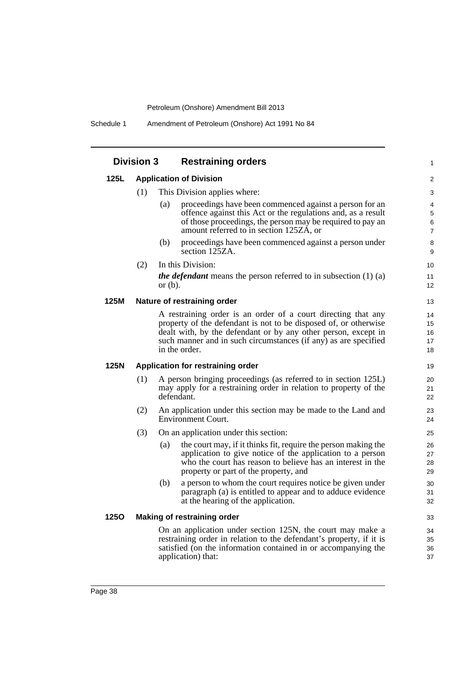Schedule 1 Amendment of Petroleum (Onshore) Act 1991 No 84

|             | <b>Division 3</b> | <b>Restraining orders</b>                                                                                                          | $\mathbf{1}$      |  |  |  |
|-------------|-------------------|------------------------------------------------------------------------------------------------------------------------------------|-------------------|--|--|--|
| 125L        |                   | <b>Application of Division</b>                                                                                                     | 2                 |  |  |  |
|             | (1)               | This Division applies where:                                                                                                       |                   |  |  |  |
|             |                   | proceedings have been commenced against a person for an<br>(a)                                                                     | 4                 |  |  |  |
|             |                   | offence against this Act or the regulations and, as a result                                                                       | $\sqrt{5}$        |  |  |  |
|             |                   | of those proceedings, the person may be required to pay an                                                                         | 6                 |  |  |  |
|             |                   | amount referred to in section 125ZA, or                                                                                            | $\overline{7}$    |  |  |  |
|             |                   | (b)<br>proceedings have been commenced against a person under<br>section 125ZA.                                                    | 8<br>9            |  |  |  |
|             | (2)               | In this Division:                                                                                                                  | 10                |  |  |  |
|             |                   | <i>the defendant</i> means the person referred to in subsection $(1)$ $(a)$                                                        | 11                |  |  |  |
|             |                   | or $(b)$ .                                                                                                                         | $12 \overline{ }$ |  |  |  |
| 125M        |                   | Nature of restraining order                                                                                                        | 13                |  |  |  |
|             |                   | A restraining order is an order of a court directing that any                                                                      | 14                |  |  |  |
|             |                   | property of the defendant is not to be disposed of, or otherwise                                                                   | 15                |  |  |  |
|             |                   | dealt with, by the defendant or by any other person, except in                                                                     | 16                |  |  |  |
|             |                   | such manner and in such circumstances (if any) as are specified<br>in the order.                                                   | 17<br>18          |  |  |  |
| 125N        |                   | Application for restraining order                                                                                                  | 19                |  |  |  |
|             |                   |                                                                                                                                    |                   |  |  |  |
|             | (1)               | A person bringing proceedings (as referred to in section 125L)<br>may apply for a restraining order in relation to property of the | 20<br>21          |  |  |  |
|             |                   | defendant.                                                                                                                         | 22                |  |  |  |
|             | (2)               | An application under this section may be made to the Land and                                                                      | 23                |  |  |  |
|             |                   | Environment Court.                                                                                                                 | 24                |  |  |  |
|             | (3)               | On an application under this section:                                                                                              | 25                |  |  |  |
|             |                   | the court may, if it thinks fit, require the person making the<br>(a)                                                              | 26                |  |  |  |
|             |                   | application to give notice of the application to a person                                                                          | 27                |  |  |  |
|             |                   | who the court has reason to believe has an interest in the                                                                         | 28                |  |  |  |
|             |                   | property or part of the property, and                                                                                              | 29                |  |  |  |
|             |                   | a person to whom the court requires notice be given under<br>(b)                                                                   | 30                |  |  |  |
|             |                   | paragraph (a) is entitled to appear and to adduce evidence<br>at the hearing of the application.                                   | 31<br>32          |  |  |  |
| <b>1250</b> |                   | Making of restraining order                                                                                                        | 33                |  |  |  |
|             |                   | On an application under section 125N, the court may make a                                                                         | 34                |  |  |  |
|             |                   | restraining order in relation to the defendant's property, if it is                                                                | 35                |  |  |  |
|             |                   | satisfied (on the information contained in or accompanying the                                                                     | 36                |  |  |  |
|             |                   | application) that:                                                                                                                 |                   |  |  |  |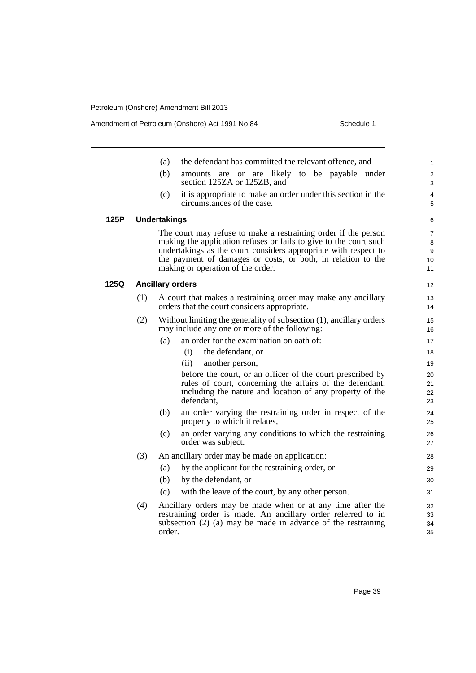## Amendment of Petroleum (Onshore) Act 1991 No 84 Schedule 1

|      |     | the defendant has committed the relevant offence, and<br>(a)                                                                                                                                                                                                                                                | 1                            |
|------|-----|-------------------------------------------------------------------------------------------------------------------------------------------------------------------------------------------------------------------------------------------------------------------------------------------------------------|------------------------------|
|      |     | (b)<br>amounts are or are likely to be payable under<br>section 125ZA or 125ZB, and                                                                                                                                                                                                                         | $\overline{\mathbf{c}}$<br>3 |
|      |     | (c)<br>it is appropriate to make an order under this section in the<br>circumstances of the case.                                                                                                                                                                                                           | 4<br>5                       |
| 125P |     | <b>Undertakings</b>                                                                                                                                                                                                                                                                                         | 6                            |
|      |     | The court may refuse to make a restraining order if the person<br>making the application refuses or fails to give to the court such<br>undertakings as the court considers appropriate with respect to<br>the payment of damages or costs, or both, in relation to the<br>making or operation of the order. | 7<br>8<br>9<br>10<br>11      |
| 125Q |     | <b>Ancillary orders</b>                                                                                                                                                                                                                                                                                     | 12                           |
|      | (1) | A court that makes a restraining order may make any ancillary<br>orders that the court considers appropriate.                                                                                                                                                                                               | 13<br>14                     |
|      | (2) | Without limiting the generality of subsection (1), ancillary orders<br>may include any one or more of the following:                                                                                                                                                                                        | 15<br>16                     |
|      |     | an order for the examination on oath of:<br>(a)                                                                                                                                                                                                                                                             | 17                           |
|      |     | the defendant, or<br>(i)                                                                                                                                                                                                                                                                                    | 18                           |
|      |     | (ii)<br>another person,                                                                                                                                                                                                                                                                                     | 19                           |
|      |     | before the court, or an officer of the court prescribed by<br>rules of court, concerning the affairs of the defendant,<br>including the nature and location of any property of the<br>defendant.                                                                                                            | 20<br>21<br>22<br>23         |
|      |     | (b)<br>an order varying the restraining order in respect of the<br>property to which it relates,                                                                                                                                                                                                            | 24<br>25                     |
|      |     | (c)<br>an order varying any conditions to which the restraining<br>order was subject.                                                                                                                                                                                                                       | 26<br>27                     |
|      | (3) | An ancillary order may be made on application:                                                                                                                                                                                                                                                              | 28                           |
|      |     | by the applicant for the restraining order, or<br>(a)                                                                                                                                                                                                                                                       | 29                           |
|      |     | (b)<br>by the defendant, or                                                                                                                                                                                                                                                                                 | 30                           |
|      |     | (c)<br>with the leave of the court, by any other person.                                                                                                                                                                                                                                                    | 31                           |
|      | (4) | Ancillary orders may be made when or at any time after the<br>restraining order is made. An ancillary order referred to in<br>subsection $(2)$ $(a)$ may be made in advance of the restraining<br>order.                                                                                                    | 32<br>33<br>34<br>35         |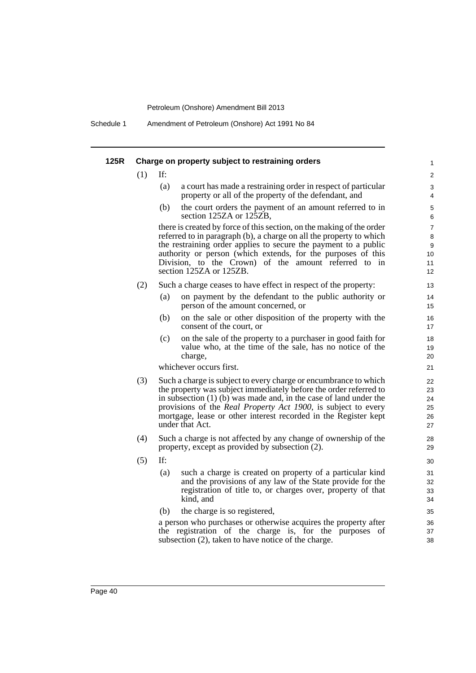Schedule 1 Amendment of Petroleum (Onshore) Act 1991 No 84

| 125R |     |     | Charge on property subject to restraining orders                                                                                                                                                                                                                                                                                                                            | 1                                          |
|------|-----|-----|-----------------------------------------------------------------------------------------------------------------------------------------------------------------------------------------------------------------------------------------------------------------------------------------------------------------------------------------------------------------------------|--------------------------------------------|
|      | (1) | If: |                                                                                                                                                                                                                                                                                                                                                                             | 2                                          |
|      |     | (a) | a court has made a restraining order in respect of particular<br>property or all of the property of the defendant, and                                                                                                                                                                                                                                                      | 3<br>4                                     |
|      |     | (b) | the court orders the payment of an amount referred to in<br>section 125ZA or 125ZB,                                                                                                                                                                                                                                                                                         | $\sqrt{5}$<br>6                            |
|      |     |     | there is created by force of this section, on the making of the order<br>referred to in paragraph (b), a charge on all the property to which<br>the restraining order applies to secure the payment to a public<br>authority or person (which extends, for the purposes of this<br>Division, to the Crown) of the amount referred to in<br>section 125ZA or 125ZB.          | $\overline{7}$<br>8<br>9<br>10<br>11<br>12 |
|      | (2) |     | Such a charge ceases to have effect in respect of the property:                                                                                                                                                                                                                                                                                                             | 13                                         |
|      |     | (a) | on payment by the defendant to the public authority or<br>person of the amount concerned, or                                                                                                                                                                                                                                                                                | 14<br>15                                   |
|      |     | (b) | on the sale or other disposition of the property with the<br>consent of the court, or                                                                                                                                                                                                                                                                                       | 16<br>17                                   |
|      |     | (c) | on the sale of the property to a purchaser in good faith for<br>value who, at the time of the sale, has no notice of the<br>charge,                                                                                                                                                                                                                                         | 18<br>19<br>20                             |
|      |     |     | whichever occurs first.                                                                                                                                                                                                                                                                                                                                                     | 21                                         |
|      | (3) |     | Such a charge is subject to every charge or encumbrance to which<br>the property was subject immediately before the order referred to<br>in subsection $(1)$ (b) was made and, in the case of land under the<br>provisions of the <i>Real Property Act 1900</i> , is subject to every<br>mortgage, lease or other interest recorded in the Register kept<br>under that Act. | 22<br>23<br>24<br>25<br>26<br>27           |
|      | (4) |     | Such a charge is not affected by any change of ownership of the<br>property, except as provided by subsection (2).                                                                                                                                                                                                                                                          | 28<br>29                                   |
|      | (5) | If: |                                                                                                                                                                                                                                                                                                                                                                             | 30                                         |
|      |     | (a) | such a charge is created on property of a particular kind<br>and the provisions of any law of the State provide for the<br>registration of title to, or charges over, property of that<br>kind, and                                                                                                                                                                         | 31<br>32<br>33<br>34                       |
|      |     | (b) | the charge is so registered,                                                                                                                                                                                                                                                                                                                                                | 35                                         |
|      |     |     | a person who purchases or otherwise acquires the property after<br>the registration of the charge is, for the purposes of<br>subsection (2), taken to have notice of the charge.                                                                                                                                                                                            | 36<br>37<br>38                             |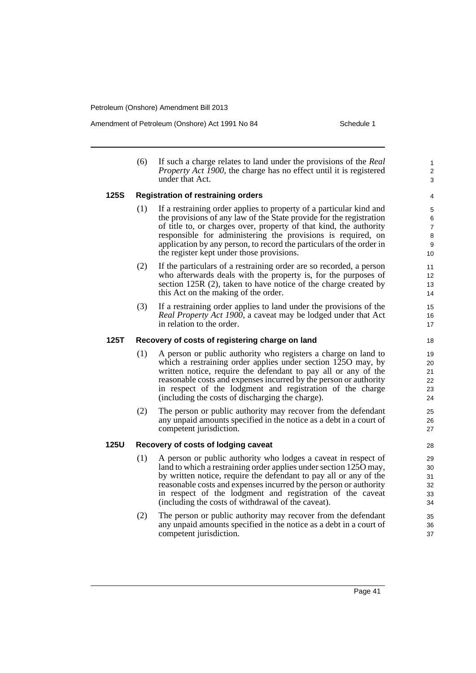Amendment of Petroleum (Onshore) Act 1991 No 84 Schedule 1

1 2 3

(6) If such a charge relates to land under the provisions of the *Real Property Act 1900*, the charge has no effect until it is registered under that Act.

### **125S Registration of restraining orders**

- (1) If a restraining order applies to property of a particular kind and the provisions of any law of the State provide for the registration of title to, or charges over, property of that kind, the authority responsible for administering the provisions is required, on application by any person, to record the particulars of the order in the register kept under those provisions.
- (2) If the particulars of a restraining order are so recorded, a person who afterwards deals with the property is, for the purposes of section 125R (2), taken to have notice of the charge created by this Act on the making of the order.
- (3) If a restraining order applies to land under the provisions of the *Real Property Act 1900*, a caveat may be lodged under that Act in relation to the order.

### **125T Recovery of costs of registering charge on land**

- (1) A person or public authority who registers a charge on land to which a restraining order applies under section 1250 may, by written notice, require the defendant to pay all or any of the reasonable costs and expenses incurred by the person or authority in respect of the lodgment and registration of the charge (including the costs of discharging the charge).
- (2) The person or public authority may recover from the defendant any unpaid amounts specified in the notice as a debt in a court of competent jurisdiction.

### **125U Recovery of costs of lodging caveat**

- (1) A person or public authority who lodges a caveat in respect of land to which a restraining order applies under section 125O may, by written notice, require the defendant to pay all or any of the reasonable costs and expenses incurred by the person or authority in respect of the lodgment and registration of the caveat (including the costs of withdrawal of the caveat).
- (2) The person or public authority may recover from the defendant any unpaid amounts specified in the notice as a debt in a court of competent jurisdiction.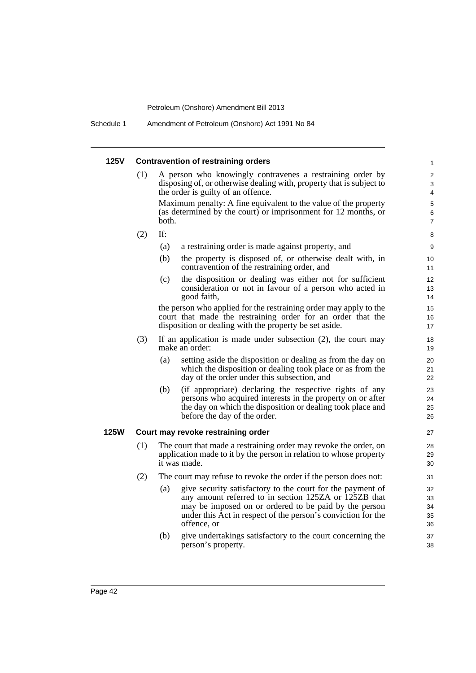Schedule 1 Amendment of Petroleum (Onshore) Act 1991 No 84

### **125V Contravention of restraining orders** (1) A person who knowingly contravenes a restraining order by disposing of, or otherwise dealing with, property that is subject to the order is guilty of an offence. Maximum penalty: A fine equivalent to the value of the property (as determined by the court) or imprisonment for 12 months, or both. (2) If: (a) a restraining order is made against property, and (b) the property is disposed of, or otherwise dealt with, in contravention of the restraining order, and (c) the disposition or dealing was either not for sufficient consideration or not in favour of a person who acted in good faith, the person who applied for the restraining order may apply to the court that made the restraining order for an order that the disposition or dealing with the property be set aside. (3) If an application is made under subsection (2), the court may make an order: (a) setting aside the disposition or dealing as from the day on which the disposition or dealing took place or as from the day of the order under this subsection, and (b) (if appropriate) declaring the respective rights of any persons who acquired interests in the property on or after the day on which the disposition or dealing took place and before the day of the order. **125W Court may revoke restraining order** (1) The court that made a restraining order may revoke the order, on application made to it by the person in relation to whose property it was made. (2) The court may refuse to revoke the order if the person does not: (a) give security satisfactory to the court for the payment of any amount referred to in section 125ZA or 125ZB that may be imposed on or ordered to be paid by the person under this Act in respect of the person's conviction for the offence, or (b) give undertakings satisfactory to the court concerning the person's property. 1 2 3 4 5 6 7 8 9 10 11 12 13 14 15 16 17 18 19  $20$ 21 22 23 24 25 26 27 28 29 30 31 32 33 34 35 36 37 38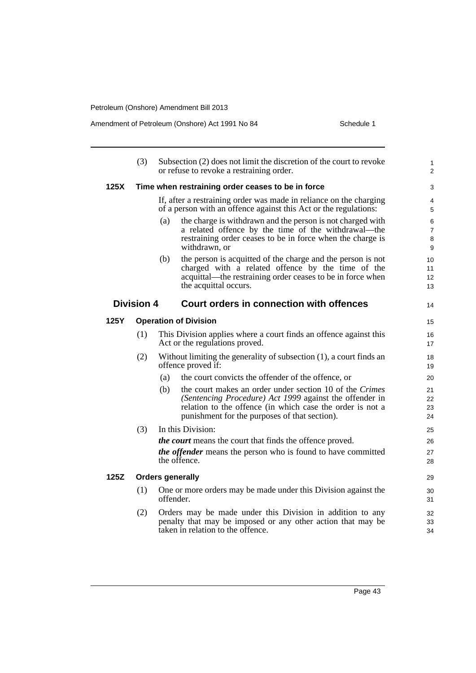Amendment of Petroleum (Onshore) Act 1991 No 84 Schedule 1

|      | (3)               | Subsection (2) does not limit the discretion of the court to revoke<br>or refuse to revoke a restraining order.                                                                                                                         | $\mathbf{1}$<br>2             |
|------|-------------------|-----------------------------------------------------------------------------------------------------------------------------------------------------------------------------------------------------------------------------------------|-------------------------------|
| 125X |                   | Time when restraining order ceases to be in force                                                                                                                                                                                       | 3                             |
|      |                   | If, after a restraining order was made in reliance on the charging<br>of a person with an offence against this Act or the regulations:                                                                                                  | 4<br>5                        |
|      |                   | the charge is withdrawn and the person is not charged with<br>(a)<br>a related offence by the time of the withdrawal—the<br>restraining order ceases to be in force when the charge is<br>withdrawn, or                                 | 6<br>$\overline{7}$<br>8<br>9 |
|      |                   | (b)<br>the person is acquitted of the charge and the person is not<br>charged with a related offence by the time of the<br>acquittal—the restraining order ceases to be in force when<br>the acquittal occurs.                          | 10<br>11<br>12<br>13          |
|      | <b>Division 4</b> | Court orders in connection with offences                                                                                                                                                                                                | 14                            |
| 125Y |                   | <b>Operation of Division</b>                                                                                                                                                                                                            | 15                            |
|      | (1)               | This Division applies where a court finds an offence against this<br>Act or the regulations proved.                                                                                                                                     | 16<br>17                      |
|      | (2)               | Without limiting the generality of subsection $(1)$ , a court finds an<br>offence proved if:                                                                                                                                            | 18<br>19                      |
|      |                   | the court convicts the offender of the offence, or<br>(a)                                                                                                                                                                               | 20                            |
|      |                   | the court makes an order under section 10 of the Crimes<br>(b)<br>(Sentencing Procedure) Act 1999 against the offender in<br>relation to the offence (in which case the order is not a<br>punishment for the purposes of that section). | 21<br>22<br>23<br>24          |
|      | (3)               | In this Division:                                                                                                                                                                                                                       | 25                            |
|      |                   | <i>the court</i> means the court that finds the offence proved.                                                                                                                                                                         | 26                            |
|      |                   | <i>the offender</i> means the person who is found to have committed<br>the offence.                                                                                                                                                     | 27<br>28                      |
| 125Z |                   | <b>Orders generally</b>                                                                                                                                                                                                                 | 29                            |
|      | (1)               | One or more orders may be made under this Division against the<br>offender.                                                                                                                                                             | 30<br>31                      |
|      | (2)               | Orders may be made under this Division in addition to any<br>penalty that may be imposed or any other action that may be<br>taken in relation to the offence.                                                                           | 32<br>33<br>34                |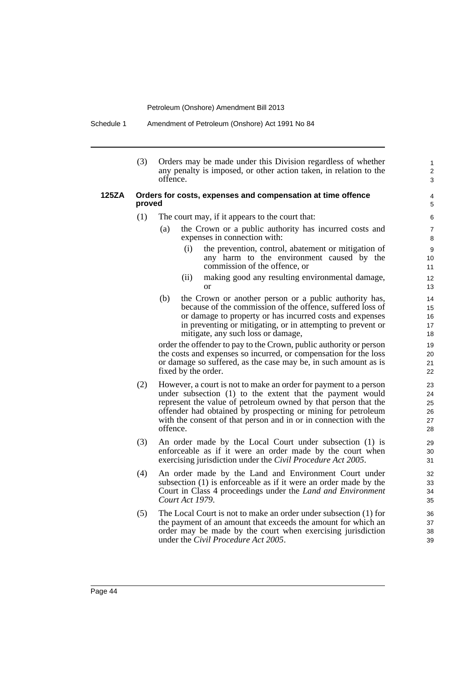Schedule 1 Amendment of Petroleum (Onshore) Act 1991 No 84

(3) Orders may be made under this Division regardless of whether any penalty is imposed, or other action taken, in relation to the offence.

### **125ZA Orders for costs, expenses and compensation at time offence proved**

- (1) The court may, if it appears to the court that:
	- (a) the Crown or a public authority has incurred costs and expenses in connection with:
		- (i) the prevention, control, abatement or mitigation of any harm to the environment caused by the commission of the offence, or

1 2 3

- (ii) making good any resulting environmental damage, or
- (b) the Crown or another person or a public authority has, because of the commission of the offence, suffered loss of or damage to property or has incurred costs and expenses in preventing or mitigating, or in attempting to prevent or mitigate, any such loss or damage,

order the offender to pay to the Crown, public authority or person the costs and expenses so incurred, or compensation for the loss or damage so suffered, as the case may be, in such amount as is fixed by the order.

- (2) However, a court is not to make an order for payment to a person under subsection (1) to the extent that the payment would represent the value of petroleum owned by that person that the offender had obtained by prospecting or mining for petroleum with the consent of that person and in or in connection with the offence.
- (3) An order made by the Local Court under subsection (1) is enforceable as if it were an order made by the court when exercising jurisdiction under the *Civil Procedure Act 2005*.
- (4) An order made by the Land and Environment Court under subsection (1) is enforceable as if it were an order made by the Court in Class 4 proceedings under the *Land and Environment Court Act 1979*.
- (5) The Local Court is not to make an order under subsection (1) for the payment of an amount that exceeds the amount for which an order may be made by the court when exercising jurisdiction under the *Civil Procedure Act 2005*.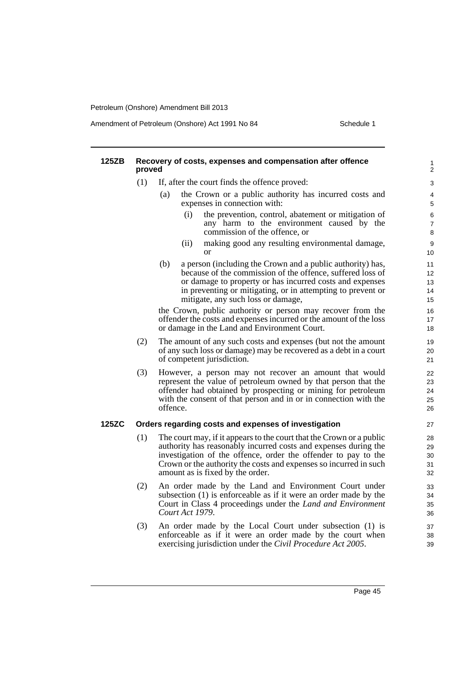Amendment of Petroleum (Onshore) Act 1991 No 84 Schedule 1

| 125ZB | proved | Recovery of costs, expenses and compensation after offence                                                                                                                                                                                                                                                         | $\mathbf{1}$<br>$\overline{c}$ |
|-------|--------|--------------------------------------------------------------------------------------------------------------------------------------------------------------------------------------------------------------------------------------------------------------------------------------------------------------------|--------------------------------|
|       | (1)    | If, after the court finds the offence proved:                                                                                                                                                                                                                                                                      | $\mathsf 3$                    |
|       |        | the Crown or a public authority has incurred costs and<br>(a)<br>expenses in connection with:                                                                                                                                                                                                                      | 4<br>5                         |
|       |        | (i)<br>the prevention, control, abatement or mitigation of<br>any harm to the environment caused by the<br>commission of the offence, or                                                                                                                                                                           | 6<br>$\overline{7}$<br>8       |
|       |        | making good any resulting environmental damage,<br>(ii)<br><b>or</b>                                                                                                                                                                                                                                               | 9<br>10                        |
|       |        | (b)<br>a person (including the Crown and a public authority) has,<br>because of the commission of the offence, suffered loss of<br>or damage to property or has incurred costs and expenses<br>in preventing or mitigating, or in attempting to prevent or<br>mitigate, any such loss or damage,                   | 11<br>12<br>13<br>14<br>15     |
|       |        | the Crown, public authority or person may recover from the<br>offender the costs and expenses incurred or the amount of the loss<br>or damage in the Land and Environment Court.                                                                                                                                   | 16<br>17<br>18                 |
|       | (2)    | The amount of any such costs and expenses (but not the amount<br>of any such loss or damage) may be recovered as a debt in a court<br>of competent jurisdiction.                                                                                                                                                   | 19<br>20<br>21                 |
|       | (3)    | However, a person may not recover an amount that would<br>represent the value of petroleum owned by that person that the<br>offender had obtained by prospecting or mining for petroleum<br>with the consent of that person and in or in connection with the<br>offence.                                           | 22<br>23<br>24<br>25<br>26     |
| 125ZC |        | Orders regarding costs and expenses of investigation                                                                                                                                                                                                                                                               | 27                             |
|       | (1)    | The court may, if it appears to the court that the Crown or a public<br>authority has reasonably incurred costs and expenses during the<br>investigation of the offence, order the offender to pay to the<br>Crown or the authority the costs and expenses so incurred in such<br>amount as is fixed by the order. | 28<br>29<br>30<br>31<br>32     |
|       | (2)    | An order made by the Land and Environment Court under<br>subsection (1) is enforceable as if it were an order made by the<br>Court in Class 4 proceedings under the <i>Land and Environment</i><br>Court Act 1979.                                                                                                 | 33<br>34<br>35<br>36           |
|       | (3)    | An order made by the Local Court under subsection (1) is<br>enforceable as if it were an order made by the court when<br>exercising jurisdiction under the Civil Procedure Act 2005.                                                                                                                               | 37<br>38<br>39                 |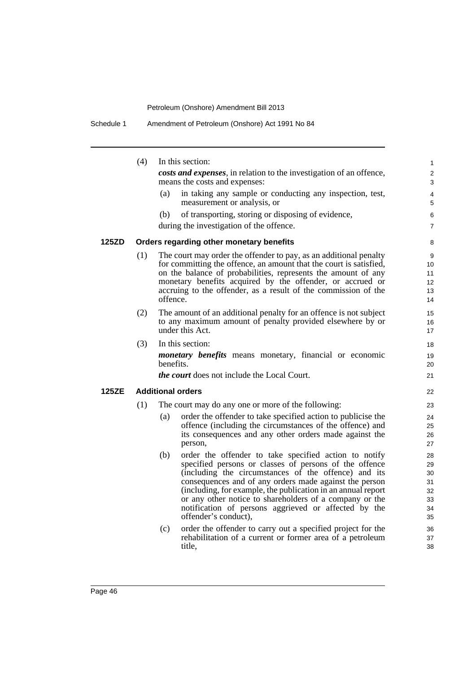|              | (4) | In this section:                                                                                                                                                                                                                                                                                                                                                                                                                                                                                                                                                                                 | 1                                                              |
|--------------|-----|--------------------------------------------------------------------------------------------------------------------------------------------------------------------------------------------------------------------------------------------------------------------------------------------------------------------------------------------------------------------------------------------------------------------------------------------------------------------------------------------------------------------------------------------------------------------------------------------------|----------------------------------------------------------------|
|              |     | costs and expenses, in relation to the investigation of an offence,<br>means the costs and expenses:                                                                                                                                                                                                                                                                                                                                                                                                                                                                                             | $\overline{c}$<br>3                                            |
|              |     | in taking any sample or conducting any inspection, test,<br>(a)<br>measurement or analysis, or                                                                                                                                                                                                                                                                                                                                                                                                                                                                                                   | 4<br>5                                                         |
|              |     | of transporting, storing or disposing of evidence,<br>(b)                                                                                                                                                                                                                                                                                                                                                                                                                                                                                                                                        | 6                                                              |
|              |     | during the investigation of the offence.                                                                                                                                                                                                                                                                                                                                                                                                                                                                                                                                                         | 7                                                              |
| <b>125ZD</b> |     | Orders regarding other monetary benefits                                                                                                                                                                                                                                                                                                                                                                                                                                                                                                                                                         | 8                                                              |
|              | (1) | The court may order the offender to pay, as an additional penalty<br>for committing the offence, an amount that the court is satisfied,<br>on the balance of probabilities, represents the amount of any<br>monetary benefits acquired by the offender, or accrued or<br>accruing to the offender, as a result of the commission of the<br>offence.                                                                                                                                                                                                                                              | 9<br>10<br>11<br>12<br>13<br>14                                |
|              | (2) | The amount of an additional penalty for an offence is not subject<br>to any maximum amount of penalty provided elsewhere by or<br>under this Act.                                                                                                                                                                                                                                                                                                                                                                                                                                                | 15<br>16<br>17                                                 |
|              | (3) | In this section:                                                                                                                                                                                                                                                                                                                                                                                                                                                                                                                                                                                 | 18                                                             |
|              |     | <i>monetary benefits</i> means monetary, financial or economic<br>benefits.                                                                                                                                                                                                                                                                                                                                                                                                                                                                                                                      | 19<br>20                                                       |
|              |     | <i>the court</i> does not include the Local Court.                                                                                                                                                                                                                                                                                                                                                                                                                                                                                                                                               | 21                                                             |
| <b>125ZE</b> |     | <b>Additional orders</b>                                                                                                                                                                                                                                                                                                                                                                                                                                                                                                                                                                         | 22                                                             |
|              | (1) | The court may do any one or more of the following:                                                                                                                                                                                                                                                                                                                                                                                                                                                                                                                                               | 23                                                             |
|              |     | order the offender to take specified action to publicise the<br>(a)<br>offence (including the circumstances of the offence) and<br>its consequences and any other orders made against the<br>person,                                                                                                                                                                                                                                                                                                                                                                                             | 24<br>25<br>26<br>27                                           |
|              |     | order the offender to take specified action to notify<br>(b)<br>specified persons or classes of persons of the offence<br>(including the circumstances of the offence) and its<br>consequences and of any orders made against the person<br>(including, for example, the publication in an annual report<br>or any other notice to shareholders of a company or the<br>notification of persons aggrieved or affected by the<br>offender's conduct),<br>order the offender to carry out a specified project for the<br>(c)<br>rehabilitation of a current or former area of a petroleum<br>title, | 28<br>29<br>30<br>31<br>32<br>33<br>34<br>35<br>36<br>37<br>38 |
|              |     |                                                                                                                                                                                                                                                                                                                                                                                                                                                                                                                                                                                                  |                                                                |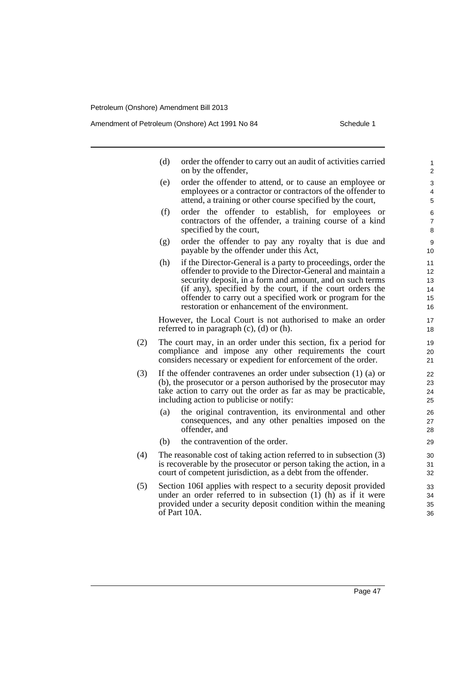Amendment of Petroleum (Onshore) Act 1991 No 84 Schedule 1

- (d) order the offender to carry out an audit of activities carried on by the offender,
- (e) order the offender to attend, or to cause an employee or employees or a contractor or contractors of the offender to attend, a training or other course specified by the court,
- (f) order the offender to establish, for employees or contractors of the offender, a training course of a kind specified by the court,
- (g) order the offender to pay any royalty that is due and payable by the offender under this Act,
- (h) if the Director-General is a party to proceedings, order the offender to provide to the Director-General and maintain a security deposit, in a form and amount, and on such terms (if any), specified by the court, if the court orders the offender to carry out a specified work or program for the restoration or enhancement of the environment.

However, the Local Court is not authorised to make an order referred to in paragraph (c), (d) or (h).

- (2) The court may, in an order under this section, fix a period for compliance and impose any other requirements the court considers necessary or expedient for enforcement of the order.
- (3) If the offender contravenes an order under subsection (1) (a) or (b), the prosecutor or a person authorised by the prosecutor may take action to carry out the order as far as may be practicable, including action to publicise or notify:
	- (a) the original contravention, its environmental and other consequences, and any other penalties imposed on the offender, and
	- (b) the contravention of the order.
- (4) The reasonable cost of taking action referred to in subsection (3) is recoverable by the prosecutor or person taking the action, in a court of competent jurisdiction, as a debt from the offender.
- (5) Section 106I applies with respect to a security deposit provided under an order referred to in subsection (1) (h) as if it were provided under a security deposit condition within the meaning of Part 10A.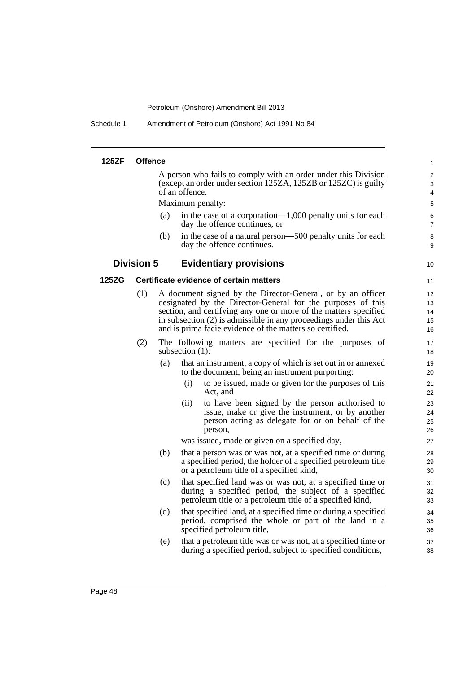Schedule 1 Amendment of Petroleum (Onshore) Act 1991 No 84

| <b>125ZF</b> | <b>Offence</b>    |     |                    |                                                                                                                                                                                                                                                                                                                                 | $\mathbf{1}$               |
|--------------|-------------------|-----|--------------------|---------------------------------------------------------------------------------------------------------------------------------------------------------------------------------------------------------------------------------------------------------------------------------------------------------------------------------|----------------------------|
|              |                   |     | of an offence.     | A person who fails to comply with an order under this Division<br>(except an order under section 125ZA, 125ZB or 125ZC) is guilty                                                                                                                                                                                               | $\overline{2}$<br>3<br>4   |
|              |                   |     | Maximum penalty:   |                                                                                                                                                                                                                                                                                                                                 | 5                          |
|              |                   | (a) |                    | in the case of a corporation— $1,000$ penalty units for each<br>day the offence continues, or                                                                                                                                                                                                                                   | 6<br>7                     |
|              |                   | (b) |                    | in the case of a natural person—500 penalty units for each<br>day the offence continues.                                                                                                                                                                                                                                        | 8<br>9                     |
|              | <b>Division 5</b> |     |                    | <b>Evidentiary provisions</b>                                                                                                                                                                                                                                                                                                   | 10                         |
| 125ZG        |                   |     |                    | Certificate evidence of certain matters                                                                                                                                                                                                                                                                                         | 11                         |
|              | (1)               |     |                    | A document signed by the Director-General, or by an officer<br>designated by the Director-General for the purposes of this<br>section, and certifying any one or more of the matters specified<br>in subsection (2) is admissible in any proceedings under this Act<br>and is prima facie evidence of the matters so certified. | 12<br>13<br>14<br>15<br>16 |
|              | (2)               |     | subsection $(1)$ : | The following matters are specified for the purposes of                                                                                                                                                                                                                                                                         | 17<br>18                   |
|              |                   | (a) |                    | that an instrument, a copy of which is set out in or annexed<br>to the document, being an instrument purporting:                                                                                                                                                                                                                | 19<br>20                   |
|              |                   |     | (i)                | to be issued, made or given for the purposes of this<br>Act. and                                                                                                                                                                                                                                                                | 21<br>22                   |
|              |                   |     | (ii)               | to have been signed by the person authorised to<br>issue, make or give the instrument, or by another<br>person acting as delegate for or on behalf of the<br>person,                                                                                                                                                            | 23<br>24<br>25<br>26       |
|              |                   |     |                    | was issued, made or given on a specified day,                                                                                                                                                                                                                                                                                   | 27                         |
|              |                   | (b) |                    | that a person was or was not, at a specified time or during<br>a specified period, the holder of a specified petroleum title<br>or a petroleum title of a specified kind,                                                                                                                                                       | 28<br>29<br>30             |
|              |                   | (c) |                    | that specified land was or was not, at a specified time or<br>during a specified period, the subject of a specified<br>petroleum title or a petroleum title of a specified kind,                                                                                                                                                | 31<br>32<br>33             |
|              |                   | (d) |                    | that specified land, at a specified time or during a specified<br>period, comprised the whole or part of the land in a<br>specified petroleum title,                                                                                                                                                                            | 34<br>35<br>36             |
|              |                   | (e) |                    | that a petroleum title was or was not, at a specified time or<br>during a specified period, subject to specified conditions,                                                                                                                                                                                                    | 37<br>38                   |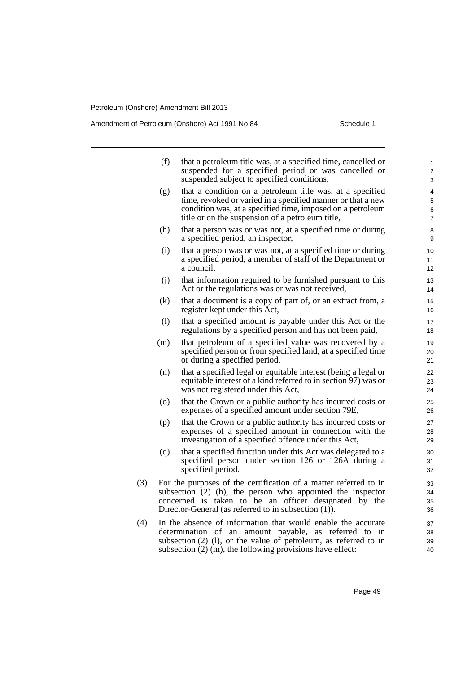Amendment of Petroleum (Onshore) Act 1991 No 84 Schedule 1

|     | (f)                                                                                                                                                                                                                                                                        | that a petroleum title was, at a specified time, cancelled or<br>suspended for a specified period or was cancelled or<br>suspended subject to specified conditions,                                                                                           | 1<br>2<br>3          |  |  |
|-----|----------------------------------------------------------------------------------------------------------------------------------------------------------------------------------------------------------------------------------------------------------------------------|---------------------------------------------------------------------------------------------------------------------------------------------------------------------------------------------------------------------------------------------------------------|----------------------|--|--|
|     | (g)                                                                                                                                                                                                                                                                        | that a condition on a petroleum title was, at a specified<br>time, revoked or varied in a specified manner or that a new<br>condition was, at a specified time, imposed on a petroleum<br>title or on the suspension of a petroleum title,                    | 4<br>5<br>6<br>7     |  |  |
|     | (h)                                                                                                                                                                                                                                                                        | that a person was or was not, at a specified time or during<br>a specified period, an inspector,                                                                                                                                                              | 8<br>9               |  |  |
|     | (i)                                                                                                                                                                                                                                                                        | that a person was or was not, at a specified time or during<br>a specified period, a member of staff of the Department or<br>a council,                                                                                                                       | 10<br>11<br>12       |  |  |
|     | (i)                                                                                                                                                                                                                                                                        | that information required to be furnished pursuant to this<br>Act or the regulations was or was not received,                                                                                                                                                 | 13<br>14             |  |  |
|     | (k)                                                                                                                                                                                                                                                                        | that a document is a copy of part of, or an extract from, a<br>register kept under this Act,                                                                                                                                                                  | 15<br>16             |  |  |
|     | (1)                                                                                                                                                                                                                                                                        | that a specified amount is payable under this Act or the<br>regulations by a specified person and has not been paid,                                                                                                                                          | 17<br>18             |  |  |
|     | (m)                                                                                                                                                                                                                                                                        | that petroleum of a specified value was recovered by a<br>specified person or from specified land, at a specified time<br>or during a specified period,                                                                                                       | 19<br>20<br>21       |  |  |
|     | (n)                                                                                                                                                                                                                                                                        | that a specified legal or equitable interest (being a legal or<br>equitable interest of a kind referred to in section 97) was or<br>was not registered under this Act,                                                                                        | 22<br>23<br>24       |  |  |
|     | (0)                                                                                                                                                                                                                                                                        | that the Crown or a public authority has incurred costs or<br>expenses of a specified amount under section 79E,                                                                                                                                               | 25<br>26             |  |  |
|     | (p)                                                                                                                                                                                                                                                                        | that the Crown or a public authority has incurred costs or<br>expenses of a specified amount in connection with the<br>investigation of a specified offence under this Act,                                                                                   | 27<br>28<br>29       |  |  |
|     | (q)                                                                                                                                                                                                                                                                        | that a specified function under this Act was delegated to a<br>specified person under section 126 or 126A during a<br>specified period.                                                                                                                       | 30<br>31<br>32       |  |  |
| (3) | For the purposes of the certification of a matter referred to in<br>33<br>subsection (2) (h), the person who appointed the inspector<br>34<br>concerned is taken to be an officer designated by the<br>35<br>Director-General (as referred to in subsection $(1)$ ).<br>36 |                                                                                                                                                                                                                                                               |                      |  |  |
| (4) |                                                                                                                                                                                                                                                                            | In the absence of information that would enable the accurate<br>determination of an amount payable, as referred to in<br>subsection $(2)$ $(1)$ , or the value of petroleum, as referred to in<br>subsection $(2)$ (m), the following provisions have effect: | 37<br>38<br>39<br>40 |  |  |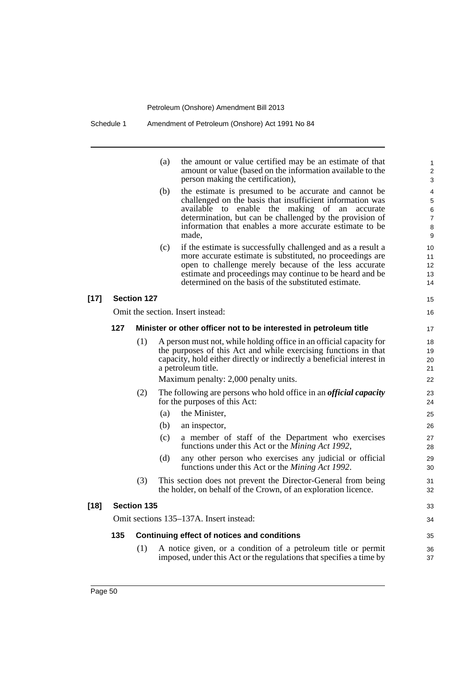|        |     |                    | (a)<br>the amount or value certified may be an estimate of that<br>amount or value (based on the information available to the<br>person making the certification),                                                                                                                                            | 1<br>$\boldsymbol{2}$<br>3                           |
|--------|-----|--------------------|---------------------------------------------------------------------------------------------------------------------------------------------------------------------------------------------------------------------------------------------------------------------------------------------------------------|------------------------------------------------------|
|        |     |                    | (b)<br>the estimate is presumed to be accurate and cannot be<br>challenged on the basis that insufficient information was<br>available to enable the making of an accurate<br>determination, but can be challenged by the provision of<br>information that enables a more accurate estimate to be<br>made.    | $\overline{4}$<br>5<br>6<br>$\overline{7}$<br>8<br>9 |
|        |     |                    | if the estimate is successfully challenged and as a result a<br>(c)<br>more accurate estimate is substituted, no proceedings are<br>open to challenge merely because of the less accurate<br>estimate and proceedings may continue to be heard and be<br>determined on the basis of the substituted estimate. | 10<br>11<br>12<br>13<br>14                           |
| $[17]$ |     | <b>Section 127</b> |                                                                                                                                                                                                                                                                                                               | 15                                                   |
|        |     |                    | Omit the section. Insert instead:                                                                                                                                                                                                                                                                             | 16                                                   |
|        | 127 |                    | Minister or other officer not to be interested in petroleum title                                                                                                                                                                                                                                             | 17                                                   |
|        |     | (1)                | A person must not, while holding office in an official capacity for<br>the purposes of this Act and while exercising functions in that<br>capacity, hold either directly or indirectly a beneficial interest in<br>a petroleum title.<br>Maximum penalty: 2,000 penalty units.                                | 18<br>19<br>20<br>21<br>22                           |
|        |     |                    |                                                                                                                                                                                                                                                                                                               |                                                      |
|        |     | (2)                | The following are persons who hold office in an <i>official capacity</i><br>for the purposes of this Act:                                                                                                                                                                                                     | 23<br>24                                             |
|        |     |                    | the Minister,<br>(a)                                                                                                                                                                                                                                                                                          | 25                                                   |
|        |     |                    | (b)<br>an inspector,                                                                                                                                                                                                                                                                                          | 26                                                   |
|        |     |                    | (c)<br>a member of staff of the Department who exercises<br>functions under this Act or the <i>Mining Act 1992</i> ,                                                                                                                                                                                          | 27<br>28                                             |
|        |     |                    | (d)<br>any other person who exercises any judicial or official<br>functions under this Act or the <i>Mining Act 1992</i> .                                                                                                                                                                                    | 29<br>30                                             |
|        |     | (3)                | This section does not prevent the Director-General from being<br>the holder, on behalf of the Crown, of an exploration licence.                                                                                                                                                                               | 31<br>32                                             |
| $[18]$ |     | <b>Section 135</b> |                                                                                                                                                                                                                                                                                                               | 33                                                   |
|        |     |                    | Omit sections 135–137A. Insert instead:                                                                                                                                                                                                                                                                       | 34                                                   |
|        | 135 |                    | <b>Continuing effect of notices and conditions</b>                                                                                                                                                                                                                                                            | 35                                                   |
|        |     | (1)                | A notice given, or a condition of a petroleum title or permit<br>imposed, under this Act or the regulations that specifies a time by                                                                                                                                                                          | 36<br>37                                             |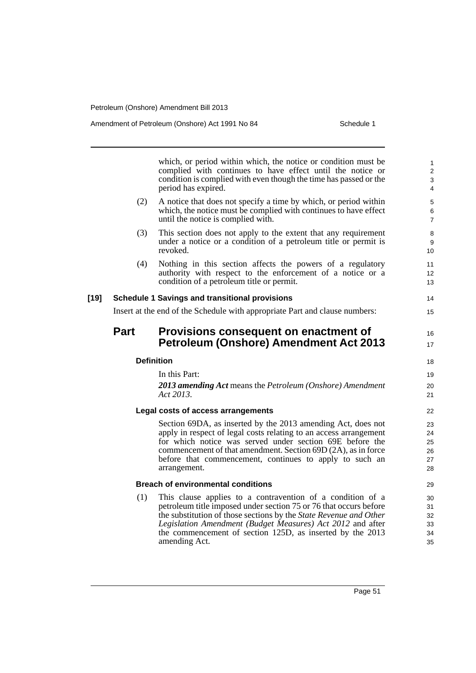amending Act.

which, or period within which, the notice or condition must be complied with continues to have effect until the notice or condition is complied with even though the time has passed or the period has expired. (2) A notice that does not specify a time by which, or period within which, the notice must be complied with continues to have effect until the notice is complied with. (3) This section does not apply to the extent that any requirement under a notice or a condition of a petroleum title or permit is revoked. (4) Nothing in this section affects the powers of a regulatory authority with respect to the enforcement of a notice or a condition of a petroleum title or permit. **[19] Schedule 1 Savings and transitional provisions** Insert at the end of the Schedule with appropriate Part and clause numbers: **Part Provisions consequent on enactment of Petroleum (Onshore) Amendment Act 2013 Definition** In this Part: *2013 amending Act* means the *Petroleum (Onshore) Amendment Act 2013*. **Legal costs of access arrangements** Section 69DA, as inserted by the 2013 amending Act, does not apply in respect of legal costs relating to an access arrangement for which notice was served under section 69E before the commencement of that amendment. Section 69D (2A), as in force before that commencement, continues to apply to such an arrangement. **Breach of environmental conditions** (1) This clause applies to a contravention of a condition of a petroleum title imposed under section 75 or 76 that occurs before the substitution of those sections by the *State Revenue and Other Legislation Amendment (Budget Measures) Act 2012* and after the commencement of section 125D, as inserted by the 2013 1  $\overline{2}$ 3 4 5 6 7 8 9 10 11 12 13 14 15 16 17 18 19 20 21 22 23 24 25 26 27 28 29 30 31 32 33 34

35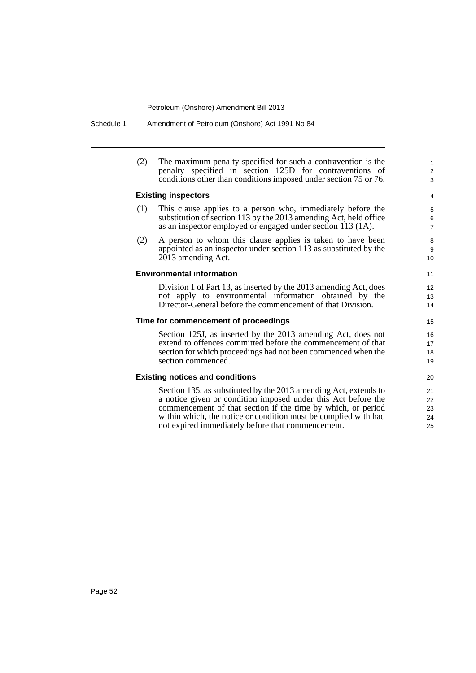Schedule 1 Amendment of Petroleum (Onshore) Act 1991 No 84

| (2) | The maximum penalty specified for such a contravention is the<br>penalty specified in section 125D for contraventions of<br>conditions other than conditions imposed under section 75 or 76.                                                                                                                              | $\mathbf{1}$<br>$\overline{\mathbf{c}}$<br>3 |
|-----|---------------------------------------------------------------------------------------------------------------------------------------------------------------------------------------------------------------------------------------------------------------------------------------------------------------------------|----------------------------------------------|
|     | <b>Existing inspectors</b>                                                                                                                                                                                                                                                                                                | 4                                            |
| (1) | This clause applies to a person who, immediately before the<br>substitution of section 113 by the 2013 amending Act, held office<br>as an inspector employed or engaged under section 113 (1A).                                                                                                                           | 5<br>6<br>$\overline{7}$                     |
| (2) | A person to whom this clause applies is taken to have been<br>appointed as an inspector under section 113 as substituted by the<br>2013 amending Act.                                                                                                                                                                     | 8<br>9<br>10                                 |
|     | <b>Environmental information</b>                                                                                                                                                                                                                                                                                          | 11                                           |
|     | Division 1 of Part 13, as inserted by the 2013 amending Act, does<br>not apply to environmental information obtained by the<br>Director-General before the commencement of that Division.                                                                                                                                 | 12<br>13<br>14                               |
|     | Time for commencement of proceedings                                                                                                                                                                                                                                                                                      | 15                                           |
|     | Section 125J, as inserted by the 2013 amending Act, does not<br>extend to offences committed before the commencement of that<br>section for which proceedings had not been commenced when the<br>section commenced.                                                                                                       | 16<br>17<br>18<br>19                         |
|     | <b>Existing notices and conditions</b>                                                                                                                                                                                                                                                                                    | 20                                           |
|     | Section 135, as substituted by the 2013 amending Act, extends to<br>a notice given or condition imposed under this Act before the<br>commencement of that section if the time by which, or period<br>within which, the notice or condition must be complied with had<br>not expired immediately before that commencement. | 21<br>22<br>23<br>24<br>25                   |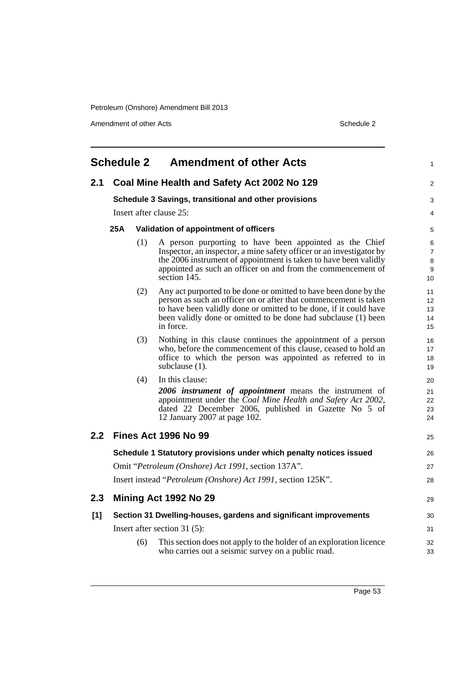Amendment of other Acts Schedule 2

|               | <b>Schedule 2</b> |     | <b>Amendment of other Acts</b>                                                                                                                                                                                                                                                           | 1                                   |
|---------------|-------------------|-----|------------------------------------------------------------------------------------------------------------------------------------------------------------------------------------------------------------------------------------------------------------------------------------------|-------------------------------------|
| 2.1           |                   |     | Coal Mine Health and Safety Act 2002 No 129                                                                                                                                                                                                                                              | $\overline{c}$                      |
|               |                   |     | Schedule 3 Savings, transitional and other provisions                                                                                                                                                                                                                                    | 3                                   |
|               |                   |     | Insert after clause 25:                                                                                                                                                                                                                                                                  | 4                                   |
|               | 25A               |     | Validation of appointment of officers                                                                                                                                                                                                                                                    | 5                                   |
|               |                   | (1) | A person purporting to have been appointed as the Chief<br>Inspector, an inspector, a mine safety officer or an investigator by<br>the 2006 instrument of appointment is taken to have been validly<br>appointed as such an officer on and from the commencement of<br>section 145.      | 6<br>$\overline{7}$<br>8<br>9<br>10 |
|               |                   | (2) | Any act purported to be done or omitted to have been done by the<br>person as such an officer on or after that commencement is taken<br>to have been validly done or omitted to be done, if it could have<br>been validly done or omitted to be done had subclause (1) been<br>in force. | 11<br>12<br>13<br>14<br>15          |
|               |                   | (3) | Nothing in this clause continues the appointment of a person<br>who, before the commencement of this clause, ceased to hold an<br>office to which the person was appointed as referred to in<br>subclause (1).                                                                           | 16<br>17<br>18<br>19                |
|               |                   | (4) | In this clause:<br>2006 instrument of appointment means the instrument of<br>appointment under the Coal Mine Health and Safety Act 2002,<br>dated 22 December 2006, published in Gazette No 5 of<br>12 January 2007 at page 102.                                                         | 20<br>21<br>22<br>23<br>24          |
| $2.2^{\circ}$ |                   |     | <b>Fines Act 1996 No 99</b>                                                                                                                                                                                                                                                              | 25                                  |
|               |                   |     | Schedule 1 Statutory provisions under which penalty notices issued<br>Omit "Petroleum (Onshore) Act 1991, section 137A".<br>Insert instead "Petroleum (Onshore) Act 1991, section 125K".                                                                                                 | 26<br>27<br>28                      |
| 2.3           |                   |     | Mining Act 1992 No 29                                                                                                                                                                                                                                                                    | 29                                  |
| [1]           |                   |     | Section 31 Dwelling-houses, gardens and significant improvements<br>Insert after section $31(5)$ :                                                                                                                                                                                       | 30<br>31                            |
|               |                   | (6) | This section does not apply to the holder of an exploration licence<br>who carries out a seismic survey on a public road.                                                                                                                                                                | 32<br>33                            |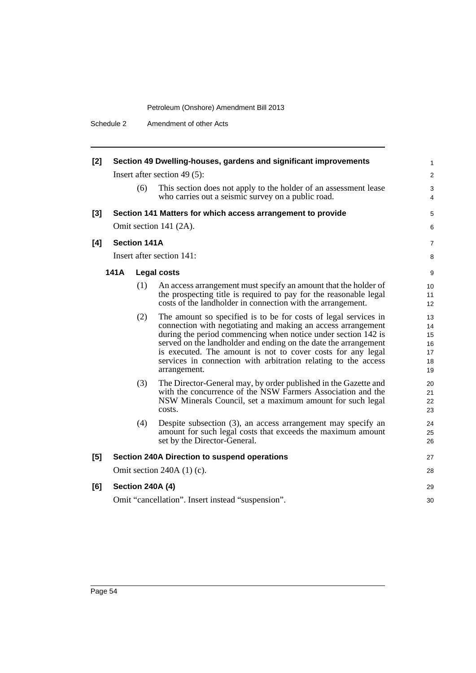| $[2]$ |      |                     | Section 49 Dwelling-houses, gardens and significant improvements                                                                                                                                                                                                                                                                                                                                                     | 1                                      |
|-------|------|---------------------|----------------------------------------------------------------------------------------------------------------------------------------------------------------------------------------------------------------------------------------------------------------------------------------------------------------------------------------------------------------------------------------------------------------------|----------------------------------------|
|       |      |                     | Insert after section 49 $(5)$ :                                                                                                                                                                                                                                                                                                                                                                                      | $\overline{c}$                         |
|       |      | (6)                 | This section does not apply to the holder of an assessment lease<br>who carries out a seismic survey on a public road.                                                                                                                                                                                                                                                                                               | 3<br>4                                 |
| $[3]$ |      |                     | Section 141 Matters for which access arrangement to provide                                                                                                                                                                                                                                                                                                                                                          | 5                                      |
|       |      |                     | Omit section 141 (2A).                                                                                                                                                                                                                                                                                                                                                                                               | 6                                      |
| [4]   |      | <b>Section 141A</b> |                                                                                                                                                                                                                                                                                                                                                                                                                      | 7                                      |
|       |      |                     | Insert after section 141:                                                                                                                                                                                                                                                                                                                                                                                            | 8                                      |
|       | 141A |                     | <b>Legal costs</b>                                                                                                                                                                                                                                                                                                                                                                                                   | 9                                      |
|       |      | (1)                 | An access arrangement must specify an amount that the holder of<br>the prospecting title is required to pay for the reasonable legal<br>costs of the landholder in connection with the arrangement.                                                                                                                                                                                                                  | 10<br>11<br>12                         |
|       |      | (2)                 | The amount so specified is to be for costs of legal services in<br>connection with negotiating and making an access arrangement<br>during the period commencing when notice under section 142 is<br>served on the landholder and ending on the date the arrangement<br>is executed. The amount is not to cover costs for any legal<br>services in connection with arbitration relating to the access<br>arrangement. | 13<br>14<br>15<br>16<br>17<br>18<br>19 |
|       |      | (3)                 | The Director-General may, by order published in the Gazette and<br>with the concurrence of the NSW Farmers Association and the<br>NSW Minerals Council, set a maximum amount for such legal<br>costs.                                                                                                                                                                                                                | 20<br>21<br>22<br>23                   |
|       |      | (4)                 | Despite subsection (3), an access arrangement may specify an<br>amount for such legal costs that exceeds the maximum amount<br>set by the Director-General.                                                                                                                                                                                                                                                          | 24<br>25<br>26                         |
| [5]   |      |                     | Section 240A Direction to suspend operations                                                                                                                                                                                                                                                                                                                                                                         | 27                                     |
|       |      |                     | Omit section $240A(1)(c)$ .                                                                                                                                                                                                                                                                                                                                                                                          | 28                                     |
| [6]   |      |                     | <b>Section 240A (4)</b>                                                                                                                                                                                                                                                                                                                                                                                              | 29                                     |
|       |      |                     | Omit "cancellation". Insert instead "suspension".                                                                                                                                                                                                                                                                                                                                                                    | 30                                     |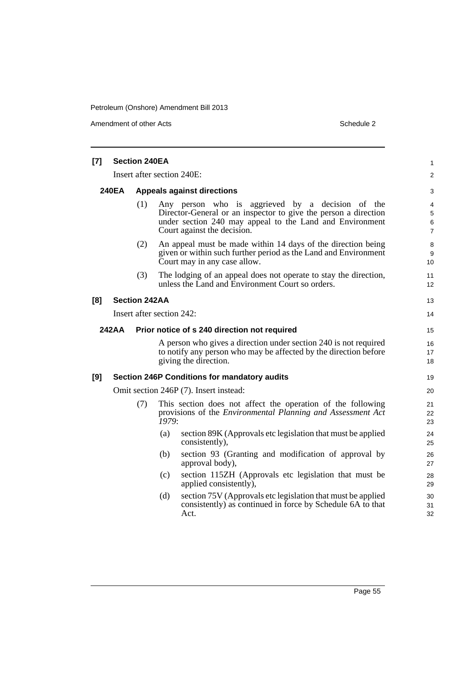Amendment of other Acts Schedule 2

| [7] | <b>Section 240EA</b> |                           |                                   |                                                                                                                                                                                                                |                               |  |  |
|-----|----------------------|---------------------------|-----------------------------------|----------------------------------------------------------------------------------------------------------------------------------------------------------------------------------------------------------------|-------------------------------|--|--|
|     |                      |                           |                                   | Insert after section 240E:                                                                                                                                                                                     | $\overline{c}$                |  |  |
|     | <b>240EA</b>         |                           | <b>Appeals against directions</b> |                                                                                                                                                                                                                |                               |  |  |
|     |                      | (1)                       |                                   | Any person who is aggrieved by a decision of the<br>Director-General or an inspector to give the person a direction<br>under section 240 may appeal to the Land and Environment<br>Court against the decision. | 4<br>5<br>6<br>$\overline{7}$ |  |  |
|     |                      | (2)                       |                                   | An appeal must be made within 14 days of the direction being<br>given or within such further period as the Land and Environment<br>Court may in any case allow.                                                | 8<br>9<br>10                  |  |  |
|     |                      | (3)                       |                                   | The lodging of an appeal does not operate to stay the direction,<br>unless the Land and Environment Court so orders.                                                                                           | 11<br>12                      |  |  |
| [8] |                      | <b>Section 242AA</b>      |                                   |                                                                                                                                                                                                                | 13                            |  |  |
|     |                      | Insert after section 242: |                                   |                                                                                                                                                                                                                | 14                            |  |  |
|     | <b>242AA</b>         |                           |                                   | Prior notice of s 240 direction not required                                                                                                                                                                   | 15                            |  |  |
|     |                      |                           |                                   | A person who gives a direction under section 240 is not required<br>to notify any person who may be affected by the direction before<br>giving the direction.                                                  | 16<br>17<br>18                |  |  |
| [9] |                      |                           |                                   | <b>Section 246P Conditions for mandatory audits</b>                                                                                                                                                            | 19                            |  |  |
|     |                      |                           |                                   | Omit section 246P (7). Insert instead:                                                                                                                                                                         | 20                            |  |  |
|     |                      | (7)                       | $\tilde{1}979:$                   | This section does not affect the operation of the following<br>provisions of the <i>Environmental Planning and Assessment Act</i>                                                                              | 21<br>22<br>23                |  |  |
|     |                      |                           | (a)                               | section 89K (Approvals etc legislation that must be applied<br>consistently),                                                                                                                                  | 24<br>25                      |  |  |
|     |                      |                           | (b)                               | section 93 (Granting and modification of approval by<br>approval body),                                                                                                                                        | 26<br>27                      |  |  |
|     |                      |                           | (c)                               | section 115ZH (Approvals etc legislation that must be<br>applied consistently),                                                                                                                                | 28<br>29                      |  |  |
|     |                      |                           | (d)                               | section 75V (Approvals etc legislation that must be applied<br>consistently) as continued in force by Schedule 6A to that<br>Act.                                                                              | 30<br>31<br>32                |  |  |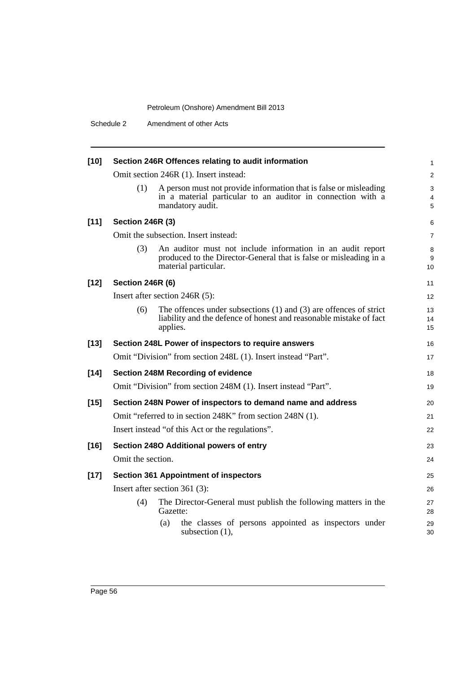Schedule 2 Amendment of other Acts

| $[10]$ |                         | Section 246R Offences relating to audit information                                                                                                     | $\mathbf{1}$             |
|--------|-------------------------|---------------------------------------------------------------------------------------------------------------------------------------------------------|--------------------------|
|        |                         | Omit section 246R (1). Insert instead:                                                                                                                  | 2                        |
|        | (1)                     | A person must not provide information that is false or misleading<br>in a material particular to an auditor in connection with a<br>mandatory audit.    | 3<br>$\overline{4}$<br>5 |
| $[11]$ | <b>Section 246R (3)</b> |                                                                                                                                                         | 6                        |
|        |                         | Omit the subsection. Insert instead:                                                                                                                    | $\overline{7}$           |
|        | (3)                     | An auditor must not include information in an audit report<br>produced to the Director-General that is false or misleading in a<br>material particular. | 8<br>9<br>10             |
| $[12]$ | <b>Section 246R (6)</b> |                                                                                                                                                         | 11                       |
|        |                         | Insert after section 246R (5):                                                                                                                          | 12                       |
|        | (6)                     | The offences under subsections $(1)$ and $(3)$ are offences of strict<br>liability and the defence of honest and reasonable mistake of fact<br>applies. | 13<br>14<br>15           |
| $[13]$ |                         | Section 248L Power of inspectors to require answers                                                                                                     | 16                       |
|        |                         | Omit "Division" from section 248L (1). Insert instead "Part".                                                                                           | 17                       |
| $[14]$ |                         | <b>Section 248M Recording of evidence</b>                                                                                                               | 18                       |
|        |                         | Omit "Division" from section 248M (1). Insert instead "Part".                                                                                           | 19                       |
| $[15]$ |                         | Section 248N Power of inspectors to demand name and address                                                                                             | 20                       |
|        |                         | Omit "referred to in section 248K" from section 248N (1).                                                                                               | 21                       |
|        |                         | Insert instead "of this Act or the regulations".                                                                                                        | 22                       |
| $[16]$ |                         | Section 2480 Additional powers of entry                                                                                                                 | 23                       |
|        | Omit the section.       |                                                                                                                                                         | 24                       |
| $[17]$ |                         | <b>Section 361 Appointment of inspectors</b>                                                                                                            | 25                       |
|        |                         | Insert after section 361 (3):                                                                                                                           | 26                       |
|        | (4)                     | The Director-General must publish the following matters in the<br>Gazette:                                                                              | 27<br>28                 |
|        |                         | the classes of persons appointed as inspectors under<br>(a)<br>subsection $(1)$ ,                                                                       | 29<br>30                 |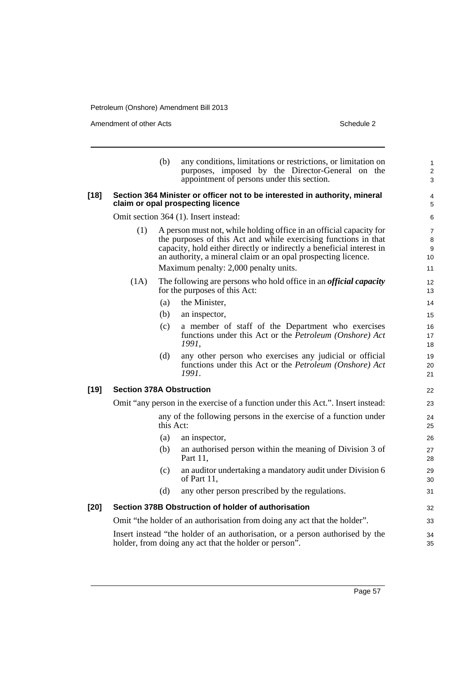Amendment of other Acts Schedule 2

**[19]** 

|        |                                                                                  | (b)                                                                           | any conditions, limitations or restrictions, or limitation on<br>purposes, imposed by the Director-General on the<br>appointment of persons under this section.                                                                                                                  | $\mathbf{1}$<br>$\overline{2}$<br>3 |  |  |
|--------|----------------------------------------------------------------------------------|-------------------------------------------------------------------------------|----------------------------------------------------------------------------------------------------------------------------------------------------------------------------------------------------------------------------------------------------------------------------------|-------------------------------------|--|--|
| $[18]$ |                                                                                  |                                                                               | Section 364 Minister or officer not to be interested in authority, mineral<br>claim or opal prospecting licence                                                                                                                                                                  | 4<br>5                              |  |  |
|        |                                                                                  |                                                                               | Omit section 364 (1). Insert instead:                                                                                                                                                                                                                                            | 6                                   |  |  |
|        | (1)                                                                              |                                                                               | A person must not, while holding office in an official capacity for<br>the purposes of this Act and while exercising functions in that<br>capacity, hold either directly or indirectly a beneficial interest in<br>an authority, a mineral claim or an opal prospecting licence. | $\overline{7}$<br>8<br>9<br>10      |  |  |
|        |                                                                                  |                                                                               | Maximum penalty: 2,000 penalty units.                                                                                                                                                                                                                                            | 11                                  |  |  |
|        | (1A)                                                                             |                                                                               | The following are persons who hold office in an <i>official capacity</i><br>for the purposes of this Act:                                                                                                                                                                        | 12<br>13                            |  |  |
|        |                                                                                  | (a)                                                                           | the Minister,                                                                                                                                                                                                                                                                    | 14                                  |  |  |
|        |                                                                                  | (b)                                                                           | an inspector,                                                                                                                                                                                                                                                                    | 15                                  |  |  |
|        |                                                                                  | (c)                                                                           | a member of staff of the Department who exercises<br>functions under this Act or the <i>Petroleum (Onshore)</i> Act<br>1991,                                                                                                                                                     | 16<br>17<br>18                      |  |  |
|        |                                                                                  | (d)                                                                           | any other person who exercises any judicial or official<br>functions under this Act or the Petroleum (Onshore) Act<br>1991.                                                                                                                                                      | 19<br>20<br>21                      |  |  |
| [19]   | <b>Section 378A Obstruction</b>                                                  |                                                                               |                                                                                                                                                                                                                                                                                  |                                     |  |  |
|        | Omit "any person in the exercise of a function under this Act.". Insert instead: |                                                                               |                                                                                                                                                                                                                                                                                  |                                     |  |  |
|        |                                                                                  | any of the following persons in the exercise of a function under<br>this Act: |                                                                                                                                                                                                                                                                                  |                                     |  |  |
|        |                                                                                  | (a)                                                                           | an inspector,                                                                                                                                                                                                                                                                    | 26                                  |  |  |
|        |                                                                                  | (b)                                                                           | an authorised person within the meaning of Division 3 of<br>Part 11,                                                                                                                                                                                                             | 27<br>28                            |  |  |
|        |                                                                                  | (c)                                                                           | an auditor undertaking a mandatory audit under Division 6<br>of Part 11,                                                                                                                                                                                                         | 29<br>30                            |  |  |
|        |                                                                                  | (d)                                                                           | any other person prescribed by the regulations.                                                                                                                                                                                                                                  | 31                                  |  |  |
| [20]   | Section 378B Obstruction of holder of authorisation                              |                                                                               |                                                                                                                                                                                                                                                                                  |                                     |  |  |
|        | Omit "the holder of an authorisation from doing any act that the holder".        |                                                                               |                                                                                                                                                                                                                                                                                  |                                     |  |  |
|        |                                                                                  |                                                                               | Insert instead "the holder of an authorisation, or a person authorised by the<br>holder, from doing any act that the holder or person".                                                                                                                                          | 34<br>35                            |  |  |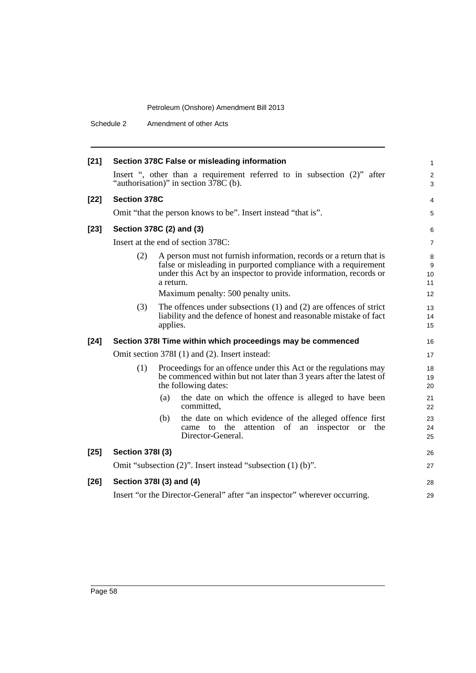Schedule 2 Amendment of other Acts

| $[21]$ |                                                                     | Section 378C False or misleading information                                                                                                                                                                                                                  | 1                        |  |
|--------|---------------------------------------------------------------------|---------------------------------------------------------------------------------------------------------------------------------------------------------------------------------------------------------------------------------------------------------------|--------------------------|--|
|        |                                                                     | Insert ", other than a requirement referred to in subsection (2)" after<br>"authorisation)" in section 378C (b).                                                                                                                                              | $\overline{c}$<br>3      |  |
| $[22]$ | <b>Section 378C</b>                                                 |                                                                                                                                                                                                                                                               | 4                        |  |
|        |                                                                     | Omit "that the person knows to be". Insert instead "that is".                                                                                                                                                                                                 | 5                        |  |
| $[23]$ | Section 378C (2) and (3)                                            |                                                                                                                                                                                                                                                               |                          |  |
|        | Insert at the end of section 378C:                                  |                                                                                                                                                                                                                                                               |                          |  |
|        | (2)                                                                 | A person must not furnish information, records or a return that is<br>false or misleading in purported compliance with a requirement<br>under this Act by an inspector to provide information, records or<br>a return.<br>Maximum penalty: 500 penalty units. | 8<br>9<br>10<br>11<br>12 |  |
|        | (3)                                                                 | The offences under subsections $(1)$ and $(2)$ are offences of strict<br>liability and the defence of honest and reasonable mistake of fact<br>applies.                                                                                                       | 13<br>14<br>15           |  |
| $[24]$ |                                                                     | Section 378I Time within which proceedings may be commenced                                                                                                                                                                                                   | 16                       |  |
|        |                                                                     | Omit section 378I (1) and (2). Insert instead:                                                                                                                                                                                                                | 17                       |  |
|        | (1)                                                                 | Proceedings for an offence under this Act or the regulations may<br>be commenced within but not later than 3 years after the latest of<br>the following dates:                                                                                                | 18<br>19<br>20           |  |
|        |                                                                     | the date on which the offence is alleged to have been<br>(a)<br>committed,                                                                                                                                                                                    | 21<br>22                 |  |
|        |                                                                     | (b)<br>the date on which evidence of the alleged offence first<br>came to the attention of an<br>inspector or the<br>Director-General.                                                                                                                        | 23<br>24<br>25           |  |
| $[25]$ | <b>Section 3781 (3)</b>                                             |                                                                                                                                                                                                                                                               | 26                       |  |
|        | Omit "subsection $(2)$ ". Insert instead "subsection $(1)$ $(b)$ ". |                                                                                                                                                                                                                                                               |                          |  |
| $[26]$ | Section 378I (3) and (4)                                            |                                                                                                                                                                                                                                                               |                          |  |
|        |                                                                     | Insert "or the Director-General" after "an inspector" wherever occurring.                                                                                                                                                                                     | 29                       |  |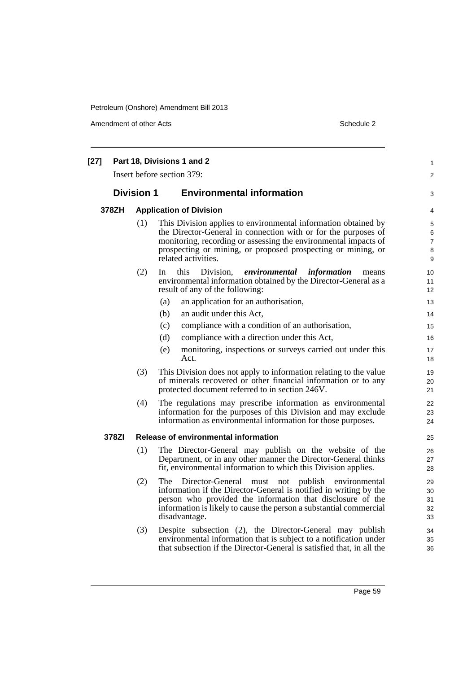Amendment of other Acts Schedule 2

| $[27]$ | Part 18, Divisions 1 and 2<br>Insert before section 379: |                                |                                                                                                                                                                                                                                                                                            |                                    |
|--------|----------------------------------------------------------|--------------------------------|--------------------------------------------------------------------------------------------------------------------------------------------------------------------------------------------------------------------------------------------------------------------------------------------|------------------------------------|
|        |                                                          |                                |                                                                                                                                                                                                                                                                                            | 2                                  |
|        |                                                          | <b>Division 1</b>              | <b>Environmental information</b>                                                                                                                                                                                                                                                           | 3                                  |
|        | 378ZH                                                    | <b>Application of Division</b> |                                                                                                                                                                                                                                                                                            | 4                                  |
|        |                                                          | (1)                            | This Division applies to environmental information obtained by<br>the Director-General in connection with or for the purposes of<br>monitoring, recording or assessing the environmental impacts of<br>prospecting or mining, or proposed prospecting or mining, or<br>related activities. | 5<br>6<br>$\overline{7}$<br>8<br>9 |
|        |                                                          | (2)                            | this<br>Division,<br>environmental<br>information<br>In<br>means<br>environmental information obtained by the Director-General as a<br>result of any of the following:                                                                                                                     | 10<br>11<br>12                     |
|        |                                                          |                                | an application for an authorisation,<br>(a)                                                                                                                                                                                                                                                | 13                                 |
|        |                                                          |                                | an audit under this Act,<br>(b)                                                                                                                                                                                                                                                            | 14                                 |
|        |                                                          |                                | compliance with a condition of an authorisation,<br>(c)                                                                                                                                                                                                                                    | 15                                 |
|        |                                                          |                                | (d)<br>compliance with a direction under this Act,                                                                                                                                                                                                                                         | 16                                 |
|        |                                                          |                                | (e)<br>monitoring, inspections or surveys carried out under this<br>Act.                                                                                                                                                                                                                   | 17<br>18                           |
|        |                                                          | (3)                            | This Division does not apply to information relating to the value<br>of minerals recovered or other financial information or to any<br>protected document referred to in section 246V.                                                                                                     | 19<br>20<br>21                     |
|        |                                                          | (4)                            | The regulations may prescribe information as environmental<br>information for the purposes of this Division and may exclude<br>information as environmental information for those purposes.                                                                                                | 22<br>23<br>24                     |
|        | 378ZI                                                    |                                | Release of environmental information                                                                                                                                                                                                                                                       | 25                                 |
|        |                                                          | (1)                            | The Director-General may publish on the website of the<br>Department, or in any other manner the Director-General thinks<br>fit, environmental information to which this Division applies.                                                                                                 | 26<br>27<br>28                     |
|        |                                                          | (2)                            | The Director-General must not publish environmental<br>information if the Director-General is notified in writing by the<br>person who provided the information that disclosure of the<br>information is likely to cause the person a substantial commercial<br>disadvantage.              | 29<br>30<br>31<br>32<br>33         |
|        |                                                          | (3)                            | Despite subsection (2), the Director-General may publish<br>environmental information that is subject to a notification under<br>that subsection if the Director-General is satisfied that, in all the                                                                                     | 34<br>35<br>36                     |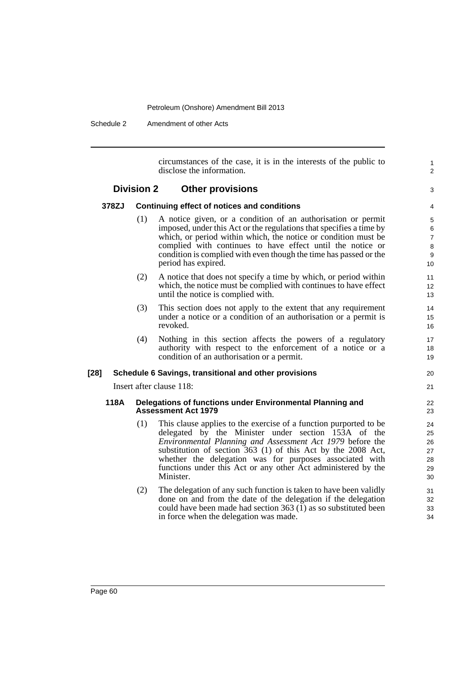Schedule 2 Amendment of other Acts

circumstances of the case, it is in the interests of the public to disclose the information.

1  $\overline{2}$ 

3

### **Division 2 Other provisions**

### **378ZJ Continuing effect of notices and conditions**

- (1) A notice given, or a condition of an authorisation or permit imposed, under this Act or the regulations that specifies a time by which, or period within which, the notice or condition must be complied with continues to have effect until the notice or condition is complied with even though the time has passed or the period has expired.
- (2) A notice that does not specify a time by which, or period within which, the notice must be complied with continues to have effect until the notice is complied with.
- (3) This section does not apply to the extent that any requirement under a notice or a condition of an authorisation or a permit is revoked.
- (4) Nothing in this section affects the powers of a regulatory authority with respect to the enforcement of a notice or a condition of an authorisation or a permit.

### **[28] Schedule 6 Savings, transitional and other provisions**

Insert after clause 118:

### **118A Delegations of functions under Environmental Planning and Assessment Act 1979**

- (1) This clause applies to the exercise of a function purported to be delegated by the Minister under section 153A of the *Environmental Planning and Assessment Act 1979* before the substitution of section 363 (1) of this Act by the 2008 Act, whether the delegation was for purposes associated with functions under this Act or any other Act administered by the Minister.
- (2) The delegation of any such function is taken to have been validly done on and from the date of the delegation if the delegation could have been made had section 363  $(I)$  as so substituted been in force when the delegation was made.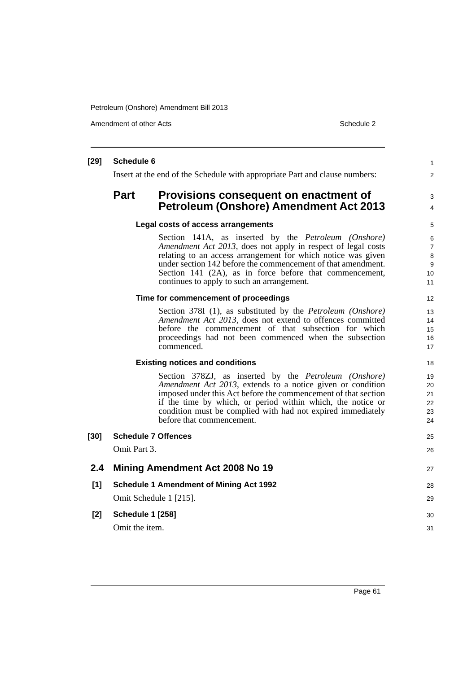Petroleum (Onshore) Amendment Bill 2013

Amendment of other Acts **Schedule 2** and the 2

## **[29] Schedule 6** Insert at the end of the Schedule with appropriate Part and clause numbers: **Part Provisions consequent on enactment of Petroleum (Onshore) Amendment Act 2013 Legal costs of access arrangements** Section 141A, as inserted by the *Petroleum (Onshore) Amendment Act 2013*, does not apply in respect of legal costs relating to an access arrangement for which notice was given under section 142 before the commencement of that amendment. Section 141 (2A), as in force before that commencement, continues to apply to such an arrangement. **Time for commencement of proceedings** Section 378I (1), as substituted by the *Petroleum (Onshore) Amendment Act 2013*, does not extend to offences committed before the commencement of that subsection for which proceedings had not been commenced when the subsection commenced. **Existing notices and conditions** Section 378ZJ, as inserted by the *Petroleum (Onshore) Amendment Act 2013*, extends to a notice given or condition imposed under this Act before the commencement of that section if the time by which, or period within which, the notice or condition must be complied with had not expired immediately before that commencement. **[30] Schedule 7 Offences** Omit Part 3. **2.4 Mining Amendment Act 2008 No 19 [1] Schedule 1 Amendment of Mining Act 1992** Omit Schedule 1 [215]. **[2] Schedule 1 [258]** Omit the item. 1  $\overline{2}$ 3 4 5 6 7 8 9 10 11 12 13 14 15 16 17 18 19 20 21 22 23  $24$ 25 26 27 28 29  $30$ 31